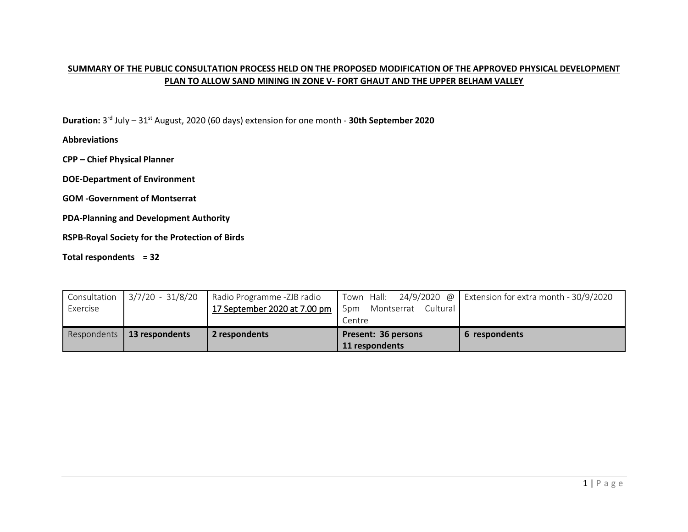## **SUMMARY OF THE PUBLIC CONSULTATION PROCESS HELD ON THE PROPOSED MODIFICATION OF THE APPROVED PHYSICAL DEVELOPMENT PLAN TO ALLOW SAND MINING IN ZONE V- FORT GHAUT AND THE UPPER BELHAM VALLEY**

**Duration:** 3<sup>rd</sup> July – 31<sup>st</sup> August, 2020 (60 days) extension for one month - **30th September 2020** 

**Abbreviations**

**CPP – Chief Physical Planner**

**DOE-Department of Environment**

**GOM -Government of Montserrat**

**PDA-Planning and Development Authority**

**RSPB-Royal Society for the Protection of Birds**

**Total respondents = 32** 

| Consultation | 3/7/20 - 31/8/20 | Radio Programme -ZJB radio   |                               | Town Hall: $24/9/2020$ @ Extension for extra month - 30/9/2020 |
|--------------|------------------|------------------------------|-------------------------------|----------------------------------------------------------------|
| Exercise     |                  | 17 September 2020 at 7.00 pm | Cultural<br>5pm<br>Montserrat |                                                                |
|              |                  |                              | Centre                        |                                                                |
| Respondents  | 13 respondents   | 2 respondents                | Present: 36 persons           | 6 respondents                                                  |
|              |                  |                              | 11 respondents                |                                                                |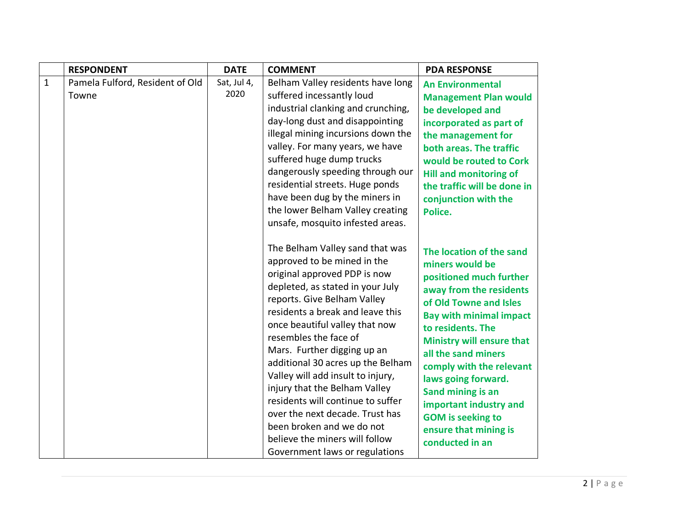|              | <b>RESPONDENT</b>                        | <b>DATE</b>         | <b>COMMENT</b>                                                                                                                                                                                                                                                                                                                                                                                                                                                                                                                                                                      | <b>PDA RESPONSE</b>                                                                                                                                                                                                                                                                                                                                                                                                     |
|--------------|------------------------------------------|---------------------|-------------------------------------------------------------------------------------------------------------------------------------------------------------------------------------------------------------------------------------------------------------------------------------------------------------------------------------------------------------------------------------------------------------------------------------------------------------------------------------------------------------------------------------------------------------------------------------|-------------------------------------------------------------------------------------------------------------------------------------------------------------------------------------------------------------------------------------------------------------------------------------------------------------------------------------------------------------------------------------------------------------------------|
| $\mathbf{1}$ | Pamela Fulford, Resident of Old<br>Towne | Sat, Jul 4,<br>2020 | Belham Valley residents have long<br>suffered incessantly loud<br>industrial clanking and crunching,<br>day-long dust and disappointing<br>illegal mining incursions down the<br>valley. For many years, we have<br>suffered huge dump trucks<br>dangerously speeding through our<br>residential streets. Huge ponds<br>have been dug by the miners in<br>the lower Belham Valley creating<br>unsafe, mosquito infested areas.                                                                                                                                                      | <b>An Environmental</b><br><b>Management Plan would</b><br>be developed and<br>incorporated as part of<br>the management for<br>both areas. The traffic<br>would be routed to Cork<br><b>Hill and monitoring of</b><br>the traffic will be done in<br>conjunction with the<br>Police.                                                                                                                                   |
|              |                                          |                     | The Belham Valley sand that was<br>approved to be mined in the<br>original approved PDP is now<br>depleted, as stated in your July<br>reports. Give Belham Valley<br>residents a break and leave this<br>once beautiful valley that now<br>resembles the face of<br>Mars. Further digging up an<br>additional 30 acres up the Belham<br>Valley will add insult to injury,<br>injury that the Belham Valley<br>residents will continue to suffer<br>over the next decade. Trust has<br>been broken and we do not<br>believe the miners will follow<br>Government laws or regulations | The location of the sand<br>miners would be<br>positioned much further<br>away from the residents<br>of Old Towne and Isles<br><b>Bay with minimal impact</b><br>to residents. The<br><b>Ministry will ensure that</b><br>all the sand miners<br>comply with the relevant<br>laws going forward.<br>Sand mining is an<br>important industry and<br><b>GOM</b> is seeking to<br>ensure that mining is<br>conducted in an |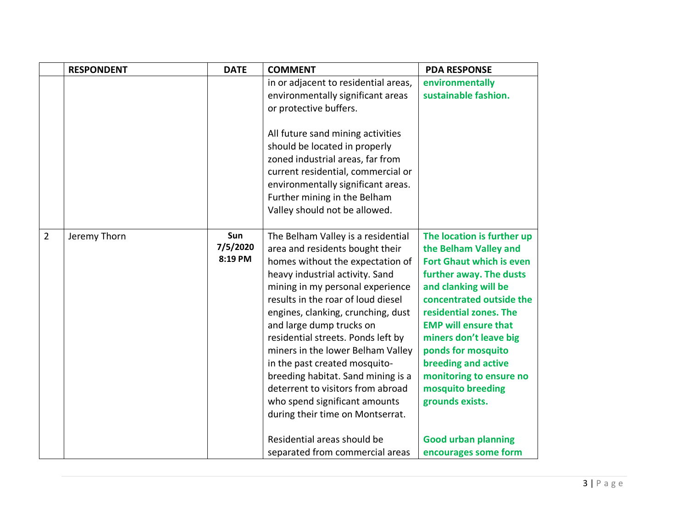|                | <b>RESPONDENT</b> | <b>DATE</b>                | <b>COMMENT</b>                                                                                                                                                                                                                                                                                                                                                                                                                                                                                                                                                                      | <b>PDA RESPONSE</b>                                                                                                                                                                                                                                                                                                                                                                                    |
|----------------|-------------------|----------------------------|-------------------------------------------------------------------------------------------------------------------------------------------------------------------------------------------------------------------------------------------------------------------------------------------------------------------------------------------------------------------------------------------------------------------------------------------------------------------------------------------------------------------------------------------------------------------------------------|--------------------------------------------------------------------------------------------------------------------------------------------------------------------------------------------------------------------------------------------------------------------------------------------------------------------------------------------------------------------------------------------------------|
|                |                   |                            | in or adjacent to residential areas,<br>environmentally significant areas<br>or protective buffers.                                                                                                                                                                                                                                                                                                                                                                                                                                                                                 | environmentally<br>sustainable fashion.                                                                                                                                                                                                                                                                                                                                                                |
|                |                   |                            | All future sand mining activities<br>should be located in properly<br>zoned industrial areas, far from<br>current residential, commercial or<br>environmentally significant areas.<br>Further mining in the Belham<br>Valley should not be allowed.                                                                                                                                                                                                                                                                                                                                 |                                                                                                                                                                                                                                                                                                                                                                                                        |
| $\overline{2}$ | Jeremy Thorn      | Sun<br>7/5/2020<br>8:19 PM | The Belham Valley is a residential<br>area and residents bought their<br>homes without the expectation of<br>heavy industrial activity. Sand<br>mining in my personal experience<br>results in the roar of loud diesel<br>engines, clanking, crunching, dust<br>and large dump trucks on<br>residential streets. Ponds left by<br>miners in the lower Belham Valley<br>in the past created mosquito-<br>breeding habitat. Sand mining is a<br>deterrent to visitors from abroad<br>who spend significant amounts<br>during their time on Montserrat.<br>Residential areas should be | The location is further up<br>the Belham Valley and<br><b>Fort Ghaut which is even</b><br>further away. The dusts<br>and clanking will be<br>concentrated outside the<br>residential zones. The<br><b>EMP will ensure that</b><br>miners don't leave big<br>ponds for mosquito<br>breeding and active<br>monitoring to ensure no<br>mosquito breeding<br>grounds exists.<br><b>Good urban planning</b> |
|                |                   |                            | separated from commercial areas                                                                                                                                                                                                                                                                                                                                                                                                                                                                                                                                                     | encourages some form                                                                                                                                                                                                                                                                                                                                                                                   |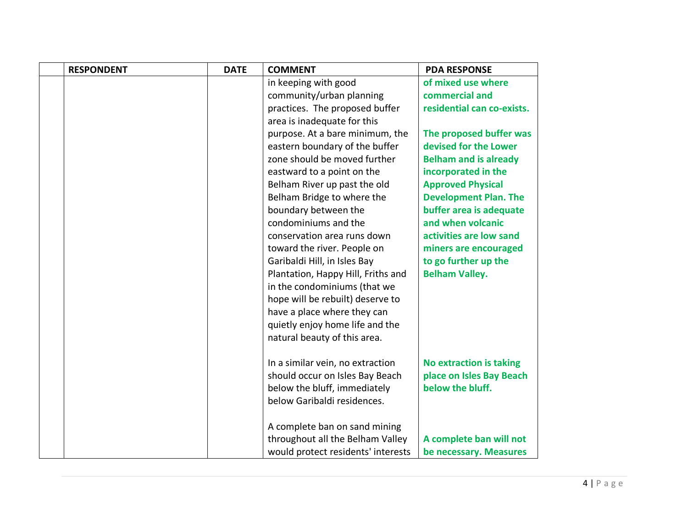| <b>RESPONDENT</b> | <b>DATE</b> | <b>COMMENT</b>                     | <b>PDA RESPONSE</b>            |
|-------------------|-------------|------------------------------------|--------------------------------|
|                   |             | in keeping with good               | of mixed use where             |
|                   |             | community/urban planning           | commercial and                 |
|                   |             | practices. The proposed buffer     | residential can co-exists.     |
|                   |             | area is inadequate for this        |                                |
|                   |             | purpose. At a bare minimum, the    | The proposed buffer was        |
|                   |             | eastern boundary of the buffer     | devised for the Lower          |
|                   |             | zone should be moved further       | <b>Belham and is already</b>   |
|                   |             | eastward to a point on the         | incorporated in the            |
|                   |             | Belham River up past the old       | <b>Approved Physical</b>       |
|                   |             | Belham Bridge to where the         | <b>Development Plan. The</b>   |
|                   |             | boundary between the               | buffer area is adequate        |
|                   |             | condominiums and the               | and when volcanic              |
|                   |             | conservation area runs down        | activities are low sand        |
|                   |             | toward the river. People on        | miners are encouraged          |
|                   |             | Garibaldi Hill, in Isles Bay       | to go further up the           |
|                   |             | Plantation, Happy Hill, Friths and | <b>Belham Valley.</b>          |
|                   |             | in the condominiums (that we       |                                |
|                   |             | hope will be rebuilt) deserve to   |                                |
|                   |             | have a place where they can        |                                |
|                   |             | quietly enjoy home life and the    |                                |
|                   |             | natural beauty of this area.       |                                |
|                   |             |                                    |                                |
|                   |             | In a similar vein, no extraction   | <b>No extraction is taking</b> |
|                   |             | should occur on Isles Bay Beach    | place on Isles Bay Beach       |
|                   |             | below the bluff, immediately       | below the bluff.               |
|                   |             | below Garibaldi residences.        |                                |
|                   |             | A complete ban on sand mining      |                                |
|                   |             | throughout all the Belham Valley   | A complete ban will not        |
|                   |             | would protect residents' interests | be necessary. Measures         |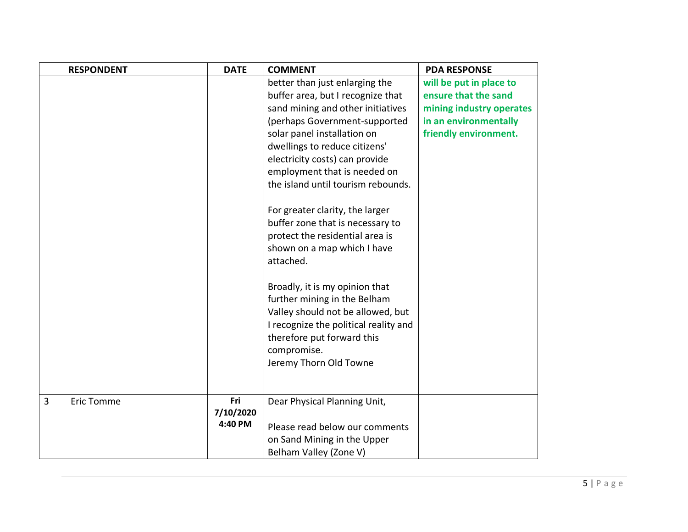|                | <b>RESPONDENT</b> | <b>DATE</b> | <b>COMMENT</b>                        | <b>PDA RESPONSE</b>      |
|----------------|-------------------|-------------|---------------------------------------|--------------------------|
|                |                   |             | better than just enlarging the        | will be put in place to  |
|                |                   |             | buffer area, but I recognize that     | ensure that the sand     |
|                |                   |             | sand mining and other initiatives     | mining industry operates |
|                |                   |             | (perhaps Government-supported         | in an environmentally    |
|                |                   |             | solar panel installation on           | friendly environment.    |
|                |                   |             | dwellings to reduce citizens'         |                          |
|                |                   |             | electricity costs) can provide        |                          |
|                |                   |             | employment that is needed on          |                          |
|                |                   |             | the island until tourism rebounds.    |                          |
|                |                   |             | For greater clarity, the larger       |                          |
|                |                   |             | buffer zone that is necessary to      |                          |
|                |                   |             | protect the residential area is       |                          |
|                |                   |             | shown on a map which I have           |                          |
|                |                   |             | attached.                             |                          |
|                |                   |             | Broadly, it is my opinion that        |                          |
|                |                   |             | further mining in the Belham          |                          |
|                |                   |             | Valley should not be allowed, but     |                          |
|                |                   |             | I recognize the political reality and |                          |
|                |                   |             | therefore put forward this            |                          |
|                |                   |             | compromise.                           |                          |
|                |                   |             | Jeremy Thorn Old Towne                |                          |
|                |                   |             |                                       |                          |
| $\overline{3}$ | <b>Eric Tomme</b> | Fri         | Dear Physical Planning Unit,          |                          |
|                |                   | 7/10/2020   |                                       |                          |
|                |                   | 4:40 PM     | Please read below our comments        |                          |
|                |                   |             | on Sand Mining in the Upper           |                          |
|                |                   |             | Belham Valley (Zone V)                |                          |
|                |                   |             |                                       |                          |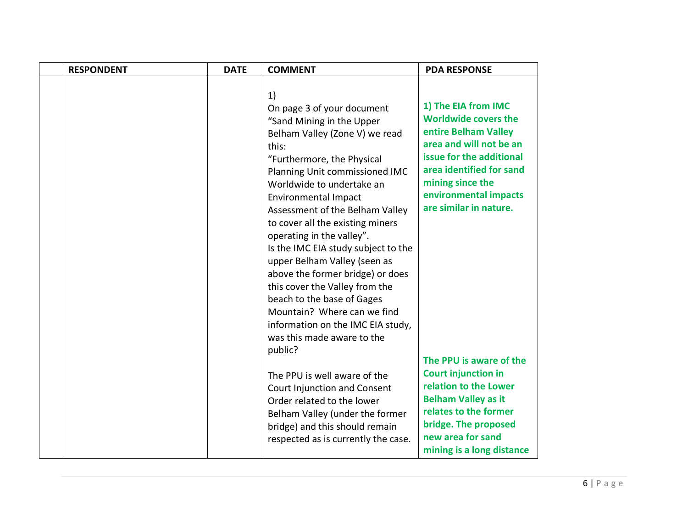| <b>RESPONDENT</b> | <b>DATE</b> | <b>COMMENT</b>                                                                                                                                                                                                                                                                                                                                                                                                                                                                                                                                                                                                                                                                                                                 | <b>PDA RESPONSE</b>                                                                                                                                                                                                                                                                                                                                  |
|-------------------|-------------|--------------------------------------------------------------------------------------------------------------------------------------------------------------------------------------------------------------------------------------------------------------------------------------------------------------------------------------------------------------------------------------------------------------------------------------------------------------------------------------------------------------------------------------------------------------------------------------------------------------------------------------------------------------------------------------------------------------------------------|------------------------------------------------------------------------------------------------------------------------------------------------------------------------------------------------------------------------------------------------------------------------------------------------------------------------------------------------------|
|                   |             | 1)<br>On page 3 of your document<br>"Sand Mining in the Upper<br>Belham Valley (Zone V) we read<br>this:<br>"Furthermore, the Physical<br>Planning Unit commissioned IMC<br>Worldwide to undertake an<br><b>Environmental Impact</b><br>Assessment of the Belham Valley<br>to cover all the existing miners<br>operating in the valley".<br>Is the IMC EIA study subject to the<br>upper Belham Valley (seen as<br>above the former bridge) or does<br>this cover the Valley from the<br>beach to the base of Gages<br>Mountain? Where can we find<br>information on the IMC EIA study,<br>was this made aware to the<br>public?<br>The PPU is well aware of the<br>Court Injunction and Consent<br>Order related to the lower | 1) The EIA from IMC<br><b>Worldwide covers the</b><br>entire Belham Valley<br>area and will not be an<br>issue for the additional<br>area identified for sand<br>mining since the<br>environmental impacts<br>are similar in nature.<br>The PPU is aware of the<br><b>Court injunction in</b><br>relation to the Lower<br><b>Belham Valley as it</b> |
|                   |             | Belham Valley (under the former<br>bridge) and this should remain<br>respected as is currently the case.                                                                                                                                                                                                                                                                                                                                                                                                                                                                                                                                                                                                                       | relates to the former<br>bridge. The proposed<br>new area for sand<br>mining is a long distance                                                                                                                                                                                                                                                      |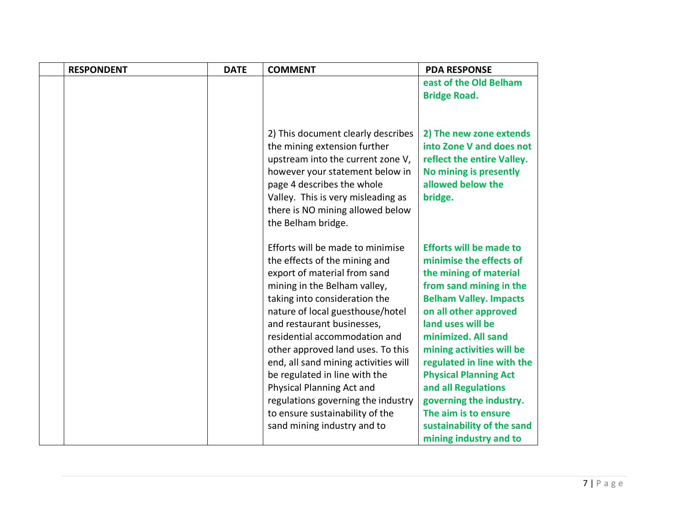| <b>RESPONDENT</b> | <b>DATE</b> | <b>COMMENT</b>                                                                                                                                                                                                                                                                                                                                                                                                                                                                                                           | <b>PDA RESPONSE</b>                                                                                                                                                                                                                                                                                                                                                                                                     |
|-------------------|-------------|--------------------------------------------------------------------------------------------------------------------------------------------------------------------------------------------------------------------------------------------------------------------------------------------------------------------------------------------------------------------------------------------------------------------------------------------------------------------------------------------------------------------------|-------------------------------------------------------------------------------------------------------------------------------------------------------------------------------------------------------------------------------------------------------------------------------------------------------------------------------------------------------------------------------------------------------------------------|
|                   |             |                                                                                                                                                                                                                                                                                                                                                                                                                                                                                                                          | east of the Old Belham                                                                                                                                                                                                                                                                                                                                                                                                  |
|                   |             |                                                                                                                                                                                                                                                                                                                                                                                                                                                                                                                          | <b>Bridge Road.</b>                                                                                                                                                                                                                                                                                                                                                                                                     |
|                   |             |                                                                                                                                                                                                                                                                                                                                                                                                                                                                                                                          |                                                                                                                                                                                                                                                                                                                                                                                                                         |
|                   |             | 2) This document clearly describes<br>the mining extension further<br>upstream into the current zone V,<br>however your statement below in<br>page 4 describes the whole<br>Valley. This is very misleading as<br>there is NO mining allowed below<br>the Belham bridge.                                                                                                                                                                                                                                                 | 2) The new zone extends<br>into Zone V and does not<br>reflect the entire Valley.<br>No mining is presently<br>allowed below the<br>bridge.                                                                                                                                                                                                                                                                             |
|                   |             | Efforts will be made to minimise<br>the effects of the mining and<br>export of material from sand<br>mining in the Belham valley,<br>taking into consideration the<br>nature of local guesthouse/hotel<br>and restaurant businesses,<br>residential accommodation and<br>other approved land uses. To this<br>end, all sand mining activities will<br>be regulated in line with the<br>Physical Planning Act and<br>regulations governing the industry<br>to ensure sustainability of the<br>sand mining industry and to | <b>Efforts will be made to</b><br>minimise the effects of<br>the mining of material<br>from sand mining in the<br><b>Belham Valley. Impacts</b><br>on all other approved<br>land uses will be<br>minimized. All sand<br>mining activities will be<br>regulated in line with the<br><b>Physical Planning Act</b><br>and all Regulations<br>governing the industry.<br>The aim is to ensure<br>sustainability of the sand |
|                   |             |                                                                                                                                                                                                                                                                                                                                                                                                                                                                                                                          | mining industry and to                                                                                                                                                                                                                                                                                                                                                                                                  |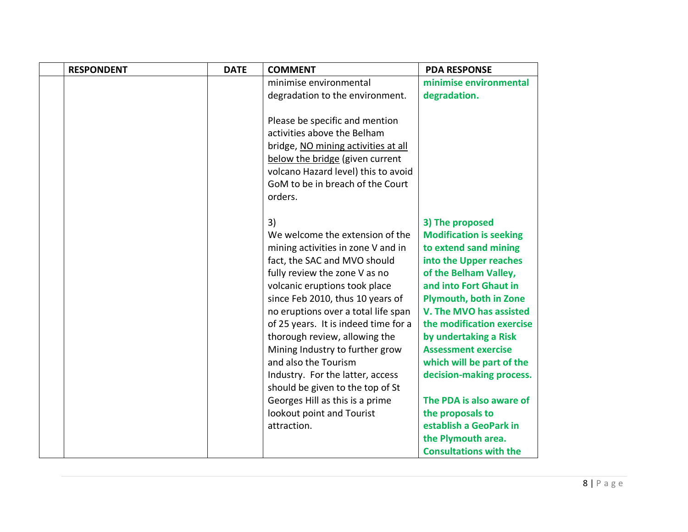| <b>RESPONDENT</b> | <b>DATE</b> | <b>COMMENT</b>                       | <b>PDA RESPONSE</b>            |
|-------------------|-------------|--------------------------------------|--------------------------------|
|                   |             | minimise environmental               | minimise environmental         |
|                   |             | degradation to the environment.      | degradation.                   |
|                   |             |                                      |                                |
|                   |             | Please be specific and mention       |                                |
|                   |             | activities above the Belham          |                                |
|                   |             | bridge, NO mining activities at all  |                                |
|                   |             | below the bridge (given current      |                                |
|                   |             | volcano Hazard level) this to avoid  |                                |
|                   |             | GoM to be in breach of the Court     |                                |
|                   |             | orders.                              |                                |
|                   |             |                                      |                                |
|                   |             | 3)                                   | 3) The proposed                |
|                   |             | We welcome the extension of the      | <b>Modification is seeking</b> |
|                   |             | mining activities in zone V and in   | to extend sand mining          |
|                   |             | fact, the SAC and MVO should         | into the Upper reaches         |
|                   |             | fully review the zone V as no        | of the Belham Valley,          |
|                   |             | volcanic eruptions took place        | and into Fort Ghaut in         |
|                   |             | since Feb 2010, thus 10 years of     | <b>Plymouth, both in Zone</b>  |
|                   |             | no eruptions over a total life span  | V. The MVO has assisted        |
|                   |             | of 25 years. It is indeed time for a | the modification exercise      |
|                   |             | thorough review, allowing the        | by undertaking a Risk          |
|                   |             | Mining Industry to further grow      | <b>Assessment exercise</b>     |
|                   |             | and also the Tourism                 | which will be part of the      |
|                   |             | Industry. For the latter, access     | decision-making process.       |
|                   |             | should be given to the top of St     |                                |
|                   |             | Georges Hill as this is a prime      | The PDA is also aware of       |
|                   |             | lookout point and Tourist            | the proposals to               |
|                   |             | attraction.                          | establish a GeoPark in         |
|                   |             |                                      | the Plymouth area.             |
|                   |             |                                      | <b>Consultations with the</b>  |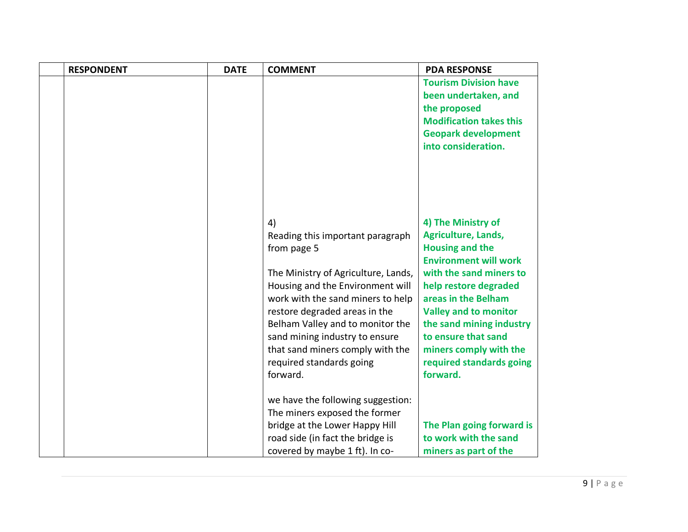| <b>RESPONDENT</b> | <b>DATE</b> | <b>COMMENT</b>                                                                                                                                                                                                                                                                                                                                           | <b>PDA RESPONSE</b>                                                                                                                                                                                                                                                                                                                        |
|-------------------|-------------|----------------------------------------------------------------------------------------------------------------------------------------------------------------------------------------------------------------------------------------------------------------------------------------------------------------------------------------------------------|--------------------------------------------------------------------------------------------------------------------------------------------------------------------------------------------------------------------------------------------------------------------------------------------------------------------------------------------|
|                   |             |                                                                                                                                                                                                                                                                                                                                                          | <b>Tourism Division have</b><br>been undertaken, and<br>the proposed<br><b>Modification takes this</b><br><b>Geopark development</b><br>into consideration.                                                                                                                                                                                |
|                   |             | 4)<br>Reading this important paragraph<br>from page 5<br>The Ministry of Agriculture, Lands,<br>Housing and the Environment will<br>work with the sand miners to help<br>restore degraded areas in the<br>Belham Valley and to monitor the<br>sand mining industry to ensure<br>that sand miners comply with the<br>required standards going<br>forward. | 4) The Ministry of<br><b>Agriculture, Lands,</b><br><b>Housing and the</b><br><b>Environment will work</b><br>with the sand miners to<br>help restore degraded<br>areas in the Belham<br><b>Valley and to monitor</b><br>the sand mining industry<br>to ensure that sand<br>miners comply with the<br>required standards going<br>forward. |
|                   |             | we have the following suggestion:<br>The miners exposed the former<br>bridge at the Lower Happy Hill<br>road side (in fact the bridge is<br>covered by maybe 1 ft). In co-                                                                                                                                                                               | The Plan going forward is<br>to work with the sand<br>miners as part of the                                                                                                                                                                                                                                                                |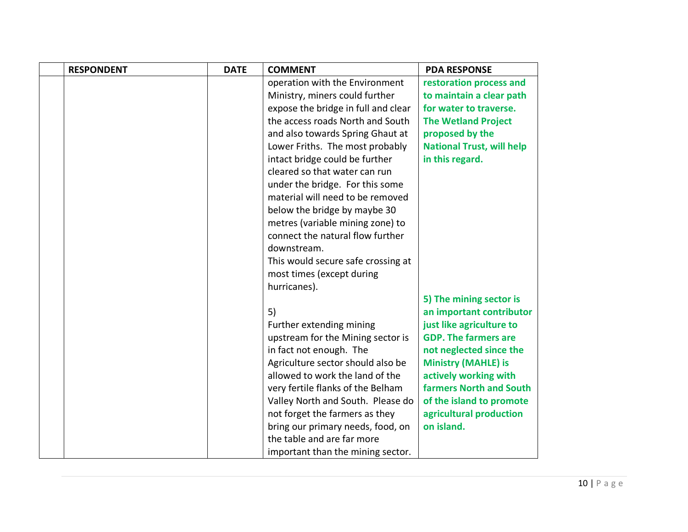| <b>RESPONDENT</b> | <b>DATE</b> | <b>COMMENT</b>                      | <b>PDA RESPONSE</b>              |
|-------------------|-------------|-------------------------------------|----------------------------------|
|                   |             | operation with the Environment      | restoration process and          |
|                   |             | Ministry, miners could further      | to maintain a clear path         |
|                   |             | expose the bridge in full and clear | for water to traverse.           |
|                   |             | the access roads North and South    | <b>The Wetland Project</b>       |
|                   |             | and also towards Spring Ghaut at    | proposed by the                  |
|                   |             | Lower Friths. The most probably     | <b>National Trust, will help</b> |
|                   |             | intact bridge could be further      | in this regard.                  |
|                   |             | cleared so that water can run       |                                  |
|                   |             | under the bridge. For this some     |                                  |
|                   |             | material will need to be removed    |                                  |
|                   |             | below the bridge by maybe 30        |                                  |
|                   |             | metres (variable mining zone) to    |                                  |
|                   |             | connect the natural flow further    |                                  |
|                   |             | downstream.                         |                                  |
|                   |             | This would secure safe crossing at  |                                  |
|                   |             | most times (except during           |                                  |
|                   |             | hurricanes).                        |                                  |
|                   |             |                                     | 5) The mining sector is          |
|                   |             | 5)                                  | an important contributor         |
|                   |             | Further extending mining            | just like agriculture to         |
|                   |             | upstream for the Mining sector is   | <b>GDP. The farmers are</b>      |
|                   |             | in fact not enough. The             | not neglected since the          |
|                   |             | Agriculture sector should also be   | <b>Ministry (MAHLE) is</b>       |
|                   |             | allowed to work the land of the     | actively working with            |
|                   |             | very fertile flanks of the Belham   | <b>farmers North and South</b>   |
|                   |             | Valley North and South. Please do   | of the island to promote         |
|                   |             | not forget the farmers as they      | agricultural production          |
|                   |             | bring our primary needs, food, on   | on island.                       |
|                   |             | the table and are far more          |                                  |
|                   |             | important than the mining sector.   |                                  |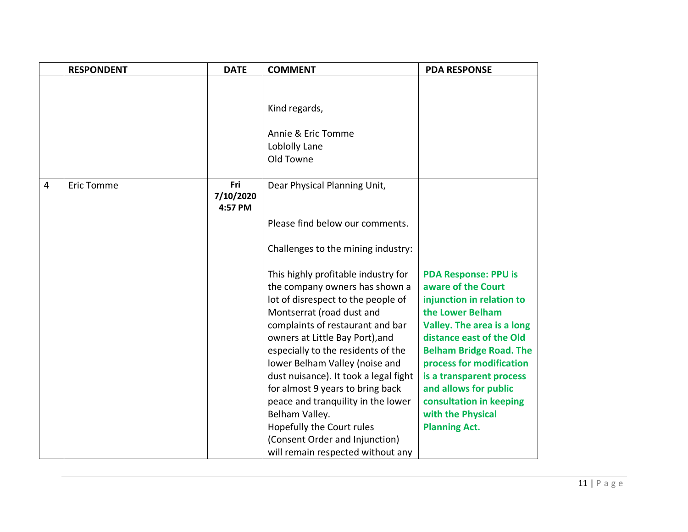|                | <b>RESPONDENT</b> | <b>DATE</b>                 | <b>COMMENT</b>                                                                                                                                                                                                                                                                                                                                                                                                                                                                                                                   | <b>PDA RESPONSE</b>                                                                                                                                                                                                                                                                                                                                     |
|----------------|-------------------|-----------------------------|----------------------------------------------------------------------------------------------------------------------------------------------------------------------------------------------------------------------------------------------------------------------------------------------------------------------------------------------------------------------------------------------------------------------------------------------------------------------------------------------------------------------------------|---------------------------------------------------------------------------------------------------------------------------------------------------------------------------------------------------------------------------------------------------------------------------------------------------------------------------------------------------------|
|                |                   |                             |                                                                                                                                                                                                                                                                                                                                                                                                                                                                                                                                  |                                                                                                                                                                                                                                                                                                                                                         |
|                |                   |                             | Kind regards,                                                                                                                                                                                                                                                                                                                                                                                                                                                                                                                    |                                                                                                                                                                                                                                                                                                                                                         |
|                |                   |                             | Annie & Eric Tomme<br>Loblolly Lane<br>Old Towne                                                                                                                                                                                                                                                                                                                                                                                                                                                                                 |                                                                                                                                                                                                                                                                                                                                                         |
| $\overline{4}$ | <b>Eric Tomme</b> | Fri<br>7/10/2020<br>4:57 PM | Dear Physical Planning Unit,                                                                                                                                                                                                                                                                                                                                                                                                                                                                                                     |                                                                                                                                                                                                                                                                                                                                                         |
|                |                   |                             | Please find below our comments.                                                                                                                                                                                                                                                                                                                                                                                                                                                                                                  |                                                                                                                                                                                                                                                                                                                                                         |
|                |                   |                             | Challenges to the mining industry:                                                                                                                                                                                                                                                                                                                                                                                                                                                                                               |                                                                                                                                                                                                                                                                                                                                                         |
|                |                   |                             | This highly profitable industry for<br>the company owners has shown a<br>lot of disrespect to the people of<br>Montserrat (road dust and<br>complaints of restaurant and bar<br>owners at Little Bay Port), and<br>especially to the residents of the<br>lower Belham Valley (noise and<br>dust nuisance). It took a legal fight<br>for almost 9 years to bring back<br>peace and tranquility in the lower<br>Belham Valley.<br>Hopefully the Court rules<br>(Consent Order and Injunction)<br>will remain respected without any | <b>PDA Response: PPU is</b><br>aware of the Court<br>injunction in relation to<br>the Lower Belham<br>Valley. The area is a long<br>distance east of the Old<br><b>Belham Bridge Road. The</b><br>process for modification<br>is a transparent process<br>and allows for public<br>consultation in keeping<br>with the Physical<br><b>Planning Act.</b> |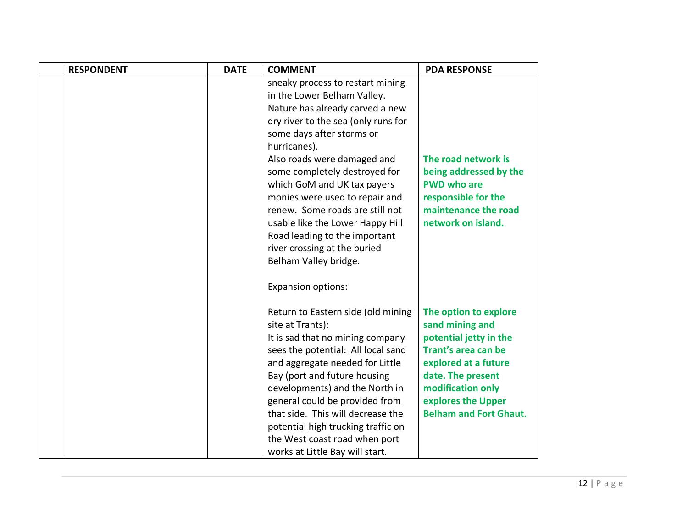| <b>RESPONDENT</b> | <b>DATE</b> | <b>COMMENT</b>                      | <b>PDA RESPONSE</b>           |
|-------------------|-------------|-------------------------------------|-------------------------------|
|                   |             | sneaky process to restart mining    |                               |
|                   |             | in the Lower Belham Valley.         |                               |
|                   |             | Nature has already carved a new     |                               |
|                   |             | dry river to the sea (only runs for |                               |
|                   |             | some days after storms or           |                               |
|                   |             | hurricanes).                        |                               |
|                   |             | Also roads were damaged and         | The road network is           |
|                   |             | some completely destroyed for       | being addressed by the        |
|                   |             | which GoM and UK tax payers         | <b>PWD who are</b>            |
|                   |             | monies were used to repair and      | responsible for the           |
|                   |             | renew. Some roads are still not     | maintenance the road          |
|                   |             | usable like the Lower Happy Hill    | network on island.            |
|                   |             | Road leading to the important       |                               |
|                   |             | river crossing at the buried        |                               |
|                   |             | Belham Valley bridge.               |                               |
|                   |             | <b>Expansion options:</b>           |                               |
|                   |             | Return to Eastern side (old mining  | The option to explore         |
|                   |             | site at Trants):                    | sand mining and               |
|                   |             | It is sad that no mining company    | potential jetty in the        |
|                   |             | sees the potential: All local sand  | Trant's area can be           |
|                   |             | and aggregate needed for Little     | explored at a future          |
|                   |             | Bay (port and future housing        | date. The present             |
|                   |             | developments) and the North in      | modification only             |
|                   |             | general could be provided from      | explores the Upper            |
|                   |             | that side. This will decrease the   | <b>Belham and Fort Ghaut.</b> |
|                   |             | potential high trucking traffic on  |                               |
|                   |             | the West coast road when port       |                               |
|                   |             | works at Little Bay will start.     |                               |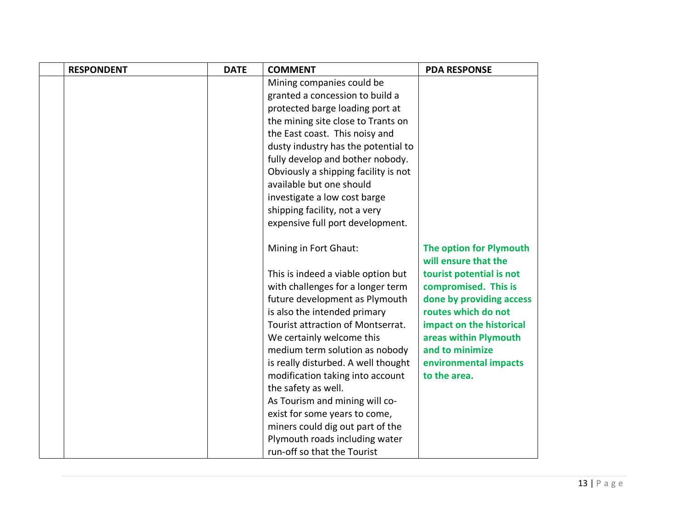| <b>RESPONDENT</b> | <b>DATE</b> | <b>COMMENT</b>                                        | <b>PDA RESPONSE</b>                   |
|-------------------|-------------|-------------------------------------------------------|---------------------------------------|
|                   |             | Mining companies could be                             |                                       |
|                   |             | granted a concession to build a                       |                                       |
|                   |             | protected barge loading port at                       |                                       |
|                   |             | the mining site close to Trants on                    |                                       |
|                   |             | the East coast. This noisy and                        |                                       |
|                   |             | dusty industry has the potential to                   |                                       |
|                   |             | fully develop and bother nobody.                      |                                       |
|                   |             | Obviously a shipping facility is not                  |                                       |
|                   |             | available but one should                              |                                       |
|                   |             | investigate a low cost barge                          |                                       |
|                   |             | shipping facility, not a very                         |                                       |
|                   |             | expensive full port development.                      |                                       |
|                   |             |                                                       |                                       |
|                   |             | Mining in Fort Ghaut:                                 | The option for Plymouth               |
|                   |             |                                                       | will ensure that the                  |
|                   |             | This is indeed a viable option but                    | tourist potential is not              |
|                   |             | with challenges for a longer term                     | compromised. This is                  |
|                   |             | future development as Plymouth                        | done by providing access              |
|                   |             | is also the intended primary                          | routes which do not                   |
|                   |             | Tourist attraction of Montserrat.                     | impact on the historical              |
|                   |             | We certainly welcome this                             | areas within Plymouth                 |
|                   |             | medium term solution as nobody                        | and to minimize                       |
|                   |             | is really disturbed. A well thought                   | environmental impacts<br>to the area. |
|                   |             | modification taking into account                      |                                       |
|                   |             | the safety as well.<br>As Tourism and mining will co- |                                       |
|                   |             | exist for some years to come,                         |                                       |
|                   |             | miners could dig out part of the                      |                                       |
|                   |             | Plymouth roads including water                        |                                       |
|                   |             | run-off so that the Tourist                           |                                       |
|                   |             |                                                       |                                       |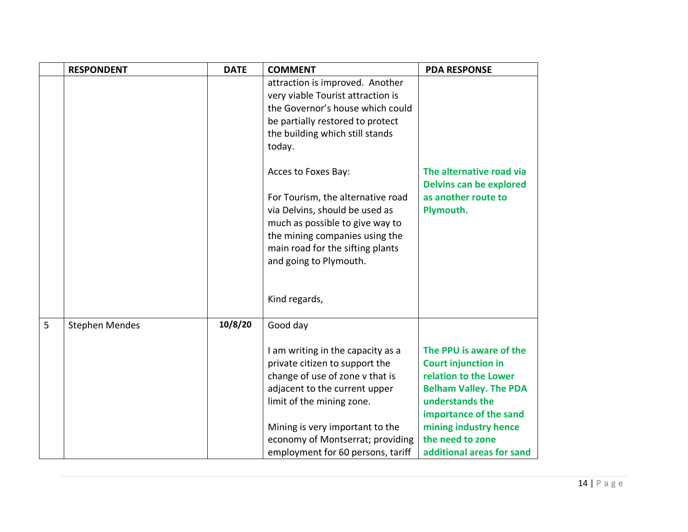|   | <b>RESPONDENT</b>     | <b>DATE</b> | <b>COMMENT</b>                                                                                         | <b>PDA RESPONSE</b>                                        |
|---|-----------------------|-------------|--------------------------------------------------------------------------------------------------------|------------------------------------------------------------|
|   |                       |             | attraction is improved. Another                                                                        |                                                            |
|   |                       |             | very viable Tourist attraction is                                                                      |                                                            |
|   |                       |             | the Governor's house which could                                                                       |                                                            |
|   |                       |             | be partially restored to protect                                                                       |                                                            |
|   |                       |             | the building which still stands                                                                        |                                                            |
|   |                       |             | today.                                                                                                 |                                                            |
|   |                       |             | Acces to Foxes Bay:                                                                                    | The alternative road via<br><b>Delvins can be explored</b> |
|   |                       |             | For Tourism, the alternative road<br>via Delvins, should be used as<br>much as possible to give way to | as another route to<br>Plymouth.                           |
|   |                       |             | the mining companies using the                                                                         |                                                            |
|   |                       |             | main road for the sifting plants                                                                       |                                                            |
|   |                       |             | and going to Plymouth.                                                                                 |                                                            |
|   |                       |             |                                                                                                        |                                                            |
|   |                       |             | Kind regards,                                                                                          |                                                            |
| 5 | <b>Stephen Mendes</b> | 10/8/20     | Good day                                                                                               |                                                            |
|   |                       |             |                                                                                                        |                                                            |
|   |                       |             | I am writing in the capacity as a                                                                      | The PPU is aware of the                                    |
|   |                       |             | private citizen to support the                                                                         | <b>Court injunction in</b><br>relation to the Lower        |
|   |                       |             | change of use of zone v that is<br>adjacent to the current upper                                       | <b>Belham Valley. The PDA</b>                              |
|   |                       |             |                                                                                                        | understands the                                            |
|   |                       |             | limit of the mining zone.                                                                              | importance of the sand                                     |
|   |                       |             | Mining is very important to the                                                                        | mining industry hence                                      |
|   |                       |             | economy of Montserrat; providing                                                                       | the need to zone                                           |
|   |                       |             | employment for 60 persons, tariff                                                                      | additional areas for sand                                  |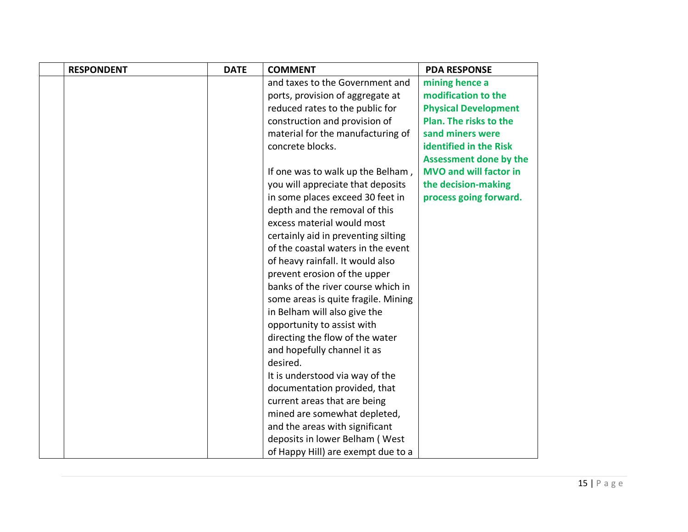| <b>RESPONDENT</b> | <b>DATE</b> | <b>COMMENT</b>                      | <b>PDA RESPONSE</b>           |
|-------------------|-------------|-------------------------------------|-------------------------------|
|                   |             | and taxes to the Government and     | mining hence a                |
|                   |             | ports, provision of aggregate at    | modification to the           |
|                   |             | reduced rates to the public for     | <b>Physical Development</b>   |
|                   |             | construction and provision of       | Plan. The risks to the        |
|                   |             | material for the manufacturing of   | sand miners were              |
|                   |             | concrete blocks.                    | identified in the Risk        |
|                   |             |                                     | <b>Assessment done by the</b> |
|                   |             | If one was to walk up the Belham,   | <b>MVO and will factor in</b> |
|                   |             | you will appreciate that deposits   | the decision-making           |
|                   |             | in some places exceed 30 feet in    | process going forward.        |
|                   |             | depth and the removal of this       |                               |
|                   |             | excess material would most          |                               |
|                   |             | certainly aid in preventing silting |                               |
|                   |             | of the coastal waters in the event  |                               |
|                   |             | of heavy rainfall. It would also    |                               |
|                   |             | prevent erosion of the upper        |                               |
|                   |             | banks of the river course which in  |                               |
|                   |             | some areas is quite fragile. Mining |                               |
|                   |             | in Belham will also give the        |                               |
|                   |             | opportunity to assist with          |                               |
|                   |             | directing the flow of the water     |                               |
|                   |             | and hopefully channel it as         |                               |
|                   |             | desired.                            |                               |
|                   |             | It is understood via way of the     |                               |
|                   |             | documentation provided, that        |                               |
|                   |             | current areas that are being        |                               |
|                   |             | mined are somewhat depleted,        |                               |
|                   |             | and the areas with significant      |                               |
|                   |             | deposits in lower Belham (West      |                               |
|                   |             | of Happy Hill) are exempt due to a  |                               |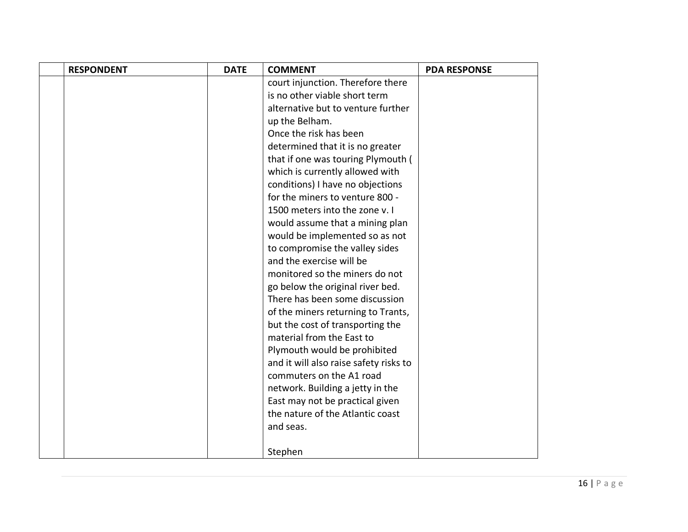| <b>RESPONDENT</b> | <b>DATE</b> | <b>COMMENT</b>                         | <b>PDA RESPONSE</b> |
|-------------------|-------------|----------------------------------------|---------------------|
|                   |             | court injunction. Therefore there      |                     |
|                   |             | is no other viable short term          |                     |
|                   |             | alternative but to venture further     |                     |
|                   |             | up the Belham.                         |                     |
|                   |             | Once the risk has been                 |                     |
|                   |             | determined that it is no greater       |                     |
|                   |             | that if one was touring Plymouth (     |                     |
|                   |             | which is currently allowed with        |                     |
|                   |             | conditions) I have no objections       |                     |
|                   |             | for the miners to venture 800 -        |                     |
|                   |             | 1500 meters into the zone v. I         |                     |
|                   |             | would assume that a mining plan        |                     |
|                   |             | would be implemented so as not         |                     |
|                   |             | to compromise the valley sides         |                     |
|                   |             | and the exercise will be               |                     |
|                   |             | monitored so the miners do not         |                     |
|                   |             | go below the original river bed.       |                     |
|                   |             | There has been some discussion         |                     |
|                   |             | of the miners returning to Trants,     |                     |
|                   |             | but the cost of transporting the       |                     |
|                   |             | material from the East to              |                     |
|                   |             | Plymouth would be prohibited           |                     |
|                   |             | and it will also raise safety risks to |                     |
|                   |             | commuters on the A1 road               |                     |
|                   |             | network. Building a jetty in the       |                     |
|                   |             | East may not be practical given        |                     |
|                   |             | the nature of the Atlantic coast       |                     |
|                   |             | and seas.                              |                     |
|                   |             |                                        |                     |
|                   |             | Stephen                                |                     |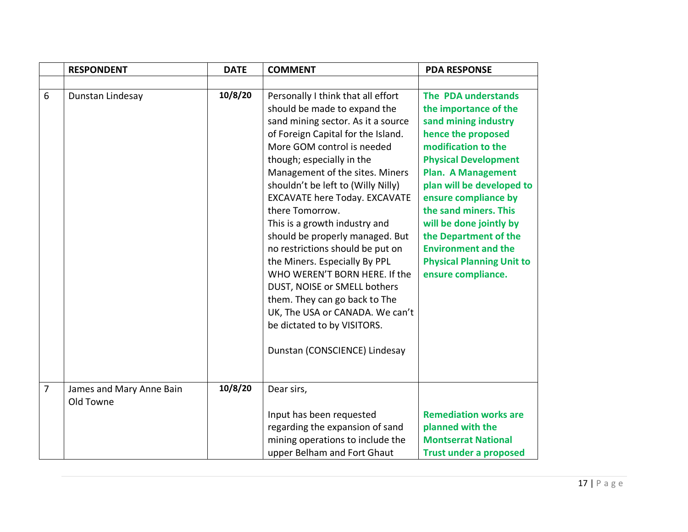|                | <b>RESPONDENT</b>                     | <b>DATE</b> | <b>COMMENT</b>                                                                                                                                                                                                                                                                                                                                                                                                                                                                                                                                                                                                                                                                              | <b>PDA RESPONSE</b>                                                                                                                                                                                                                                                                                                                                                                                     |
|----------------|---------------------------------------|-------------|---------------------------------------------------------------------------------------------------------------------------------------------------------------------------------------------------------------------------------------------------------------------------------------------------------------------------------------------------------------------------------------------------------------------------------------------------------------------------------------------------------------------------------------------------------------------------------------------------------------------------------------------------------------------------------------------|---------------------------------------------------------------------------------------------------------------------------------------------------------------------------------------------------------------------------------------------------------------------------------------------------------------------------------------------------------------------------------------------------------|
|                |                                       |             |                                                                                                                                                                                                                                                                                                                                                                                                                                                                                                                                                                                                                                                                                             |                                                                                                                                                                                                                                                                                                                                                                                                         |
| 6              | Dunstan Lindesay                      | 10/8/20     | Personally I think that all effort<br>should be made to expand the<br>sand mining sector. As it a source<br>of Foreign Capital for the Island.<br>More GOM control is needed<br>though; especially in the<br>Management of the sites. Miners<br>shouldn't be left to (Willy Nilly)<br><b>EXCAVATE here Today. EXCAVATE</b><br>there Tomorrow.<br>This is a growth industry and<br>should be properly managed. But<br>no restrictions should be put on<br>the Miners. Especially By PPL<br>WHO WEREN'T BORN HERE. If the<br>DUST, NOISE or SMELL bothers<br>them. They can go back to The<br>UK, The USA or CANADA. We can't<br>be dictated to by VISITORS.<br>Dunstan (CONSCIENCE) Lindesay | The PDA understands<br>the importance of the<br>sand mining industry<br>hence the proposed<br>modification to the<br><b>Physical Development</b><br><b>Plan. A Management</b><br>plan will be developed to<br>ensure compliance by<br>the sand miners. This<br>will be done jointly by<br>the Department of the<br><b>Environment and the</b><br><b>Physical Planning Unit to</b><br>ensure compliance. |
| $\overline{7}$ | James and Mary Anne Bain<br>Old Towne | 10/8/20     | Dear sirs,                                                                                                                                                                                                                                                                                                                                                                                                                                                                                                                                                                                                                                                                                  |                                                                                                                                                                                                                                                                                                                                                                                                         |
|                |                                       |             | Input has been requested                                                                                                                                                                                                                                                                                                                                                                                                                                                                                                                                                                                                                                                                    | <b>Remediation works are</b>                                                                                                                                                                                                                                                                                                                                                                            |
|                |                                       |             | regarding the expansion of sand                                                                                                                                                                                                                                                                                                                                                                                                                                                                                                                                                                                                                                                             | planned with the                                                                                                                                                                                                                                                                                                                                                                                        |
|                |                                       |             | mining operations to include the                                                                                                                                                                                                                                                                                                                                                                                                                                                                                                                                                                                                                                                            | <b>Montserrat National</b>                                                                                                                                                                                                                                                                                                                                                                              |
|                |                                       |             | upper Belham and Fort Ghaut                                                                                                                                                                                                                                                                                                                                                                                                                                                                                                                                                                                                                                                                 | <b>Trust under a proposed</b>                                                                                                                                                                                                                                                                                                                                                                           |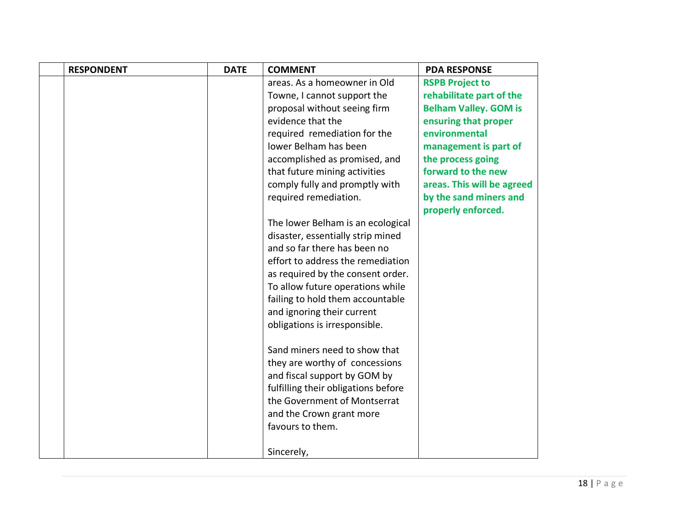| <b>RESPONDENT</b> | <b>DATE</b> | <b>COMMENT</b>                      | <b>PDA RESPONSE</b>                          |
|-------------------|-------------|-------------------------------------|----------------------------------------------|
|                   |             | areas. As a homeowner in Old        | <b>RSPB Project to</b>                       |
|                   |             | Towne, I cannot support the         | rehabilitate part of the                     |
|                   |             | proposal without seeing firm        | <b>Belham Valley. GOM is</b>                 |
|                   |             | evidence that the                   | ensuring that proper                         |
|                   |             | required remediation for the        | environmental                                |
|                   |             | Jower Belham has been               | management is part of                        |
|                   |             | accomplished as promised, and       | the process going                            |
|                   |             | that future mining activities       | forward to the new                           |
|                   |             | comply fully and promptly with      | areas. This will be agreed                   |
|                   |             | required remediation.               | by the sand miners and<br>properly enforced. |
|                   |             | The lower Belham is an ecological   |                                              |
|                   |             | disaster, essentially strip mined   |                                              |
|                   |             | and so far there has been no        |                                              |
|                   |             | effort to address the remediation   |                                              |
|                   |             | as required by the consent order.   |                                              |
|                   |             | To allow future operations while    |                                              |
|                   |             | failing to hold them accountable    |                                              |
|                   |             | and ignoring their current          |                                              |
|                   |             | obligations is irresponsible.       |                                              |
|                   |             | Sand miners need to show that       |                                              |
|                   |             | they are worthy of concessions      |                                              |
|                   |             | and fiscal support by GOM by        |                                              |
|                   |             | fulfilling their obligations before |                                              |
|                   |             | the Government of Montserrat        |                                              |
|                   |             | and the Crown grant more            |                                              |
|                   |             | favours to them.                    |                                              |
|                   |             | Sincerely,                          |                                              |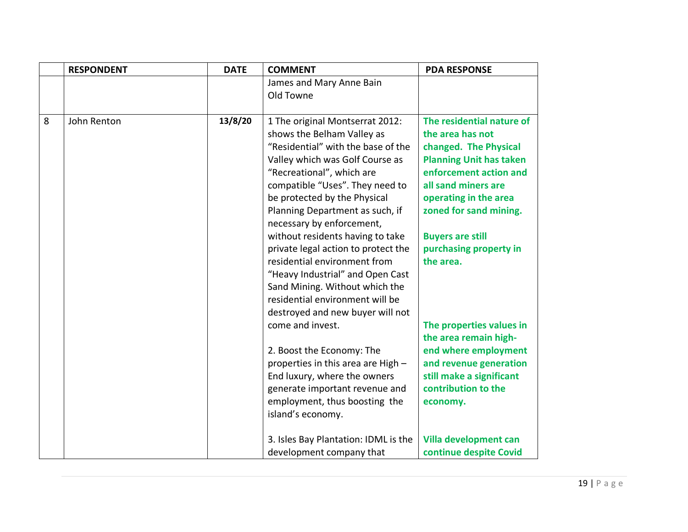|   | <b>RESPONDENT</b> | <b>DATE</b> | <b>COMMENT</b>                       | <b>PDA RESPONSE</b>            |
|---|-------------------|-------------|--------------------------------------|--------------------------------|
|   |                   |             | James and Mary Anne Bain             |                                |
|   |                   |             | Old Towne                            |                                |
|   |                   |             |                                      |                                |
| 8 | John Renton       | 13/8/20     | 1 The original Montserrat 2012:      | The residential nature of      |
|   |                   |             | shows the Belham Valley as           | the area has not               |
|   |                   |             | "Residential" with the base of the   | changed. The Physical          |
|   |                   |             | Valley which was Golf Course as      | <b>Planning Unit has taken</b> |
|   |                   |             | "Recreational", which are            | enforcement action and         |
|   |                   |             | compatible "Uses". They need to      | all sand miners are            |
|   |                   |             | be protected by the Physical         | operating in the area          |
|   |                   |             | Planning Department as such, if      | zoned for sand mining.         |
|   |                   |             | necessary by enforcement,            |                                |
|   |                   |             | without residents having to take     | <b>Buyers are still</b>        |
|   |                   |             | private legal action to protect the  | purchasing property in         |
|   |                   |             | residential environment from         | the area.                      |
|   |                   |             | "Heavy Industrial" and Open Cast     |                                |
|   |                   |             | Sand Mining. Without which the       |                                |
|   |                   |             | residential environment will be      |                                |
|   |                   |             | destroyed and new buyer will not     |                                |
|   |                   |             | come and invest.                     | The properties values in       |
|   |                   |             |                                      | the area remain high-          |
|   |                   |             | 2. Boost the Economy: The            | end where employment           |
|   |                   |             | properties in this area are High -   | and revenue generation         |
|   |                   |             | End luxury, where the owners         | still make a significant       |
|   |                   |             | generate important revenue and       | contribution to the            |
|   |                   |             | employment, thus boosting the        | economy.                       |
|   |                   |             | island's economy.                    |                                |
|   |                   |             |                                      |                                |
|   |                   |             | 3. Isles Bay Plantation: IDML is the | Villa development can          |
|   |                   |             | development company that             | continue despite Covid         |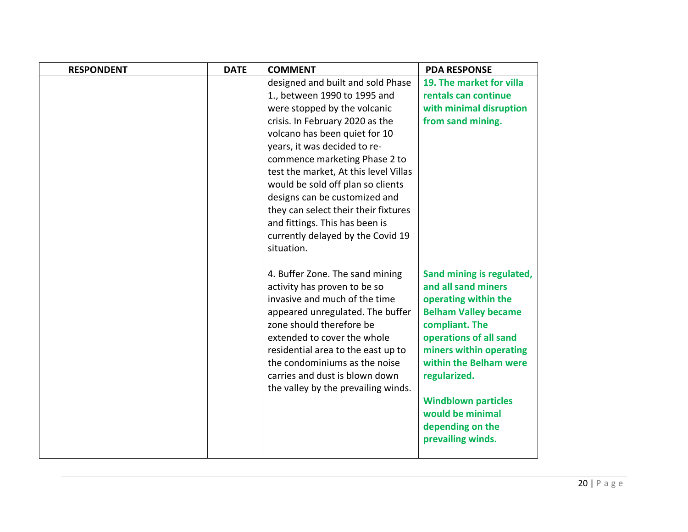| <b>RESPONDENT</b> | <b>DATE</b> | <b>COMMENT</b>                                                                                                                                                                                                                                                                                                                                  | <b>PDA RESPONSE</b>                                                                                                                                                                                                                                    |
|-------------------|-------------|-------------------------------------------------------------------------------------------------------------------------------------------------------------------------------------------------------------------------------------------------------------------------------------------------------------------------------------------------|--------------------------------------------------------------------------------------------------------------------------------------------------------------------------------------------------------------------------------------------------------|
|                   |             | designed and built and sold Phase                                                                                                                                                                                                                                                                                                               | 19. The market for villa                                                                                                                                                                                                                               |
|                   |             | 1., between 1990 to 1995 and                                                                                                                                                                                                                                                                                                                    | rentals can continue                                                                                                                                                                                                                                   |
|                   |             | were stopped by the volcanic                                                                                                                                                                                                                                                                                                                    | with minimal disruption                                                                                                                                                                                                                                |
|                   |             | crisis. In February 2020 as the                                                                                                                                                                                                                                                                                                                 | from sand mining.                                                                                                                                                                                                                                      |
|                   |             | volcano has been quiet for 10                                                                                                                                                                                                                                                                                                                   |                                                                                                                                                                                                                                                        |
|                   |             | years, it was decided to re-                                                                                                                                                                                                                                                                                                                    |                                                                                                                                                                                                                                                        |
|                   |             | commence marketing Phase 2 to                                                                                                                                                                                                                                                                                                                   |                                                                                                                                                                                                                                                        |
|                   |             | test the market, At this level Villas                                                                                                                                                                                                                                                                                                           |                                                                                                                                                                                                                                                        |
|                   |             | would be sold off plan so clients                                                                                                                                                                                                                                                                                                               |                                                                                                                                                                                                                                                        |
|                   |             | designs can be customized and                                                                                                                                                                                                                                                                                                                   |                                                                                                                                                                                                                                                        |
|                   |             | they can select their their fixtures                                                                                                                                                                                                                                                                                                            |                                                                                                                                                                                                                                                        |
|                   |             | and fittings. This has been is                                                                                                                                                                                                                                                                                                                  |                                                                                                                                                                                                                                                        |
|                   |             | currently delayed by the Covid 19                                                                                                                                                                                                                                                                                                               |                                                                                                                                                                                                                                                        |
|                   |             | situation.                                                                                                                                                                                                                                                                                                                                      |                                                                                                                                                                                                                                                        |
|                   |             | 4. Buffer Zone. The sand mining<br>activity has proven to be so<br>invasive and much of the time<br>appeared unregulated. The buffer<br>zone should therefore be<br>extended to cover the whole<br>residential area to the east up to<br>the condominiums as the noise<br>carries and dust is blown down<br>the valley by the prevailing winds. | Sand mining is regulated,<br>and all sand miners<br>operating within the<br><b>Belham Valley became</b><br>compliant. The<br>operations of all sand<br>miners within operating<br>within the Belham were<br>regularized.<br><b>Windblown particles</b> |
|                   |             |                                                                                                                                                                                                                                                                                                                                                 | would be minimal<br>depending on the                                                                                                                                                                                                                   |
|                   |             |                                                                                                                                                                                                                                                                                                                                                 | prevailing winds.                                                                                                                                                                                                                                      |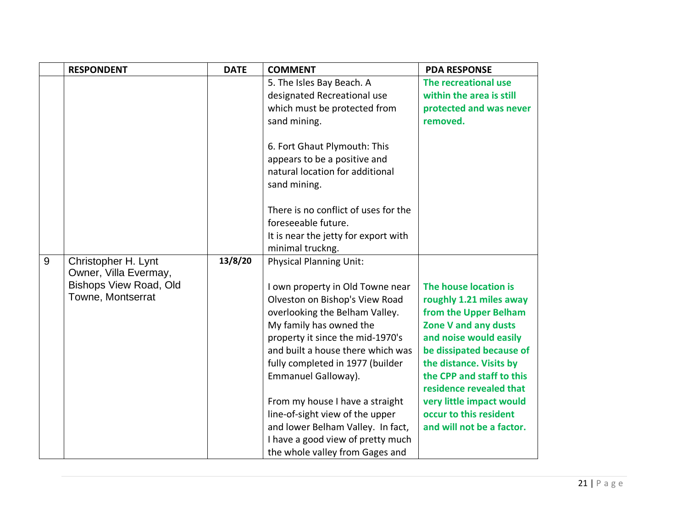|   | <b>RESPONDENT</b>             | <b>DATE</b> | <b>COMMENT</b>                       | <b>PDA RESPONSE</b>                                  |
|---|-------------------------------|-------------|--------------------------------------|------------------------------------------------------|
|   |                               |             | 5. The Isles Bay Beach. A            | The recreational use                                 |
|   |                               |             | designated Recreational use          | within the area is still                             |
|   |                               |             | which must be protected from         | protected and was never                              |
|   |                               |             | sand mining.                         | removed.                                             |
|   |                               |             | 6. Fort Ghaut Plymouth: This         |                                                      |
|   |                               |             | appears to be a positive and         |                                                      |
|   |                               |             | natural location for additional      |                                                      |
|   |                               |             | sand mining.                         |                                                      |
|   |                               |             | There is no conflict of uses for the |                                                      |
|   |                               |             | foreseeable future.                  |                                                      |
|   |                               |             | It is near the jetty for export with |                                                      |
|   |                               |             | minimal truckng.                     |                                                      |
| 9 | Christopher H. Lynt           | 13/8/20     | <b>Physical Planning Unit:</b>       |                                                      |
|   | Owner, Villa Evermay,         |             |                                      |                                                      |
|   | <b>Bishops View Road, Old</b> |             | I own property in Old Towne near     | The house location is                                |
|   | Towne, Montserrat             |             | Olveston on Bishop's View Road       | roughly 1.21 miles away                              |
|   |                               |             | overlooking the Belham Valley.       | from the Upper Belham                                |
|   |                               |             | My family has owned the              | Zone V and any dusts                                 |
|   |                               |             | property it since the mid-1970's     | and noise would easily                               |
|   |                               |             | and built a house there which was    | be dissipated because of                             |
|   |                               |             | fully completed in 1977 (builder     | the distance. Visits by                              |
|   |                               |             | Emmanuel Galloway).                  | the CPP and staff to this<br>residence revealed that |
|   |                               |             | From my house I have a straight      | very little impact would                             |
|   |                               |             | line-of-sight view of the upper      | occur to this resident                               |
|   |                               |             | and lower Belham Valley. In fact,    | and will not be a factor.                            |
|   |                               |             | I have a good view of pretty much    |                                                      |
|   |                               |             | the whole valley from Gages and      |                                                      |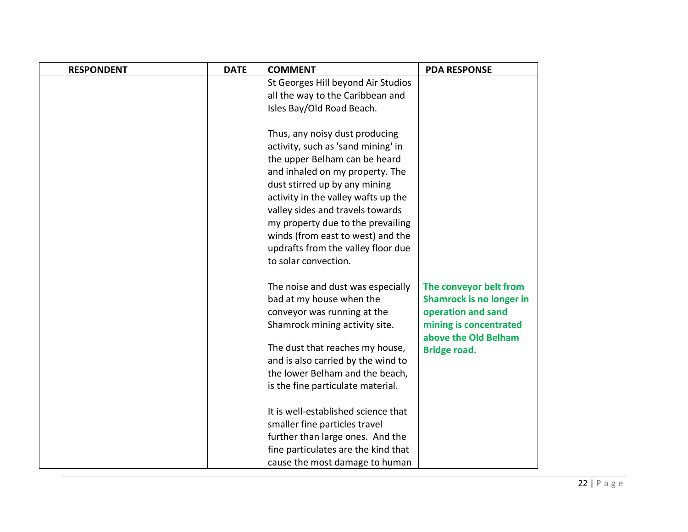| <b>RESPONDENT</b> | <b>DATE</b> | <b>COMMENT</b>                                                                                                                                                                                                                                                                                                                                                                               | <b>PDA RESPONSE</b>                                                                                                                                      |
|-------------------|-------------|----------------------------------------------------------------------------------------------------------------------------------------------------------------------------------------------------------------------------------------------------------------------------------------------------------------------------------------------------------------------------------------------|----------------------------------------------------------------------------------------------------------------------------------------------------------|
|                   |             | St Georges Hill beyond Air Studios<br>all the way to the Caribbean and                                                                                                                                                                                                                                                                                                                       |                                                                                                                                                          |
|                   |             | Isles Bay/Old Road Beach.                                                                                                                                                                                                                                                                                                                                                                    |                                                                                                                                                          |
|                   |             | Thus, any noisy dust producing<br>activity, such as 'sand mining' in<br>the upper Belham can be heard<br>and inhaled on my property. The<br>dust stirred up by any mining<br>activity in the valley wafts up the<br>valley sides and travels towards<br>my property due to the prevailing<br>winds (from east to west) and the<br>updrafts from the valley floor due<br>to solar convection. |                                                                                                                                                          |
|                   |             | The noise and dust was especially<br>bad at my house when the<br>conveyor was running at the<br>Shamrock mining activity site.<br>The dust that reaches my house,<br>and is also carried by the wind to<br>the lower Belham and the beach,<br>is the fine particulate material.                                                                                                              | The conveyor belt from<br><b>Shamrock is no longer in</b><br>operation and sand<br>mining is concentrated<br>above the Old Belham<br><b>Bridge road.</b> |
|                   |             | It is well-established science that<br>smaller fine particles travel<br>further than large ones. And the<br>fine particulates are the kind that<br>cause the most damage to human                                                                                                                                                                                                            |                                                                                                                                                          |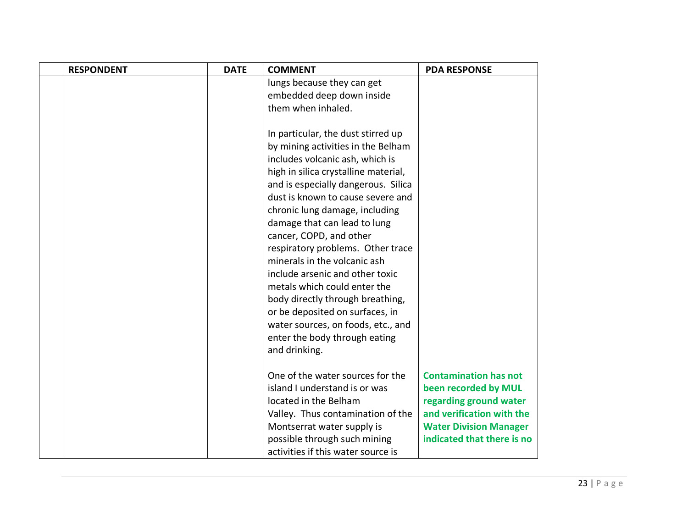| <b>RESPONDENT</b> | <b>DATE</b> | <b>COMMENT</b>                       | <b>PDA RESPONSE</b>           |
|-------------------|-------------|--------------------------------------|-------------------------------|
|                   |             | lungs because they can get           |                               |
|                   |             | embedded deep down inside            |                               |
|                   |             | them when inhaled.                   |                               |
|                   |             |                                      |                               |
|                   |             | In particular, the dust stirred up   |                               |
|                   |             | by mining activities in the Belham   |                               |
|                   |             | includes volcanic ash, which is      |                               |
|                   |             | high in silica crystalline material, |                               |
|                   |             | and is especially dangerous. Silica  |                               |
|                   |             | dust is known to cause severe and    |                               |
|                   |             | chronic lung damage, including       |                               |
|                   |             | damage that can lead to lung         |                               |
|                   |             | cancer, COPD, and other              |                               |
|                   |             | respiratory problems. Other trace    |                               |
|                   |             | minerals in the volcanic ash         |                               |
|                   |             | include arsenic and other toxic      |                               |
|                   |             | metals which could enter the         |                               |
|                   |             | body directly through breathing,     |                               |
|                   |             | or be deposited on surfaces, in      |                               |
|                   |             | water sources, on foods, etc., and   |                               |
|                   |             | enter the body through eating        |                               |
|                   |             | and drinking.                        |                               |
|                   |             |                                      |                               |
|                   |             | One of the water sources for the     | <b>Contamination has not</b>  |
|                   |             | island I understand is or was        | been recorded by MUL          |
|                   |             | located in the Belham                | regarding ground water        |
|                   |             | Valley. Thus contamination of the    | and verification with the     |
|                   |             | Montserrat water supply is           | <b>Water Division Manager</b> |
|                   |             | possible through such mining         | indicated that there is no    |
|                   |             | activities if this water source is   |                               |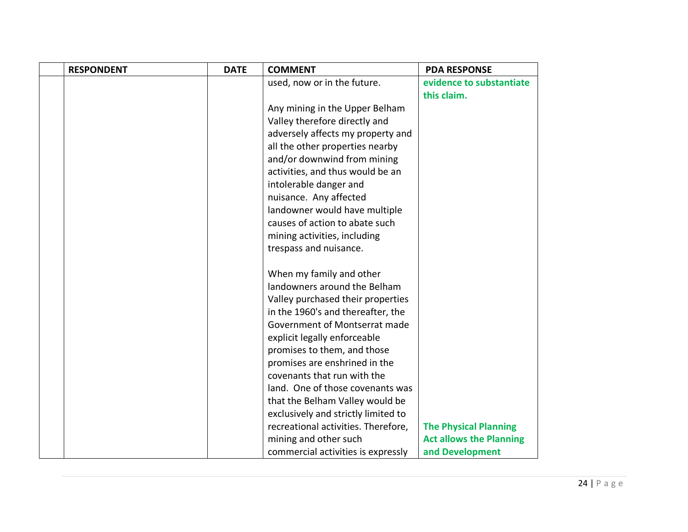| <b>RESPONDENT</b> | <b>DATE</b> | <b>COMMENT</b>                      | <b>PDA RESPONSE</b>            |
|-------------------|-------------|-------------------------------------|--------------------------------|
|                   |             | used, now or in the future.         | evidence to substantiate       |
|                   |             |                                     | this claim.                    |
|                   |             | Any mining in the Upper Belham      |                                |
|                   |             | Valley therefore directly and       |                                |
|                   |             | adversely affects my property and   |                                |
|                   |             | all the other properties nearby     |                                |
|                   |             | and/or downwind from mining         |                                |
|                   |             | activities, and thus would be an    |                                |
|                   |             | intolerable danger and              |                                |
|                   |             | nuisance. Any affected              |                                |
|                   |             | landowner would have multiple       |                                |
|                   |             | causes of action to abate such      |                                |
|                   |             | mining activities, including        |                                |
|                   |             | trespass and nuisance.              |                                |
|                   |             |                                     |                                |
|                   |             | When my family and other            |                                |
|                   |             | landowners around the Belham        |                                |
|                   |             | Valley purchased their properties   |                                |
|                   |             | in the 1960's and thereafter, the   |                                |
|                   |             | Government of Montserrat made       |                                |
|                   |             | explicit legally enforceable        |                                |
|                   |             | promises to them, and those         |                                |
|                   |             | promises are enshrined in the       |                                |
|                   |             | covenants that run with the         |                                |
|                   |             | land. One of those covenants was    |                                |
|                   |             | that the Belham Valley would be     |                                |
|                   |             | exclusively and strictly limited to |                                |
|                   |             | recreational activities. Therefore, | <b>The Physical Planning</b>   |
|                   |             | mining and other such               | <b>Act allows the Planning</b> |
|                   |             | commercial activities is expressly  | and Development                |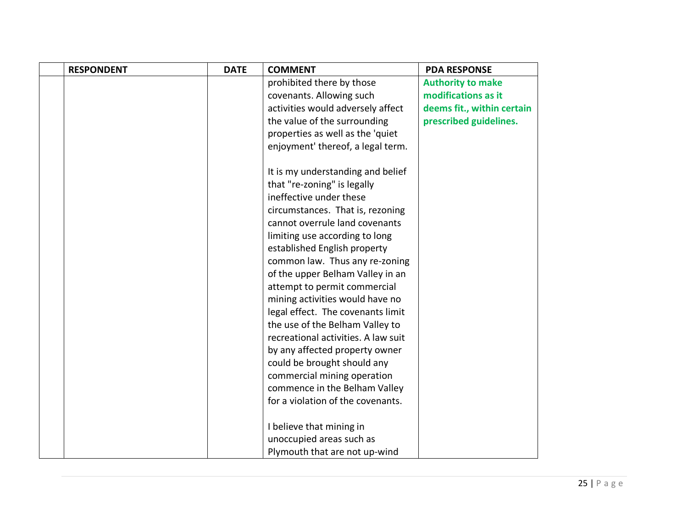| <b>RESPONDENT</b> | <b>DATE</b> | <b>COMMENT</b>                      | <b>PDA RESPONSE</b>        |
|-------------------|-------------|-------------------------------------|----------------------------|
|                   |             | prohibited there by those           | <b>Authority to make</b>   |
|                   |             | covenants. Allowing such            | modifications as it        |
|                   |             | activities would adversely affect   | deems fit., within certain |
|                   |             | the value of the surrounding        | prescribed guidelines.     |
|                   |             | properties as well as the 'quiet    |                            |
|                   |             | enjoyment' thereof, a legal term.   |                            |
|                   |             | It is my understanding and belief   |                            |
|                   |             | that "re-zoning" is legally         |                            |
|                   |             | ineffective under these             |                            |
|                   |             | circumstances. That is, rezoning    |                            |
|                   |             | cannot overrule land covenants      |                            |
|                   |             | limiting use according to long      |                            |
|                   |             | established English property        |                            |
|                   |             | common law. Thus any re-zoning      |                            |
|                   |             | of the upper Belham Valley in an    |                            |
|                   |             | attempt to permit commercial        |                            |
|                   |             | mining activities would have no     |                            |
|                   |             | legal effect. The covenants limit   |                            |
|                   |             | the use of the Belham Valley to     |                            |
|                   |             | recreational activities. A law suit |                            |
|                   |             | by any affected property owner      |                            |
|                   |             | could be brought should any         |                            |
|                   |             | commercial mining operation         |                            |
|                   |             | commence in the Belham Valley       |                            |
|                   |             | for a violation of the covenants.   |                            |
|                   |             | I believe that mining in            |                            |
|                   |             | unoccupied areas such as            |                            |
|                   |             | Plymouth that are not up-wind       |                            |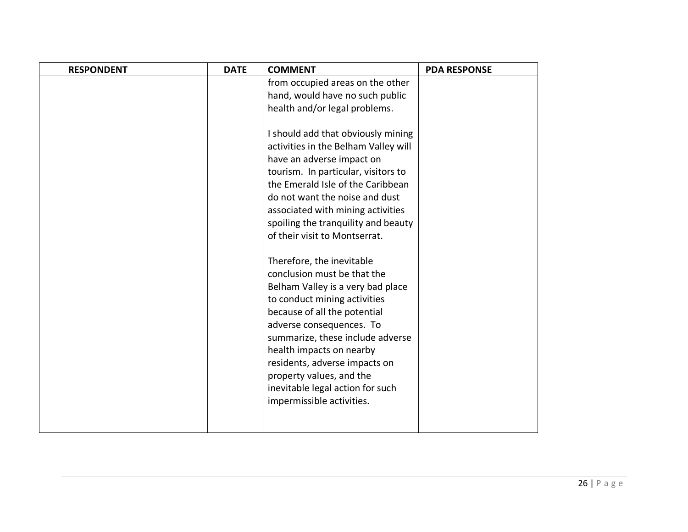| <b>RESPONDENT</b> | <b>DATE</b> | <b>COMMENT</b>                       | <b>PDA RESPONSE</b> |
|-------------------|-------------|--------------------------------------|---------------------|
|                   |             | from occupied areas on the other     |                     |
|                   |             | hand, would have no such public      |                     |
|                   |             | health and/or legal problems.        |                     |
|                   |             |                                      |                     |
|                   |             | I should add that obviously mining   |                     |
|                   |             | activities in the Belham Valley will |                     |
|                   |             | have an adverse impact on            |                     |
|                   |             | tourism. In particular, visitors to  |                     |
|                   |             | the Emerald Isle of the Caribbean    |                     |
|                   |             | do not want the noise and dust       |                     |
|                   |             | associated with mining activities    |                     |
|                   |             | spoiling the tranquility and beauty  |                     |
|                   |             | of their visit to Montserrat.        |                     |
|                   |             | Therefore, the inevitable            |                     |
|                   |             | conclusion must be that the          |                     |
|                   |             | Belham Valley is a very bad place    |                     |
|                   |             | to conduct mining activities         |                     |
|                   |             | because of all the potential         |                     |
|                   |             | adverse consequences. To             |                     |
|                   |             | summarize, these include adverse     |                     |
|                   |             | health impacts on nearby             |                     |
|                   |             | residents, adverse impacts on        |                     |
|                   |             | property values, and the             |                     |
|                   |             | inevitable legal action for such     |                     |
|                   |             | impermissible activities.            |                     |
|                   |             |                                      |                     |
|                   |             |                                      |                     |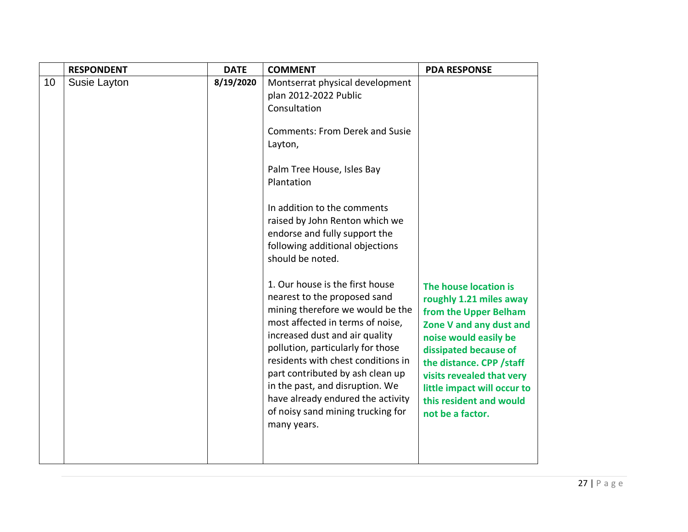|    | <b>RESPONDENT</b> | <b>DATE</b> | <b>COMMENT</b>                                                                                                                                                                                                                                                                                                                                                                                                                                                                                                                                                                                                                                                                                                                                            | <b>PDA RESPONSE</b>                                                                                                                                                                                                                                                                           |
|----|-------------------|-------------|-----------------------------------------------------------------------------------------------------------------------------------------------------------------------------------------------------------------------------------------------------------------------------------------------------------------------------------------------------------------------------------------------------------------------------------------------------------------------------------------------------------------------------------------------------------------------------------------------------------------------------------------------------------------------------------------------------------------------------------------------------------|-----------------------------------------------------------------------------------------------------------------------------------------------------------------------------------------------------------------------------------------------------------------------------------------------|
| 10 | Susie Layton      | 8/19/2020   | Montserrat physical development<br>plan 2012-2022 Public<br>Consultation<br><b>Comments: From Derek and Susie</b><br>Layton,<br>Palm Tree House, Isles Bay<br>Plantation<br>In addition to the comments<br>raised by John Renton which we<br>endorse and fully support the<br>following additional objections<br>should be noted.<br>1. Our house is the first house<br>nearest to the proposed sand<br>mining therefore we would be the<br>most affected in terms of noise,<br>increased dust and air quality<br>pollution, particularly for those<br>residents with chest conditions in<br>part contributed by ash clean up<br>in the past, and disruption. We<br>have already endured the activity<br>of noisy sand mining trucking for<br>many years. | The house location is<br>roughly 1.21 miles away<br>from the Upper Belham<br>Zone V and any dust and<br>noise would easily be<br>dissipated because of<br>the distance. CPP /staff<br>visits revealed that very<br>little impact will occur to<br>this resident and would<br>not be a factor. |
|    |                   |             |                                                                                                                                                                                                                                                                                                                                                                                                                                                                                                                                                                                                                                                                                                                                                           |                                                                                                                                                                                                                                                                                               |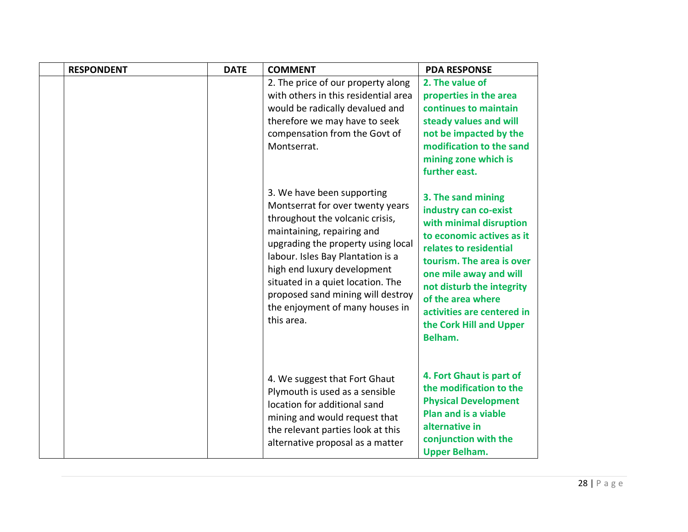| <b>RESPONDENT</b> | <b>DATE</b> | <b>COMMENT</b>                                                                                                                                                                                                                                                                                                                                                       | <b>PDA RESPONSE</b>                                                                                                                                                                                                                                                                                        |
|-------------------|-------------|----------------------------------------------------------------------------------------------------------------------------------------------------------------------------------------------------------------------------------------------------------------------------------------------------------------------------------------------------------------------|------------------------------------------------------------------------------------------------------------------------------------------------------------------------------------------------------------------------------------------------------------------------------------------------------------|
|                   |             | 2. The price of our property along<br>with others in this residential area<br>would be radically devalued and<br>therefore we may have to seek<br>compensation from the Govt of<br>Montserrat.                                                                                                                                                                       | 2. The value of<br>properties in the area<br>continues to maintain<br>steady values and will<br>not be impacted by the<br>modification to the sand<br>mining zone which is<br>further east.                                                                                                                |
|                   |             | 3. We have been supporting<br>Montserrat for over twenty years<br>throughout the volcanic crisis,<br>maintaining, repairing and<br>upgrading the property using local<br>labour. Isles Bay Plantation is a<br>high end luxury development<br>situated in a quiet location. The<br>proposed sand mining will destroy<br>the enjoyment of many houses in<br>this area. | 3. The sand mining<br>industry can co-exist<br>with minimal disruption<br>to economic actives as it<br>relates to residential<br>tourism. The area is over<br>one mile away and will<br>not disturb the integrity<br>of the area where<br>activities are centered in<br>the Cork Hill and Upper<br>Belham. |
|                   |             | 4. We suggest that Fort Ghaut<br>Plymouth is used as a sensible<br>location for additional sand<br>mining and would request that<br>the relevant parties look at this<br>alternative proposal as a matter                                                                                                                                                            | 4. Fort Ghaut is part of<br>the modification to the<br><b>Physical Development</b><br><b>Plan and is a viable</b><br>alternative in<br>conjunction with the<br><b>Upper Belham.</b>                                                                                                                        |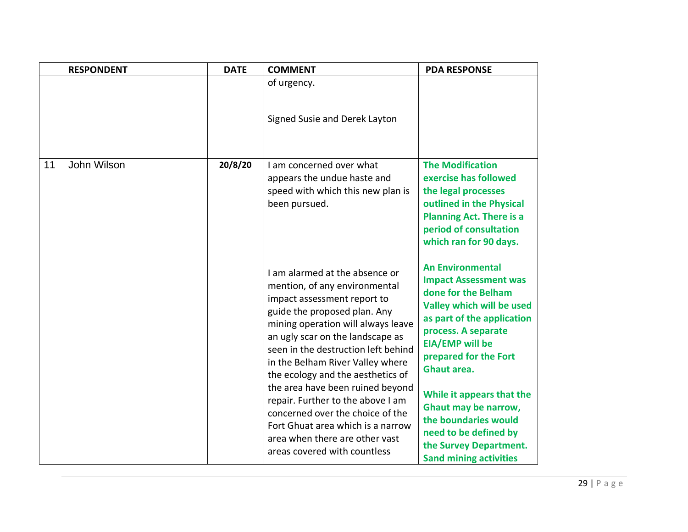|    | <b>RESPONDENT</b> | <b>DATE</b> | <b>COMMENT</b>                                                                                                                                                                                                                                                                                                                                                                                                                                                                                                                               | <b>PDA RESPONSE</b>                                                                                                                                                                                                                                                                                                                                                                                        |
|----|-------------------|-------------|----------------------------------------------------------------------------------------------------------------------------------------------------------------------------------------------------------------------------------------------------------------------------------------------------------------------------------------------------------------------------------------------------------------------------------------------------------------------------------------------------------------------------------------------|------------------------------------------------------------------------------------------------------------------------------------------------------------------------------------------------------------------------------------------------------------------------------------------------------------------------------------------------------------------------------------------------------------|
|    |                   |             | of urgency.<br>Signed Susie and Derek Layton                                                                                                                                                                                                                                                                                                                                                                                                                                                                                                 |                                                                                                                                                                                                                                                                                                                                                                                                            |
| 11 | John Wilson       | 20/8/20     | I am concerned over what<br>appears the undue haste and<br>speed with which this new plan is<br>been pursued.                                                                                                                                                                                                                                                                                                                                                                                                                                | <b>The Modification</b><br>exercise has followed<br>the legal processes<br>outlined in the Physical<br><b>Planning Act. There is a</b><br>period of consultation<br>which ran for 90 days.                                                                                                                                                                                                                 |
|    |                   |             | I am alarmed at the absence or<br>mention, of any environmental<br>impact assessment report to<br>guide the proposed plan. Any<br>mining operation will always leave<br>an ugly scar on the landscape as<br>seen in the destruction left behind<br>in the Belham River Valley where<br>the ecology and the aesthetics of<br>the area have been ruined beyond<br>repair. Further to the above I am<br>concerned over the choice of the<br>Fort Ghuat area which is a narrow<br>area when there are other vast<br>areas covered with countless | <b>An Environmental</b><br><b>Impact Assessment was</b><br>done for the Belham<br>Valley which will be used<br>as part of the application<br>process. A separate<br><b>EIA/EMP</b> will be<br>prepared for the Fort<br>Ghaut area.<br>While it appears that the<br><b>Ghaut may be narrow,</b><br>the boundaries would<br>need to be defined by<br>the Survey Department.<br><b>Sand mining activities</b> |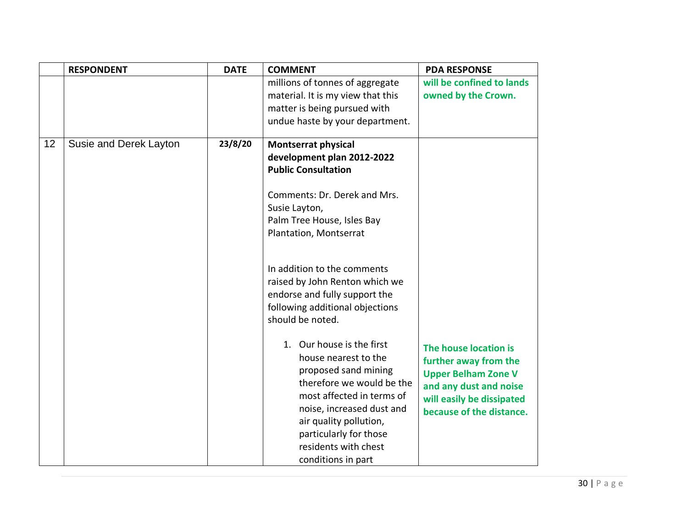|    | <b>RESPONDENT</b>      | <b>DATE</b> | <b>COMMENT</b>                                                                                                                                                                                                                                                                                                                                                                                                                                                                                                                                                                                                                 | <b>PDA RESPONSE</b>                                                                                                                                             |
|----|------------------------|-------------|--------------------------------------------------------------------------------------------------------------------------------------------------------------------------------------------------------------------------------------------------------------------------------------------------------------------------------------------------------------------------------------------------------------------------------------------------------------------------------------------------------------------------------------------------------------------------------------------------------------------------------|-----------------------------------------------------------------------------------------------------------------------------------------------------------------|
|    |                        |             | millions of tonnes of aggregate<br>material. It is my view that this<br>matter is being pursued with<br>undue haste by your department.                                                                                                                                                                                                                                                                                                                                                                                                                                                                                        | will be confined to lands<br>owned by the Crown.                                                                                                                |
| 12 | Susie and Derek Layton | 23/8/20     | <b>Montserrat physical</b><br>development plan 2012-2022<br><b>Public Consultation</b><br>Comments: Dr. Derek and Mrs.<br>Susie Layton,<br>Palm Tree House, Isles Bay<br>Plantation, Montserrat<br>In addition to the comments<br>raised by John Renton which we<br>endorse and fully support the<br>following additional objections<br>should be noted.<br>1. Our house is the first<br>house nearest to the<br>proposed sand mining<br>therefore we would be the<br>most affected in terms of<br>noise, increased dust and<br>air quality pollution,<br>particularly for those<br>residents with chest<br>conditions in part | The house location is<br>further away from the<br><b>Upper Belham Zone V</b><br>and any dust and noise<br>will easily be dissipated<br>because of the distance. |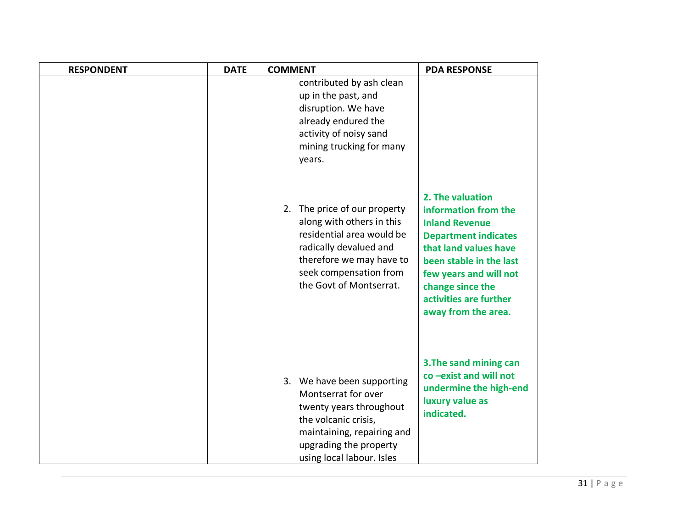| <b>RESPONDENT</b> | <b>DATE</b> | <b>COMMENT</b>                                                                                                                                                                                    | <b>PDA RESPONSE</b>                                                                                                                                                                                                                                 |
|-------------------|-------------|---------------------------------------------------------------------------------------------------------------------------------------------------------------------------------------------------|-----------------------------------------------------------------------------------------------------------------------------------------------------------------------------------------------------------------------------------------------------|
|                   |             | contributed by ash clean<br>up in the past, and<br>disruption. We have<br>already endured the<br>activity of noisy sand<br>mining trucking for many<br>years.                                     |                                                                                                                                                                                                                                                     |
|                   |             | 2. The price of our property<br>along with others in this<br>residential area would be<br>radically devalued and<br>therefore we may have to<br>seek compensation from<br>the Govt of Montserrat. | 2. The valuation<br>information from the<br><b>Inland Revenue</b><br><b>Department indicates</b><br>that land values have<br>been stable in the last<br>few years and will not<br>change since the<br>activities are further<br>away from the area. |
|                   |             | 3. We have been supporting<br>Montserrat for over<br>twenty years throughout<br>the volcanic crisis,<br>maintaining, repairing and<br>upgrading the property<br>using local labour. Isles         | 3. The sand mining can<br>co-exist and will not<br>undermine the high-end<br>luxury value as<br>indicated.                                                                                                                                          |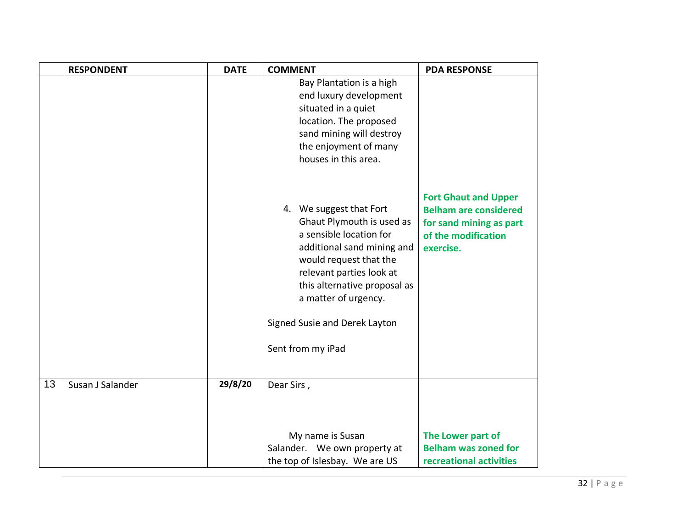|    | <b>RESPONDENT</b> | <b>DATE</b> | <b>COMMENT</b>                                                                                                                                                                                                                                                                    | <b>PDA RESPONSE</b>                                                                                                        |
|----|-------------------|-------------|-----------------------------------------------------------------------------------------------------------------------------------------------------------------------------------------------------------------------------------------------------------------------------------|----------------------------------------------------------------------------------------------------------------------------|
|    |                   |             | Bay Plantation is a high<br>end luxury development<br>situated in a quiet<br>location. The proposed<br>sand mining will destroy<br>the enjoyment of many<br>houses in this area.                                                                                                  |                                                                                                                            |
|    |                   |             | 4. We suggest that Fort<br>Ghaut Plymouth is used as<br>a sensible location for<br>additional sand mining and<br>would request that the<br>relevant parties look at<br>this alternative proposal as<br>a matter of urgency.<br>Signed Susie and Derek Layton<br>Sent from my iPad | <b>Fort Ghaut and Upper</b><br><b>Belham are considered</b><br>for sand mining as part<br>of the modification<br>exercise. |
| 13 | Susan J Salander  | 29/8/20     | Dear Sirs,                                                                                                                                                                                                                                                                        |                                                                                                                            |
|    |                   |             | My name is Susan<br>Salander. We own property at                                                                                                                                                                                                                                  | The Lower part of<br><b>Belham was zoned for</b>                                                                           |
|    |                   |             | the top of Islesbay. We are US                                                                                                                                                                                                                                                    | recreational activities                                                                                                    |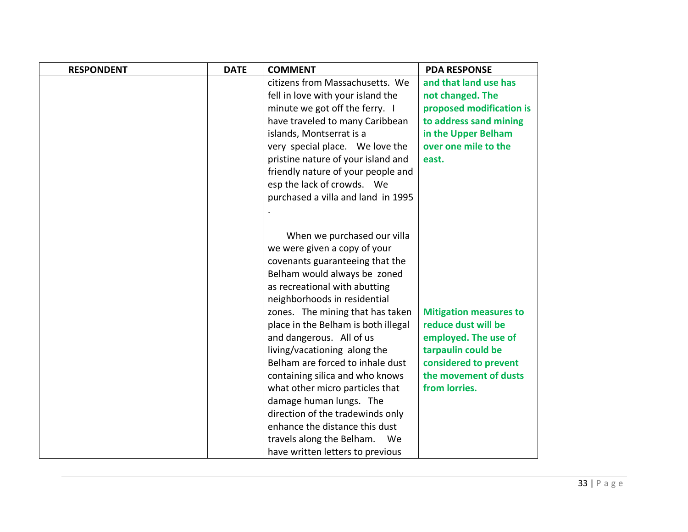| <b>RESPONDENT</b> | <b>DATE</b> | <b>COMMENT</b>                                                     | <b>PDA RESPONSE</b>                            |
|-------------------|-------------|--------------------------------------------------------------------|------------------------------------------------|
|                   |             | citizens from Massachusetts. We                                    | and that land use has                          |
|                   |             | fell in love with your island the                                  | not changed. The                               |
|                   |             | minute we got off the ferry. I                                     | proposed modification is                       |
|                   |             | have traveled to many Caribbean                                    | to address sand mining                         |
|                   |             | islands, Montserrat is a                                           | in the Upper Belham                            |
|                   |             | very special place. We love the                                    | over one mile to the                           |
|                   |             | pristine nature of your island and                                 | east.                                          |
|                   |             | friendly nature of your people and                                 |                                                |
|                   |             | esp the lack of crowds. We                                         |                                                |
|                   |             | purchased a villa and land in 1995                                 |                                                |
|                   |             |                                                                    |                                                |
|                   |             |                                                                    |                                                |
|                   |             | When we purchased our villa                                        |                                                |
|                   |             | we were given a copy of your                                       |                                                |
|                   |             | covenants guaranteeing that the                                    |                                                |
|                   |             | Belham would always be zoned                                       |                                                |
|                   |             | as recreational with abutting                                      |                                                |
|                   |             | neighborhoods in residential                                       |                                                |
|                   |             | zones. The mining that has taken                                   | <b>Mitigation measures to</b>                  |
|                   |             | place in the Belham is both illegal                                | reduce dust will be                            |
|                   |             | and dangerous. All of us                                           | employed. The use of                           |
|                   |             | living/vacationing along the                                       | tarpaulin could be                             |
|                   |             | Belham are forced to inhale dust                                   | considered to prevent<br>the movement of dusts |
|                   |             | containing silica and who knows                                    |                                                |
|                   |             | what other micro particles that                                    | from lorries.                                  |
|                   |             | damage human lungs. The                                            |                                                |
|                   |             | direction of the tradewinds only<br>enhance the distance this dust |                                                |
|                   |             |                                                                    |                                                |
|                   |             | travels along the Belham.<br>We                                    |                                                |
|                   |             | have written letters to previous                                   |                                                |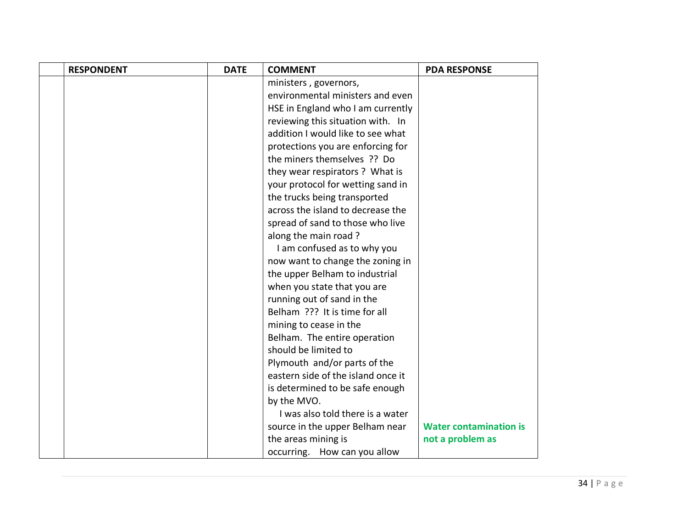| <b>RESPONDENT</b> | <b>DATE</b> | <b>COMMENT</b>                     | <b>PDA RESPONSE</b>           |
|-------------------|-------------|------------------------------------|-------------------------------|
|                   |             | ministers, governors,              |                               |
|                   |             | environmental ministers and even   |                               |
|                   |             | HSE in England who I am currently  |                               |
|                   |             | reviewing this situation with. In  |                               |
|                   |             | addition I would like to see what  |                               |
|                   |             | protections you are enforcing for  |                               |
|                   |             | the miners themselves ?? Do        |                               |
|                   |             | they wear respirators? What is     |                               |
|                   |             | your protocol for wetting sand in  |                               |
|                   |             | the trucks being transported       |                               |
|                   |             | across the island to decrease the  |                               |
|                   |             | spread of sand to those who live   |                               |
|                   |             | along the main road?               |                               |
|                   |             | I am confused as to why you        |                               |
|                   |             | now want to change the zoning in   |                               |
|                   |             | the upper Belham to industrial     |                               |
|                   |             | when you state that you are        |                               |
|                   |             | running out of sand in the         |                               |
|                   |             | Belham ??? It is time for all      |                               |
|                   |             | mining to cease in the             |                               |
|                   |             | Belham. The entire operation       |                               |
|                   |             | should be limited to               |                               |
|                   |             | Plymouth and/or parts of the       |                               |
|                   |             | eastern side of the island once it |                               |
|                   |             | is determined to be safe enough    |                               |
|                   |             | by the MVO.                        |                               |
|                   |             | I was also told there is a water   |                               |
|                   |             | source in the upper Belham near    | <b>Water contamination is</b> |
|                   |             | the areas mining is                | not a problem as              |
|                   |             | occurring. How can you allow       |                               |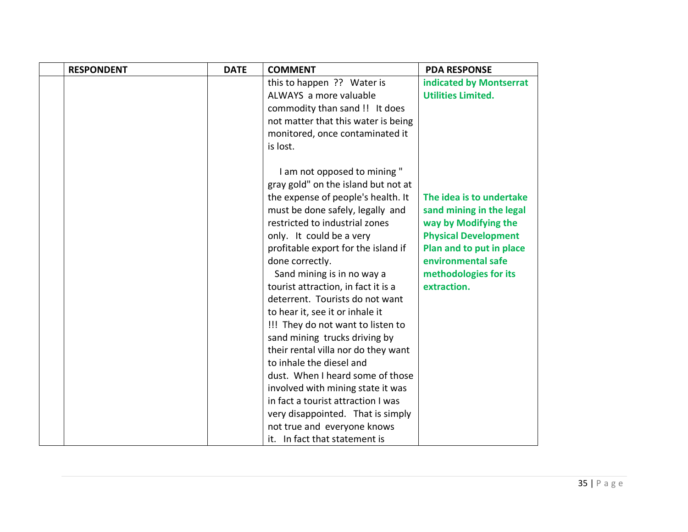| <b>RESPONDENT</b> | <b>DATE</b> | <b>COMMENT</b>                      | <b>PDA RESPONSE</b>         |
|-------------------|-------------|-------------------------------------|-----------------------------|
|                   |             | this to happen ?? Water is          | indicated by Montserrat     |
|                   |             | ALWAYS a more valuable              | <b>Utilities Limited.</b>   |
|                   |             | commodity than sand !! It does      |                             |
|                   |             | not matter that this water is being |                             |
|                   |             | monitored, once contaminated it     |                             |
|                   |             | is lost.                            |                             |
|                   |             |                                     |                             |
|                   |             | I am not opposed to mining "        |                             |
|                   |             | gray gold" on the island but not at |                             |
|                   |             | the expense of people's health. It  | The idea is to undertake    |
|                   |             | must be done safely, legally and    | sand mining in the legal    |
|                   |             | restricted to industrial zones      | way by Modifying the        |
|                   |             | only. It could be a very            | <b>Physical Development</b> |
|                   |             | profitable export for the island if | Plan and to put in place    |
|                   |             | done correctly.                     | environmental safe          |
|                   |             | Sand mining is in no way a          | methodologies for its       |
|                   |             | tourist attraction, in fact it is a | extraction.                 |
|                   |             | deterrent. Tourists do not want     |                             |
|                   |             | to hear it, see it or inhale it     |                             |
|                   |             | !!! They do not want to listen to   |                             |
|                   |             | sand mining trucks driving by       |                             |
|                   |             | their rental villa nor do they want |                             |
|                   |             | to inhale the diesel and            |                             |
|                   |             | dust. When I heard some of those    |                             |
|                   |             | involved with mining state it was   |                             |
|                   |             | in fact a tourist attraction I was  |                             |
|                   |             | very disappointed. That is simply   |                             |
|                   |             | not true and everyone knows         |                             |
|                   |             | it. In fact that statement is       |                             |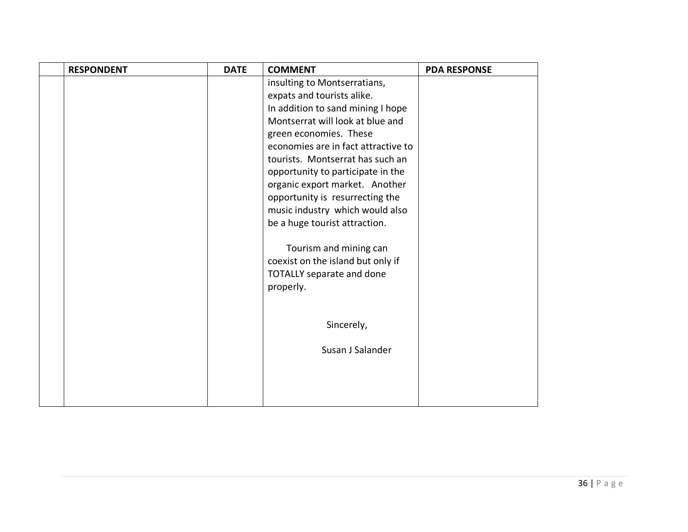| <b>RESPONDENT</b> | <b>DATE</b> | <b>COMMENT</b>                      | <b>PDA RESPONSE</b> |
|-------------------|-------------|-------------------------------------|---------------------|
|                   |             | insulting to Montserratians,        |                     |
|                   |             | expats and tourists alike.          |                     |
|                   |             | In addition to sand mining I hope   |                     |
|                   |             | Montserrat will look at blue and    |                     |
|                   |             | green economies. These              |                     |
|                   |             | economies are in fact attractive to |                     |
|                   |             | tourists. Montserrat has such an    |                     |
|                   |             | opportunity to participate in the   |                     |
|                   |             | organic export market. Another      |                     |
|                   |             | opportunity is resurrecting the     |                     |
|                   |             | music industry which would also     |                     |
|                   |             | be a huge tourist attraction.       |                     |
|                   |             |                                     |                     |
|                   |             | Tourism and mining can              |                     |
|                   |             | coexist on the island but only if   |                     |
|                   |             | <b>TOTALLY separate and done</b>    |                     |
|                   |             | properly.                           |                     |
|                   |             |                                     |                     |
|                   |             |                                     |                     |
|                   |             | Sincerely,                          |                     |
|                   |             | Susan J Salander                    |                     |
|                   |             |                                     |                     |
|                   |             |                                     |                     |
|                   |             |                                     |                     |
|                   |             |                                     |                     |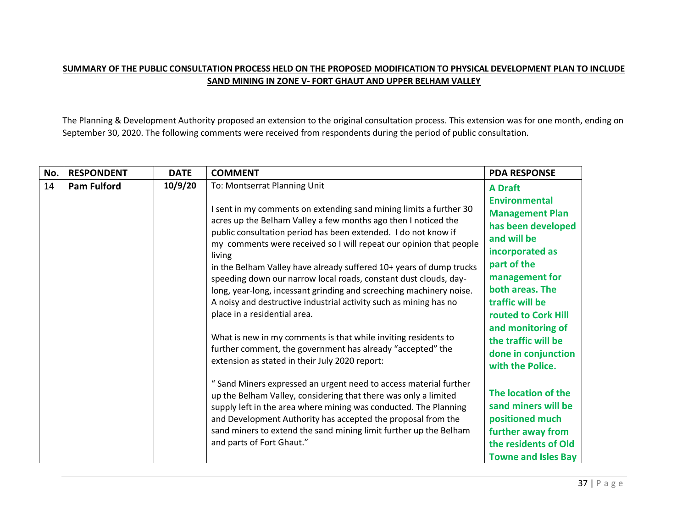## **SUMMARY OF THE PUBLIC CONSULTATION PROCESS HELD ON THE PROPOSED MODIFICATION TO PHYSICAL DEVELOPMENT PLAN TO INCLUDE SAND MINING IN ZONE V- FORT GHAUT AND UPPER BELHAM VALLEY**

The Planning & Development Authority proposed an extension to the original consultation process. This extension was for one month, ending on September 30, 2020. The following comments were received from respondents during the period of public consultation.

| No. | <b>RESPONDENT</b>  | <b>DATE</b> | <b>COMMENT</b>                                                                                                                                                                                                                                                                                                                                                                                                                                                                                                                                                                                                | <b>PDA RESPONSE</b>                                                                                                                                                                                  |
|-----|--------------------|-------------|---------------------------------------------------------------------------------------------------------------------------------------------------------------------------------------------------------------------------------------------------------------------------------------------------------------------------------------------------------------------------------------------------------------------------------------------------------------------------------------------------------------------------------------------------------------------------------------------------------------|------------------------------------------------------------------------------------------------------------------------------------------------------------------------------------------------------|
| 14  | <b>Pam Fulford</b> | 10/9/20     | To: Montserrat Planning Unit                                                                                                                                                                                                                                                                                                                                                                                                                                                                                                                                                                                  | <b>A Draft</b>                                                                                                                                                                                       |
|     |                    |             | I sent in my comments on extending sand mining limits a further 30<br>acres up the Belham Valley a few months ago then I noticed the<br>public consultation period has been extended. I do not know if<br>my comments were received so I will repeat our opinion that people<br>living<br>in the Belham Valley have already suffered 10+ years of dump trucks<br>speeding down our narrow local roads, constant dust clouds, day-<br>long, year-long, incessant grinding and screeching machinery noise.<br>A noisy and destructive industrial activity such as mining has no<br>place in a residential area. | <b>Environmental</b><br><b>Management Plan</b><br>has been developed<br>and will be<br>incorporated as<br>part of the<br>management for<br>both areas. The<br>traffic will be<br>routed to Cork Hill |
|     |                    |             | What is new in my comments is that while inviting residents to<br>further comment, the government has already "accepted" the<br>extension as stated in their July 2020 report:                                                                                                                                                                                                                                                                                                                                                                                                                                | and monitoring of<br>the traffic will be<br>done in conjunction<br>with the Police.                                                                                                                  |
|     |                    |             | " Sand Miners expressed an urgent need to access material further<br>up the Belham Valley, considering that there was only a limited<br>supply left in the area where mining was conducted. The Planning<br>and Development Authority has accepted the proposal from the<br>sand miners to extend the sand mining limit further up the Belham<br>and parts of Fort Ghaut."                                                                                                                                                                                                                                    | The location of the<br>sand miners will be<br>positioned much<br>further away from<br>the residents of Old<br><b>Towne and Isles Bay</b>                                                             |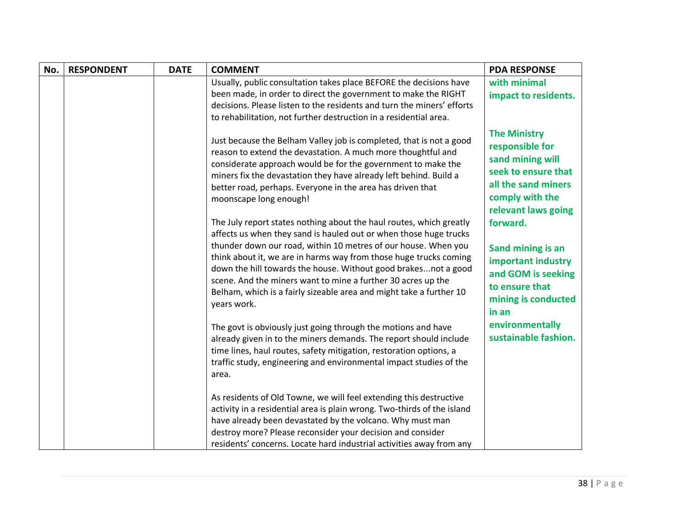| No. | <b>RESPONDENT</b> | <b>DATE</b> | <b>COMMENT</b>                                                                                                                                                                                                                                                                                                                                                   | <b>PDA RESPONSE</b>                                                                                                                                |
|-----|-------------------|-------------|------------------------------------------------------------------------------------------------------------------------------------------------------------------------------------------------------------------------------------------------------------------------------------------------------------------------------------------------------------------|----------------------------------------------------------------------------------------------------------------------------------------------------|
|     |                   |             | Usually, public consultation takes place BEFORE the decisions have<br>been made, in order to direct the government to make the RIGHT                                                                                                                                                                                                                             | with minimal<br>impact to residents.                                                                                                               |
|     |                   |             | decisions. Please listen to the residents and turn the miners' efforts<br>to rehabilitation, not further destruction in a residential area.                                                                                                                                                                                                                      |                                                                                                                                                    |
|     |                   |             | Just because the Belham Valley job is completed, that is not a good<br>reason to extend the devastation. A much more thoughtful and<br>considerate approach would be for the government to make the<br>miners fix the devastation they have already left behind. Build a<br>better road, perhaps. Everyone in the area has driven that<br>moonscape long enough! | <b>The Ministry</b><br>responsible for<br>sand mining will<br>seek to ensure that<br>all the sand miners<br>comply with the<br>relevant laws going |
|     |                   |             | The July report states nothing about the haul routes, which greatly<br>affects us when they sand is hauled out or when those huge trucks                                                                                                                                                                                                                         | forward.                                                                                                                                           |
|     |                   |             | thunder down our road, within 10 metres of our house. When you<br>think about it, we are in harms way from those huge trucks coming<br>down the hill towards the house. Without good brakesnot a good<br>scene. And the miners want to mine a further 30 acres up the<br>Belham, which is a fairly sizeable area and might take a further 10<br>years work.      | Sand mining is an<br>important industry<br>and GOM is seeking<br>to ensure that<br>mining is conducted<br>in an                                    |
|     |                   |             | The govt is obviously just going through the motions and have<br>already given in to the miners demands. The report should include<br>time lines, haul routes, safety mitigation, restoration options, a<br>traffic study, engineering and environmental impact studies of the<br>area.                                                                          | environmentally<br>sustainable fashion.                                                                                                            |
|     |                   |             | As residents of Old Towne, we will feel extending this destructive<br>activity in a residential area is plain wrong. Two-thirds of the island<br>have already been devastated by the volcano. Why must man<br>destroy more? Please reconsider your decision and consider<br>residents' concerns. Locate hard industrial activities away from any                 |                                                                                                                                                    |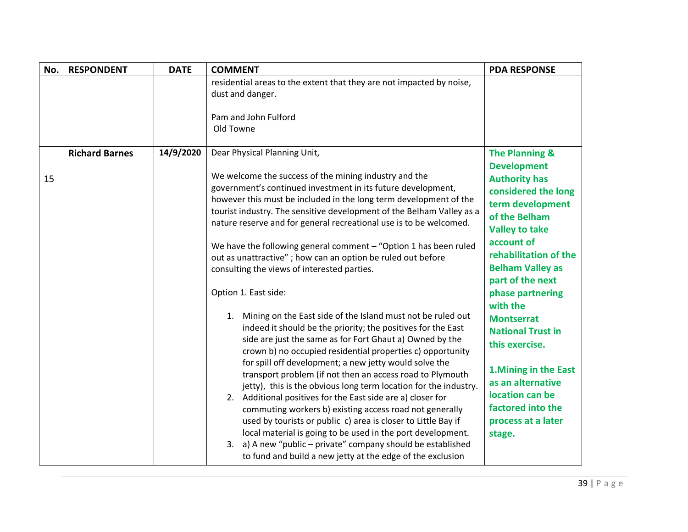| No. | <b>RESPONDENT</b>     | <b>DATE</b> | <b>COMMENT</b>                                                                                                                                                                                                                                                                                                                                                                                                                                                                                                                                                                                                                                                                                                                                                                                                                                                                                                                                                                                                                                                                                                                                                                                                                                                                                                                                                                                                                      | <b>PDA RESPONSE</b>                                                                                                                                                                                                                                                                                                                                                                                                                                                         |
|-----|-----------------------|-------------|-------------------------------------------------------------------------------------------------------------------------------------------------------------------------------------------------------------------------------------------------------------------------------------------------------------------------------------------------------------------------------------------------------------------------------------------------------------------------------------------------------------------------------------------------------------------------------------------------------------------------------------------------------------------------------------------------------------------------------------------------------------------------------------------------------------------------------------------------------------------------------------------------------------------------------------------------------------------------------------------------------------------------------------------------------------------------------------------------------------------------------------------------------------------------------------------------------------------------------------------------------------------------------------------------------------------------------------------------------------------------------------------------------------------------------------|-----------------------------------------------------------------------------------------------------------------------------------------------------------------------------------------------------------------------------------------------------------------------------------------------------------------------------------------------------------------------------------------------------------------------------------------------------------------------------|
|     |                       |             | residential areas to the extent that they are not impacted by noise,<br>dust and danger.<br>Pam and John Fulford<br>Old Towne                                                                                                                                                                                                                                                                                                                                                                                                                                                                                                                                                                                                                                                                                                                                                                                                                                                                                                                                                                                                                                                                                                                                                                                                                                                                                                       |                                                                                                                                                                                                                                                                                                                                                                                                                                                                             |
| 15  | <b>Richard Barnes</b> | 14/9/2020   | Dear Physical Planning Unit,<br>We welcome the success of the mining industry and the<br>government's continued investment in its future development,<br>however this must be included in the long term development of the<br>tourist industry. The sensitive development of the Belham Valley as a<br>nature reserve and for general recreational use is to be welcomed.<br>We have the following general comment - "Option 1 has been ruled<br>out as unattractive" ; how can an option be ruled out before<br>consulting the views of interested parties.<br>Option 1. East side:<br>1. Mining on the East side of the Island must not be ruled out<br>indeed it should be the priority; the positives for the East<br>side are just the same as for Fort Ghaut a) Owned by the<br>crown b) no occupied residential properties c) opportunity<br>for spill off development; a new jetty would solve the<br>transport problem (if not then an access road to Plymouth<br>jetty), this is the obvious long term location for the industry.<br>2. Additional positives for the East side are a) closer for<br>commuting workers b) existing access road not generally<br>used by tourists or public c) area is closer to Little Bay if<br>local material is going to be used in the port development.<br>3. a) A new "public - private" company should be established<br>to fund and build a new jetty at the edge of the exclusion | <b>The Planning &amp;</b><br><b>Development</b><br><b>Authority has</b><br>considered the long<br>term development<br>of the Belham<br><b>Valley to take</b><br>account of<br>rehabilitation of the<br><b>Belham Valley as</b><br>part of the next<br>phase partnering<br>with the<br><b>Montserrat</b><br><b>National Trust in</b><br>this exercise.<br>1. Mining in the East<br>as an alternative<br>location can be<br>factored into the<br>process at a later<br>stage. |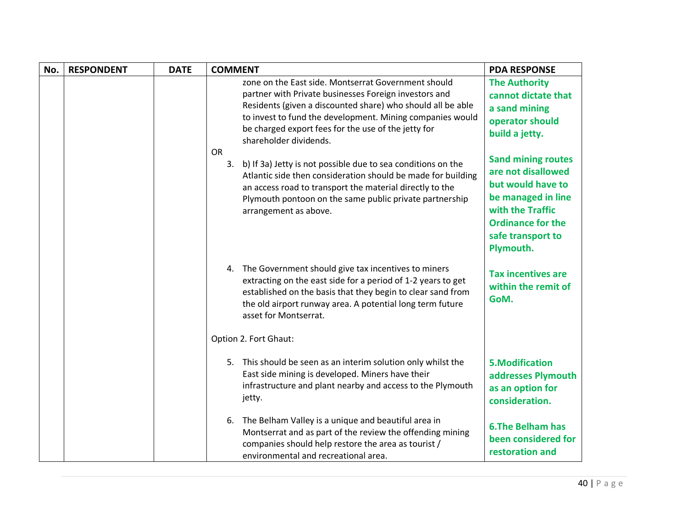| No. | <b>RESPONDENT</b> | <b>DATE</b> | <b>COMMENT</b>                                                                                                                                                                                                                                                                                                            | <b>PDA RESPONSE</b>                                                                                                                                                          |
|-----|-------------------|-------------|---------------------------------------------------------------------------------------------------------------------------------------------------------------------------------------------------------------------------------------------------------------------------------------------------------------------------|------------------------------------------------------------------------------------------------------------------------------------------------------------------------------|
|     |                   |             | zone on the East side. Montserrat Government should<br>partner with Private businesses Foreign investors and<br>Residents (given a discounted share) who should all be able<br>to invest to fund the development. Mining companies would<br>be charged export fees for the use of the jetty for<br>shareholder dividends. | <b>The Authority</b><br>cannot dictate that<br>a sand mining<br>operator should<br>build a jetty.                                                                            |
|     |                   |             | OR<br>b) If 3a) Jetty is not possible due to sea conditions on the<br>3.<br>Atlantic side then consideration should be made for building<br>an access road to transport the material directly to the<br>Plymouth pontoon on the same public private partnership<br>arrangement as above.                                  | <b>Sand mining routes</b><br>are not disallowed<br>but would have to<br>be managed in line<br>with the Traffic<br><b>Ordinance for the</b><br>safe transport to<br>Plymouth. |
|     |                   |             | 4. The Government should give tax incentives to miners<br>extracting on the east side for a period of 1-2 years to get<br>established on the basis that they begin to clear sand from<br>the old airport runway area. A potential long term future<br>asset for Montserrat.                                               | <b>Tax incentives are</b><br>within the remit of<br>GoM.                                                                                                                     |
|     |                   |             | Option 2. Fort Ghaut:                                                                                                                                                                                                                                                                                                     |                                                                                                                                                                              |
|     |                   |             | 5. This should be seen as an interim solution only whilst the<br>East side mining is developed. Miners have their<br>infrastructure and plant nearby and access to the Plymouth<br>jetty.                                                                                                                                 | <b>5.Modification</b><br>addresses Plymouth<br>as an option for<br>consideration.                                                                                            |
|     |                   |             | The Belham Valley is a unique and beautiful area in<br>6.<br>Montserrat and as part of the review the offending mining<br>companies should help restore the area as tourist /<br>environmental and recreational area.                                                                                                     | <b>6.The Belham has</b><br>been considered for<br>restoration and                                                                                                            |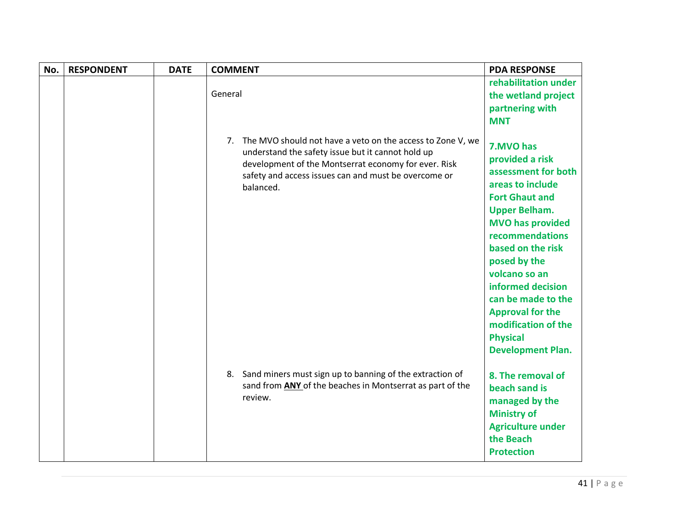| No. | <b>RESPONDENT</b> | <b>DATE</b> | <b>COMMENT</b>                                                                                                                                                                                                                                  | <b>PDA RESPONSE</b>                                                                                                                                                                                                                                                                                                                                                      |
|-----|-------------------|-------------|-------------------------------------------------------------------------------------------------------------------------------------------------------------------------------------------------------------------------------------------------|--------------------------------------------------------------------------------------------------------------------------------------------------------------------------------------------------------------------------------------------------------------------------------------------------------------------------------------------------------------------------|
|     |                   |             | General                                                                                                                                                                                                                                         | rehabilitation under<br>the wetland project<br>partnering with<br><b>MNT</b>                                                                                                                                                                                                                                                                                             |
|     |                   |             | 7. The MVO should not have a veto on the access to Zone V, we<br>understand the safety issue but it cannot hold up<br>development of the Montserrat economy for ever. Risk<br>safety and access issues can and must be overcome or<br>balanced. | 7.MVO has<br>provided a risk<br>assessment for both<br>areas to include<br><b>Fort Ghaut and</b><br><b>Upper Belham.</b><br><b>MVO has provided</b><br>recommendations<br>based on the risk<br>posed by the<br>volcano so an<br>informed decision<br>can be made to the<br><b>Approval for the</b><br>modification of the<br><b>Physical</b><br><b>Development Plan.</b> |
|     |                   |             | 8. Sand miners must sign up to banning of the extraction of<br>sand from ANY of the beaches in Montserrat as part of the<br>review.                                                                                                             | 8. The removal of<br>beach sand is<br>managed by the<br><b>Ministry of</b><br><b>Agriculture under</b><br>the Beach<br><b>Protection</b>                                                                                                                                                                                                                                 |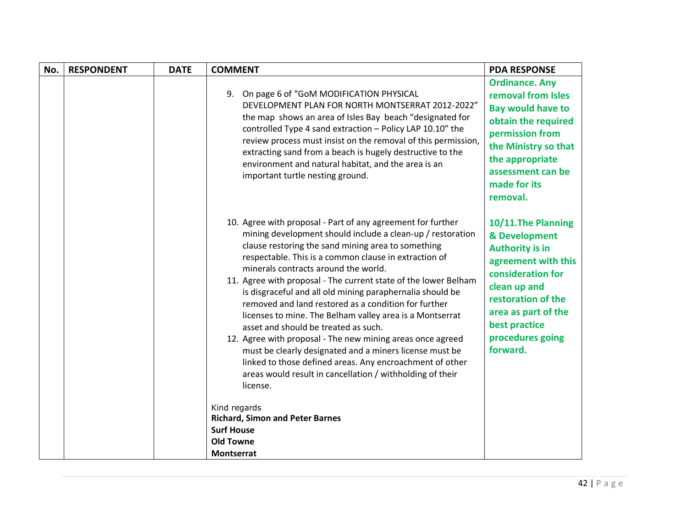| 9. On page 6 of "GoM MODIFICATION PHYSICAL<br>DEVELOPMENT PLAN FOR NORTH MONTSERRAT 2012-2022"<br>the map shows an area of Isles Bay beach "designated for<br>controlled Type 4 sand extraction - Policy LAP 10.10" the<br>review process must insist on the removal of this permission,<br>extracting sand from a beach is hugely destructive to the<br>environment and natural habitat, and the area is an<br>important turtle nesting ground.<br>made for its<br>removal.<br>10. Agree with proposal - Part of any agreement for further<br>mining development should include a clean-up / restoration<br>clause restoring the sand mining area to something<br><b>Authority is in</b><br>respectable. This is a common clause in extraction of<br>minerals contracts around the world.<br>11. Agree with proposal - The current state of the lower Belham<br>clean up and<br>is disgraceful and all old mining paraphernalia should be<br>removed and land restored as a condition for further<br>licenses to mine. The Belham valley area is a Montserrat<br>best practice<br>asset and should be treated as such.<br>12. Agree with proposal - The new mining areas once agreed<br>forward.<br>must be clearly designated and a miners license must be<br>linked to those defined areas. Any encroachment of other<br>areas would result in cancellation / withholding of their<br>license. | No. | <b>RESPONDENT</b> | <b>DATE</b> | <b>COMMENT</b> | <b>PDA RESPONSE</b>                                                                                                                                                               |
|---------------------------------------------------------------------------------------------------------------------------------------------------------------------------------------------------------------------------------------------------------------------------------------------------------------------------------------------------------------------------------------------------------------------------------------------------------------------------------------------------------------------------------------------------------------------------------------------------------------------------------------------------------------------------------------------------------------------------------------------------------------------------------------------------------------------------------------------------------------------------------------------------------------------------------------------------------------------------------------------------------------------------------------------------------------------------------------------------------------------------------------------------------------------------------------------------------------------------------------------------------------------------------------------------------------------------------------------------------------------------------------------------|-----|-------------------|-------------|----------------|-----------------------------------------------------------------------------------------------------------------------------------------------------------------------------------|
|                                                                                                                                                                                                                                                                                                                                                                                                                                                                                                                                                                                                                                                                                                                                                                                                                                                                                                                                                                                                                                                                                                                                                                                                                                                                                                                                                                                                   |     |                   |             |                | <b>Ordinance. Any</b><br>removal from Isles<br><b>Bay would have to</b><br>obtain the required<br>permission from<br>the Ministry so that<br>the appropriate<br>assessment can be |
| Kind regards<br><b>Richard, Simon and Peter Barnes</b><br><b>Surf House</b><br><b>Old Towne</b>                                                                                                                                                                                                                                                                                                                                                                                                                                                                                                                                                                                                                                                                                                                                                                                                                                                                                                                                                                                                                                                                                                                                                                                                                                                                                                   |     |                   |             |                | 10/11. The Planning<br>& Development<br>agreement with this<br>consideration for<br>restoration of the<br>area as part of the<br>procedures going                                 |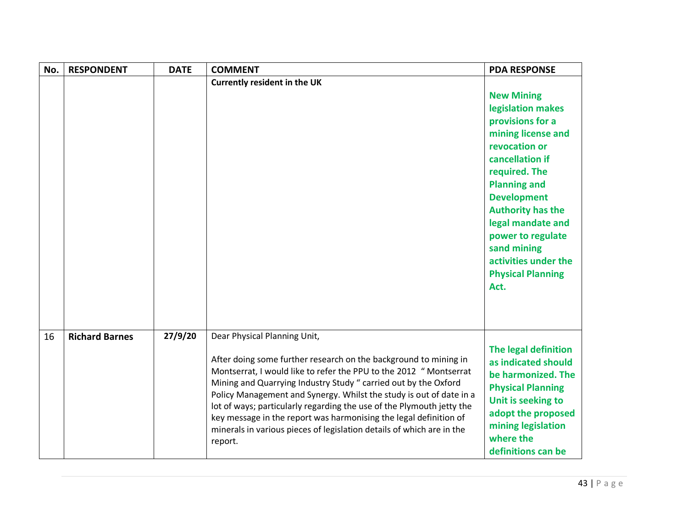| No. | <b>RESPONDENT</b>     | <b>DATE</b> | <b>COMMENT</b>                                                                                                                                                                                                                                                                                                                                                                                                                                                                                                                                     | <b>PDA RESPONSE</b>                                                                                                                                                                                                                                                                                                                 |
|-----|-----------------------|-------------|----------------------------------------------------------------------------------------------------------------------------------------------------------------------------------------------------------------------------------------------------------------------------------------------------------------------------------------------------------------------------------------------------------------------------------------------------------------------------------------------------------------------------------------------------|-------------------------------------------------------------------------------------------------------------------------------------------------------------------------------------------------------------------------------------------------------------------------------------------------------------------------------------|
|     |                       |             | <b>Currently resident in the UK</b>                                                                                                                                                                                                                                                                                                                                                                                                                                                                                                                | <b>New Mining</b><br>legislation makes<br>provisions for a<br>mining license and<br>revocation or<br>cancellation if<br>required. The<br><b>Planning and</b><br><b>Development</b><br><b>Authority has the</b><br>legal mandate and<br>power to regulate<br>sand mining<br>activities under the<br><b>Physical Planning</b><br>Act. |
| 16  | <b>Richard Barnes</b> | 27/9/20     | Dear Physical Planning Unit,<br>After doing some further research on the background to mining in<br>Montserrat, I would like to refer the PPU to the 2012 " Montserrat<br>Mining and Quarrying Industry Study " carried out by the Oxford<br>Policy Management and Synergy. Whilst the study is out of date in a<br>lot of ways; particularly regarding the use of the Plymouth jetty the<br>key message in the report was harmonising the legal definition of<br>minerals in various pieces of legislation details of which are in the<br>report. | The legal definition<br>as indicated should<br>be harmonized. The<br><b>Physical Planning</b><br>Unit is seeking to<br>adopt the proposed<br>mining legislation<br>where the<br>definitions can be                                                                                                                                  |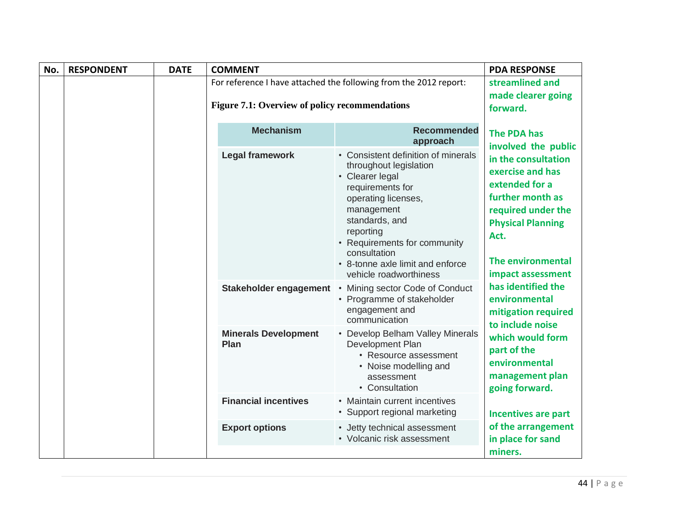| No. | <b>RESPONDENT</b> | <b>DATE</b> | <b>COMMENT</b>                                   |                                                                                                                                                                                                                                                                                                                           | <b>PDA RESPONSE</b>                                                                                                                                                                                     |
|-----|-------------------|-------------|--------------------------------------------------|---------------------------------------------------------------------------------------------------------------------------------------------------------------------------------------------------------------------------------------------------------------------------------------------------------------------------|---------------------------------------------------------------------------------------------------------------------------------------------------------------------------------------------------------|
|     |                   |             |                                                  | For reference I have attached the following from the 2012 report:                                                                                                                                                                                                                                                         | streamlined and                                                                                                                                                                                         |
|     |                   |             | Figure 7.1: Overview of policy recommendations   |                                                                                                                                                                                                                                                                                                                           | made clearer going<br>forward.                                                                                                                                                                          |
|     |                   |             | <b>Mechanism</b>                                 | <b>Recommended</b><br>approach                                                                                                                                                                                                                                                                                            | <b>The PDA has</b><br>involved the public                                                                                                                                                               |
|     |                   |             | <b>Legal framework</b><br>Stakeholder engagement | • Consistent definition of minerals<br>throughout legislation<br>• Clearer legal<br>requirements for<br>operating licenses,<br>management<br>standards, and<br>reporting<br>• Requirements for community<br>consultation<br>• 8-tonne axle limit and enforce<br>vehicle roadworthiness<br>• Mining sector Code of Conduct | in the consultation<br>exercise and has<br>extended for a<br>further month as<br>required under the<br><b>Physical Planning</b><br>Act.<br>The environmental<br>impact assessment<br>has identified the |
|     |                   |             |                                                  | • Programme of stakeholder<br>engagement and<br>communication                                                                                                                                                                                                                                                             | environmental<br>mitigation required<br>to include noise                                                                                                                                                |
|     |                   |             | <b>Minerals Development</b><br><b>Plan</b>       | • Develop Belham Valley Minerals<br>Development Plan<br>• Resource assessment<br>• Noise modelling and<br>assessment<br>• Consultation                                                                                                                                                                                    | which would form<br>part of the<br>environmental<br>management plan<br>going forward.                                                                                                                   |
|     |                   |             | <b>Financial incentives</b>                      | • Maintain current incentives<br>• Support regional marketing                                                                                                                                                                                                                                                             | <b>Incentives are part</b>                                                                                                                                                                              |
|     |                   |             | <b>Export options</b>                            | • Jetty technical assessment<br>• Volcanic risk assessment                                                                                                                                                                                                                                                                | of the arrangement<br>in place for sand<br>miners.                                                                                                                                                      |
|     |                   |             |                                                  |                                                                                                                                                                                                                                                                                                                           |                                                                                                                                                                                                         |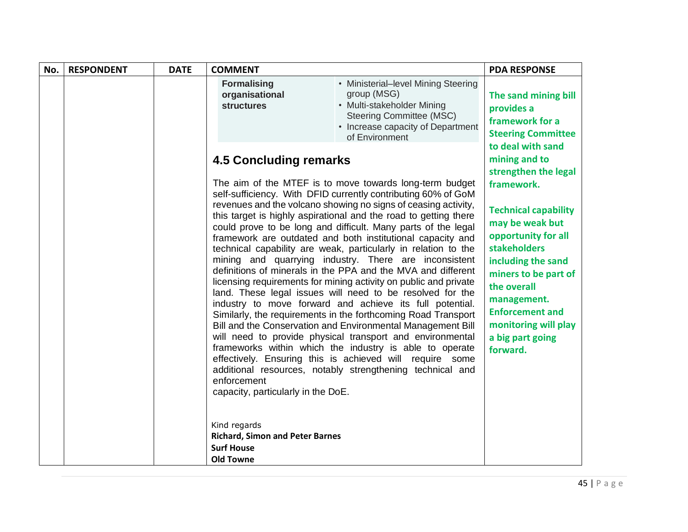| No. | <b>RESPONDENT</b> | <b>DATE</b> | <b>COMMENT</b>                                                                                                                                                                        |                                                                                                                                                                                                                                                                                                                                                                                                                                                                                                                                                                                                                                                                                                                                                                                                                                                                                                                                                                                                                                                                                                                                                                        | <b>PDA RESPONSE</b>                                                                                                                                                                                                                                                                                                                    |
|-----|-------------------|-------------|---------------------------------------------------------------------------------------------------------------------------------------------------------------------------------------|------------------------------------------------------------------------------------------------------------------------------------------------------------------------------------------------------------------------------------------------------------------------------------------------------------------------------------------------------------------------------------------------------------------------------------------------------------------------------------------------------------------------------------------------------------------------------------------------------------------------------------------------------------------------------------------------------------------------------------------------------------------------------------------------------------------------------------------------------------------------------------------------------------------------------------------------------------------------------------------------------------------------------------------------------------------------------------------------------------------------------------------------------------------------|----------------------------------------------------------------------------------------------------------------------------------------------------------------------------------------------------------------------------------------------------------------------------------------------------------------------------------------|
|     |                   |             | <b>Formalising</b><br>organisational<br><b>structures</b>                                                                                                                             | • Ministerial-level Mining Steering<br>group (MSG)<br>• Multi-stakeholder Mining<br><b>Steering Committee (MSC)</b><br>• Increase capacity of Department<br>of Environment                                                                                                                                                                                                                                                                                                                                                                                                                                                                                                                                                                                                                                                                                                                                                                                                                                                                                                                                                                                             | The sand mining bill<br>provides a<br>framework for a<br><b>Steering Committee</b>                                                                                                                                                                                                                                                     |
|     |                   |             | <b>4.5 Concluding remarks</b><br>enforcement<br>capacity, particularly in the DoE.<br>Kind regards<br><b>Richard, Simon and Peter Barnes</b><br><b>Surf House</b><br><b>Old Towne</b> | The aim of the MTEF is to move towards long-term budget<br>self-sufficiency. With DFID currently contributing 60% of GoM<br>revenues and the volcano showing no signs of ceasing activity,<br>this target is highly aspirational and the road to getting there<br>could prove to be long and difficult. Many parts of the legal<br>framework are outdated and both institutional capacity and<br>technical capability are weak, particularly in relation to the<br>mining and quarrying industry. There are inconsistent<br>definitions of minerals in the PPA and the MVA and different<br>licensing requirements for mining activity on public and private<br>land. These legal issues will need to be resolved for the<br>industry to move forward and achieve its full potential.<br>Similarly, the requirements in the forthcoming Road Transport<br>Bill and the Conservation and Environmental Management Bill<br>will need to provide physical transport and environmental<br>frameworks within which the industry is able to operate<br>effectively. Ensuring this is achieved will require some<br>additional resources, notably strengthening technical and | to deal with sand<br>mining and to<br>strengthen the legal<br>framework.<br><b>Technical capability</b><br>may be weak but<br>opportunity for all<br><b>stakeholders</b><br>including the sand<br>miners to be part of<br>the overall<br>management.<br><b>Enforcement and</b><br>monitoring will play<br>a big part going<br>forward. |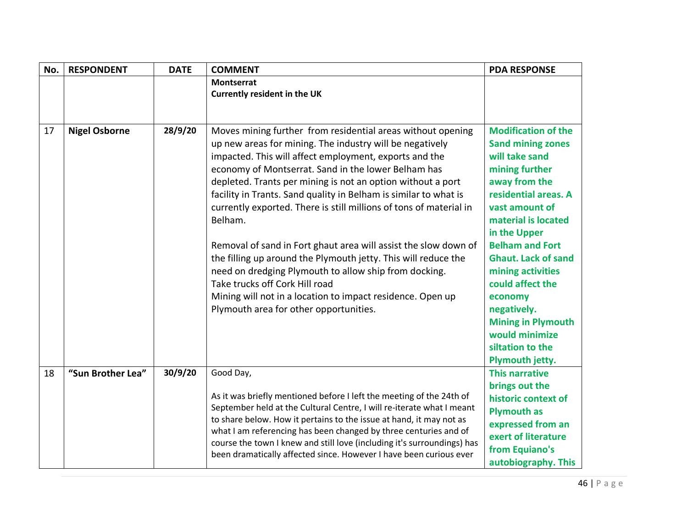| No. | <b>RESPONDENT</b>    | <b>DATE</b> | <b>COMMENT</b>                                                                                                                                                                                                                                                                                                                                                                                                                                                                                                                  | <b>PDA RESPONSE</b>                                                                                                                                                                                                    |
|-----|----------------------|-------------|---------------------------------------------------------------------------------------------------------------------------------------------------------------------------------------------------------------------------------------------------------------------------------------------------------------------------------------------------------------------------------------------------------------------------------------------------------------------------------------------------------------------------------|------------------------------------------------------------------------------------------------------------------------------------------------------------------------------------------------------------------------|
|     |                      |             | <b>Montserrat</b>                                                                                                                                                                                                                                                                                                                                                                                                                                                                                                               |                                                                                                                                                                                                                        |
|     |                      |             | <b>Currently resident in the UK</b>                                                                                                                                                                                                                                                                                                                                                                                                                                                                                             |                                                                                                                                                                                                                        |
|     |                      |             |                                                                                                                                                                                                                                                                                                                                                                                                                                                                                                                                 |                                                                                                                                                                                                                        |
| 17  | <b>Nigel Osborne</b> | 28/9/20     | Moves mining further from residential areas without opening<br>up new areas for mining. The industry will be negatively<br>impacted. This will affect employment, exports and the<br>economy of Montserrat. Sand in the lower Belham has<br>depleted. Trants per mining is not an option without a port<br>facility in Trants. Sand quality in Belham is similar to what is<br>currently exported. There is still millions of tons of material in<br>Belham.<br>Removal of sand in Fort ghaut area will assist the slow down of | <b>Modification of the</b><br><b>Sand mining zones</b><br>will take sand<br>mining further<br>away from the<br>residential areas. A<br>vast amount of<br>material is located<br>in the Upper<br><b>Belham and Fort</b> |
|     |                      |             | the filling up around the Plymouth jetty. This will reduce the<br>need on dredging Plymouth to allow ship from docking.<br>Take trucks off Cork Hill road<br>Mining will not in a location to impact residence. Open up<br>Plymouth area for other opportunities.                                                                                                                                                                                                                                                               | <b>Ghaut. Lack of sand</b><br>mining activities<br>could affect the<br>economy<br>negatively.<br><b>Mining in Plymouth</b><br>would minimize<br>siltation to the<br>Plymouth jetty.                                    |
| 18  | "Sun Brother Lea"    | 30/9/20     | Good Day,<br>As it was briefly mentioned before I left the meeting of the 24th of<br>September held at the Cultural Centre, I will re-iterate what I meant<br>to share below. How it pertains to the issue at hand, it may not as<br>what I am referencing has been changed by three centuries and of<br>course the town I knew and still love (including it's surroundings) has<br>been dramatically affected since. However I have been curious ever                                                                          | <b>This narrative</b><br>brings out the<br>historic context of<br><b>Plymouth as</b><br>expressed from an<br>exert of literature<br>from Equiano's<br>autobiography. This                                              |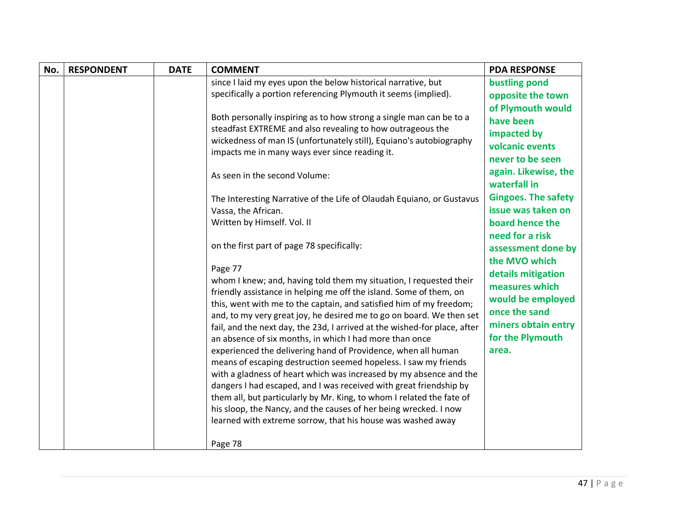| No. | <b>RESPONDENT</b> | <b>DATE</b> | <b>COMMENT</b>                                                                                                                    | <b>PDA RESPONSE</b>        |
|-----|-------------------|-------------|-----------------------------------------------------------------------------------------------------------------------------------|----------------------------|
|     |                   |             | since I laid my eyes upon the below historical narrative, but                                                                     | bustling pond              |
|     |                   |             | specifically a portion referencing Plymouth it seems (implied).                                                                   | opposite the town          |
|     |                   |             |                                                                                                                                   | of Plymouth would          |
|     |                   |             | Both personally inspiring as to how strong a single man can be to a                                                               | have been                  |
|     |                   |             | steadfast EXTREME and also revealing to how outrageous the<br>wickedness of man IS (unfortunately still), Equiano's autobiography | impacted by                |
|     |                   |             | impacts me in many ways ever since reading it.                                                                                    | volcanic events            |
|     |                   |             |                                                                                                                                   | never to be seen           |
|     |                   |             | As seen in the second Volume:                                                                                                     | again. Likewise, the       |
|     |                   |             |                                                                                                                                   | waterfall in               |
|     |                   |             | The Interesting Narrative of the Life of Olaudah Equiano, or Gustavus                                                             | <b>Gingoes. The safety</b> |
|     |                   |             | Vassa, the African.                                                                                                               | issue was taken on         |
|     |                   |             | Written by Himself. Vol. II                                                                                                       | board hence the            |
|     |                   |             |                                                                                                                                   | need for a risk            |
|     |                   |             | on the first part of page 78 specifically:                                                                                        | assessment done by         |
|     |                   |             |                                                                                                                                   | the MVO which              |
|     |                   |             | Page 77<br>whom I knew; and, having told them my situation, I requested their                                                     | details mitigation         |
|     |                   |             | friendly assistance in helping me off the island. Some of them, on                                                                | measures which             |
|     |                   |             | this, went with me to the captain, and satisfied him of my freedom;                                                               | would be employed          |
|     |                   |             | and, to my very great joy, he desired me to go on board. We then set                                                              | once the sand              |
|     |                   |             | fail, and the next day, the 23d, I arrived at the wished-for place, after                                                         | miners obtain entry        |
|     |                   |             | an absence of six months, in which I had more than once                                                                           | for the Plymouth           |
|     |                   |             | experienced the delivering hand of Providence, when all human                                                                     | area.                      |
|     |                   |             | means of escaping destruction seemed hopeless. I saw my friends                                                                   |                            |
|     |                   |             | with a gladness of heart which was increased by my absence and the                                                                |                            |
|     |                   |             | dangers I had escaped, and I was received with great friendship by                                                                |                            |
|     |                   |             | them all, but particularly by Mr. King, to whom I related the fate of                                                             |                            |
|     |                   |             | his sloop, the Nancy, and the causes of her being wrecked. I now                                                                  |                            |
|     |                   |             | learned with extreme sorrow, that his house was washed away                                                                       |                            |
|     |                   |             | Page 78                                                                                                                           |                            |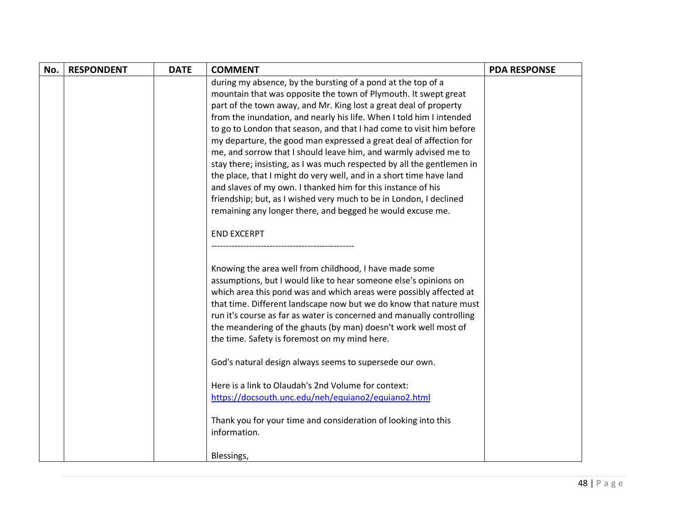| No. | <b>RESPONDENT</b> | <b>DATE</b> | <b>COMMENT</b>                                                         | <b>PDA RESPONSE</b> |
|-----|-------------------|-------------|------------------------------------------------------------------------|---------------------|
|     |                   |             | during my absence, by the bursting of a pond at the top of a           |                     |
|     |                   |             | mountain that was opposite the town of Plymouth. It swept great        |                     |
|     |                   |             | part of the town away, and Mr. King lost a great deal of property      |                     |
|     |                   |             | from the inundation, and nearly his life. When I told him I intended   |                     |
|     |                   |             | to go to London that season, and that I had come to visit him before   |                     |
|     |                   |             | my departure, the good man expressed a great deal of affection for     |                     |
|     |                   |             | me, and sorrow that I should leave him, and warmly advised me to       |                     |
|     |                   |             | stay there; insisting, as I was much respected by all the gentlemen in |                     |
|     |                   |             | the place, that I might do very well, and in a short time have land    |                     |
|     |                   |             | and slaves of my own. I thanked him for this instance of his           |                     |
|     |                   |             | friendship; but, as I wished very much to be in London, I declined     |                     |
|     |                   |             | remaining any longer there, and begged he would excuse me.             |                     |
|     |                   |             | <b>END EXCERPT</b>                                                     |                     |
|     |                   |             |                                                                        |                     |
|     |                   |             |                                                                        |                     |
|     |                   |             | Knowing the area well from childhood, I have made some                 |                     |
|     |                   |             | assumptions, but I would like to hear someone else's opinions on       |                     |
|     |                   |             | which area this pond was and which areas were possibly affected at     |                     |
|     |                   |             | that time. Different landscape now but we do know that nature must     |                     |
|     |                   |             | run it's course as far as water is concerned and manually controlling  |                     |
|     |                   |             | the meandering of the ghauts (by man) doesn't work well most of        |                     |
|     |                   |             | the time. Safety is foremost on my mind here.                          |                     |
|     |                   |             |                                                                        |                     |
|     |                   |             | God's natural design always seems to supersede our own.                |                     |
|     |                   |             | Here is a link to Olaudah's 2nd Volume for context:                    |                     |
|     |                   |             | https://docsouth.unc.edu/neh/equiano2/equiano2.html                    |                     |
|     |                   |             |                                                                        |                     |
|     |                   |             | Thank you for your time and consideration of looking into this         |                     |
|     |                   |             | information.                                                           |                     |
|     |                   |             |                                                                        |                     |
|     |                   |             | Blessings,                                                             |                     |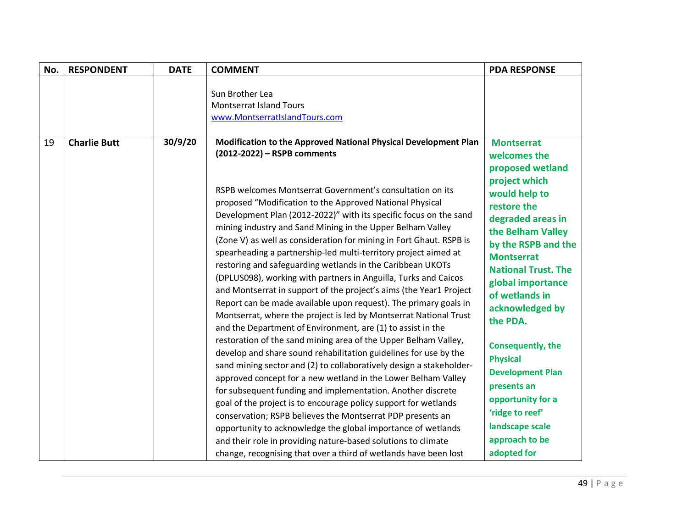| No. | <b>RESPONDENT</b>   | <b>DATE</b> | <b>COMMENT</b>                                                                                                                                                                                                                                                                                                                                                                                                                                                                                                                                                                                                                                                                                                                                                                                                                                                                                                                                                                                                                                                                                                                                                                                                                                                                                                                                                                                                                                                                                                                      | <b>PDA RESPONSE</b>                                                                                                                                                                                                                                                                                                                                                                                                                                             |
|-----|---------------------|-------------|-------------------------------------------------------------------------------------------------------------------------------------------------------------------------------------------------------------------------------------------------------------------------------------------------------------------------------------------------------------------------------------------------------------------------------------------------------------------------------------------------------------------------------------------------------------------------------------------------------------------------------------------------------------------------------------------------------------------------------------------------------------------------------------------------------------------------------------------------------------------------------------------------------------------------------------------------------------------------------------------------------------------------------------------------------------------------------------------------------------------------------------------------------------------------------------------------------------------------------------------------------------------------------------------------------------------------------------------------------------------------------------------------------------------------------------------------------------------------------------------------------------------------------------|-----------------------------------------------------------------------------------------------------------------------------------------------------------------------------------------------------------------------------------------------------------------------------------------------------------------------------------------------------------------------------------------------------------------------------------------------------------------|
|     |                     |             | Sun Brother Lea<br><b>Montserrat Island Tours</b><br>www.MontserratIslandTours.com                                                                                                                                                                                                                                                                                                                                                                                                                                                                                                                                                                                                                                                                                                                                                                                                                                                                                                                                                                                                                                                                                                                                                                                                                                                                                                                                                                                                                                                  |                                                                                                                                                                                                                                                                                                                                                                                                                                                                 |
| 19  | <b>Charlie Butt</b> | 30/9/20     | Modification to the Approved National Physical Development Plan<br>(2012-2022) - RSPB comments<br>RSPB welcomes Montserrat Government's consultation on its<br>proposed "Modification to the Approved National Physical<br>Development Plan (2012-2022)" with its specific focus on the sand<br>mining industry and Sand Mining in the Upper Belham Valley<br>(Zone V) as well as consideration for mining in Fort Ghaut. RSPB is<br>spearheading a partnership-led multi-territory project aimed at<br>restoring and safeguarding wetlands in the Caribbean UKOTs<br>(DPLUS098), working with partners in Anguilla, Turks and Caicos<br>and Montserrat in support of the project's aims (the Year1 Project<br>Report can be made available upon request). The primary goals in<br>Montserrat, where the project is led by Montserrat National Trust<br>and the Department of Environment, are (1) to assist in the<br>restoration of the sand mining area of the Upper Belham Valley,<br>develop and share sound rehabilitation guidelines for use by the<br>sand mining sector and (2) to collaboratively design a stakeholder-<br>approved concept for a new wetland in the Lower Belham Valley<br>for subsequent funding and implementation. Another discrete<br>goal of the project is to encourage policy support for wetlands<br>conservation; RSPB believes the Montserrat PDP presents an<br>opportunity to acknowledge the global importance of wetlands<br>and their role in providing nature-based solutions to climate | <b>Montserrat</b><br>welcomes the<br>proposed wetland<br>project which<br>would help to<br>restore the<br>degraded areas in<br>the Belham Valley<br>by the RSPB and the<br><b>Montserrat</b><br><b>National Trust. The</b><br>global importance<br>of wetlands in<br>acknowledged by<br>the PDA.<br>Consequently, the<br><b>Physical</b><br><b>Development Plan</b><br>presents an<br>opportunity for a<br>'ridge to reef'<br>landscape scale<br>approach to be |
|     |                     |             | change, recognising that over a third of wetlands have been lost                                                                                                                                                                                                                                                                                                                                                                                                                                                                                                                                                                                                                                                                                                                                                                                                                                                                                                                                                                                                                                                                                                                                                                                                                                                                                                                                                                                                                                                                    | adopted for                                                                                                                                                                                                                                                                                                                                                                                                                                                     |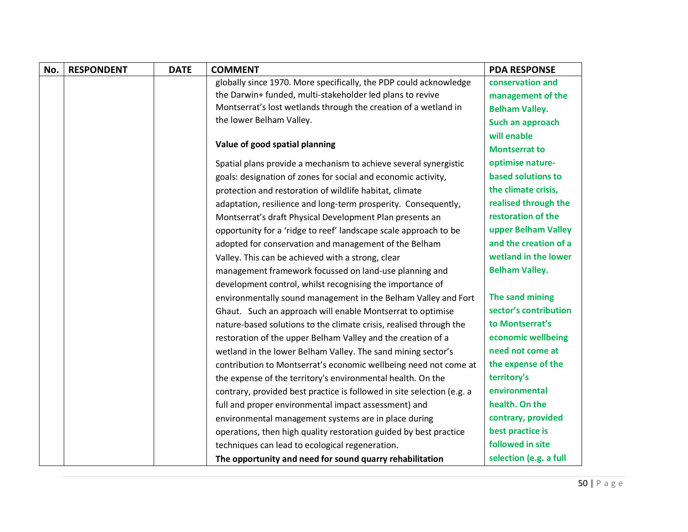| No. | <b>RESPONDENT</b> | <b>DATE</b> | <b>COMMENT</b>                                                         | <b>PDA RESPONSE</b>    |
|-----|-------------------|-------------|------------------------------------------------------------------------|------------------------|
|     |                   |             | globally since 1970. More specifically, the PDP could acknowledge      | conservation and       |
|     |                   |             | the Darwin+ funded, multi-stakeholder led plans to revive              | management of the      |
|     |                   |             | Montserrat's lost wetlands through the creation of a wetland in        | <b>Belham Valley.</b>  |
|     |                   |             | the lower Belham Valley.                                               | Such an approach       |
|     |                   |             |                                                                        | will enable            |
|     |                   |             | Value of good spatial planning                                         | <b>Montserrat to</b>   |
|     |                   |             | Spatial plans provide a mechanism to achieve several synergistic       | optimise nature-       |
|     |                   |             | goals: designation of zones for social and economic activity,          | based solutions to     |
|     |                   |             | protection and restoration of wildlife habitat, climate                | the climate crisis,    |
|     |                   |             | adaptation, resilience and long-term prosperity. Consequently,         | realised through the   |
|     |                   |             | Montserrat's draft Physical Development Plan presents an               | restoration of the     |
|     |                   |             | opportunity for a 'ridge to reef' landscape scale approach to be       | upper Belham Valley    |
|     |                   |             | adopted for conservation and management of the Belham                  | and the creation of a  |
|     |                   |             | Valley. This can be achieved with a strong, clear                      | wetland in the lower   |
|     |                   |             | management framework focussed on land-use planning and                 | <b>Belham Valley.</b>  |
|     |                   |             | development control, whilst recognising the importance of              |                        |
|     |                   |             | environmentally sound management in the Belham Valley and Fort         | The sand mining        |
|     |                   |             | Ghaut. Such an approach will enable Montserrat to optimise             | sector's contribution  |
|     |                   |             | nature-based solutions to the climate crisis, realised through the     | to Montserrat's        |
|     |                   |             | restoration of the upper Belham Valley and the creation of a           | economic wellbeing     |
|     |                   |             | wetland in the lower Belham Valley. The sand mining sector's           | need not come at       |
|     |                   |             | contribution to Montserrat's economic wellbeing need not come at       | the expense of the     |
|     |                   |             | the expense of the territory's environmental health. On the            | territory's            |
|     |                   |             | contrary, provided best practice is followed in site selection (e.g. a | environmental          |
|     |                   |             | full and proper environmental impact assessment) and                   | health. On the         |
|     |                   |             | environmental management systems are in place during                   | contrary, provided     |
|     |                   |             | operations, then high quality restoration guided by best practice      | best practice is       |
|     |                   |             | techniques can lead to ecological regeneration.                        | followed in site       |
|     |                   |             | The opportunity and need for sound quarry rehabilitation               | selection (e.g. a full |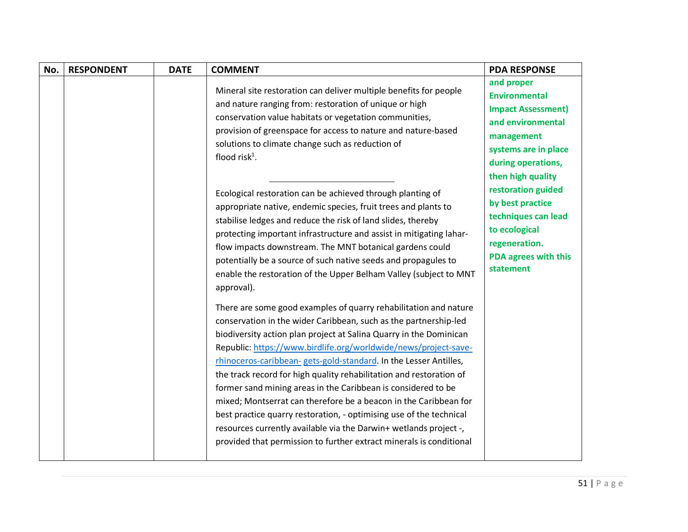| No. | <b>RESPONDENT</b> | <b>DATE</b> | <b>COMMENT</b>                                                                                                                                                                                                                                                                                                                                                                                                                                                                                                                                                                                                                                                                                                                                                                    | <b>PDA RESPONSE</b>                                                                                                                                                                         |
|-----|-------------------|-------------|-----------------------------------------------------------------------------------------------------------------------------------------------------------------------------------------------------------------------------------------------------------------------------------------------------------------------------------------------------------------------------------------------------------------------------------------------------------------------------------------------------------------------------------------------------------------------------------------------------------------------------------------------------------------------------------------------------------------------------------------------------------------------------------|---------------------------------------------------------------------------------------------------------------------------------------------------------------------------------------------|
|     |                   |             | Mineral site restoration can deliver multiple benefits for people<br>and nature ranging from: restoration of unique or high<br>conservation value habitats or vegetation communities,<br>provision of greenspace for access to nature and nature-based<br>solutions to climate change such as reduction of<br>flood risk $1$ .<br>Ecological restoration can be achieved through planting of                                                                                                                                                                                                                                                                                                                                                                                      | and proper<br><b>Environmental</b><br><b>Impact Assessment)</b><br>and environmental<br>management<br>systems are in place<br>during operations,<br>then high quality<br>restoration guided |
|     |                   |             | appropriate native, endemic species, fruit trees and plants to<br>stabilise ledges and reduce the risk of land slides, thereby<br>protecting important infrastructure and assist in mitigating lahar-<br>flow impacts downstream. The MNT botanical gardens could<br>potentially be a source of such native seeds and propagules to<br>enable the restoration of the Upper Belham Valley (subject to MNT<br>approval).                                                                                                                                                                                                                                                                                                                                                            | by best practice<br>techniques can lead<br>to ecological<br>regeneration.<br><b>PDA agrees with this</b><br>statement                                                                       |
|     |                   |             | There are some good examples of quarry rehabilitation and nature<br>conservation in the wider Caribbean, such as the partnership-led<br>biodiversity action plan project at Salina Quarry in the Dominican<br>Republic: https://www.birdlife.org/worldwide/news/project-save-<br>rhinoceros-caribbean- gets-gold-standard. In the Lesser Antilles,<br>the track record for high quality rehabilitation and restoration of<br>former sand mining areas in the Caribbean is considered to be<br>mixed; Montserrat can therefore be a beacon in the Caribbean for<br>best practice quarry restoration, - optimising use of the technical<br>resources currently available via the Darwin+ wetlands project -,<br>provided that permission to further extract minerals is conditional |                                                                                                                                                                                             |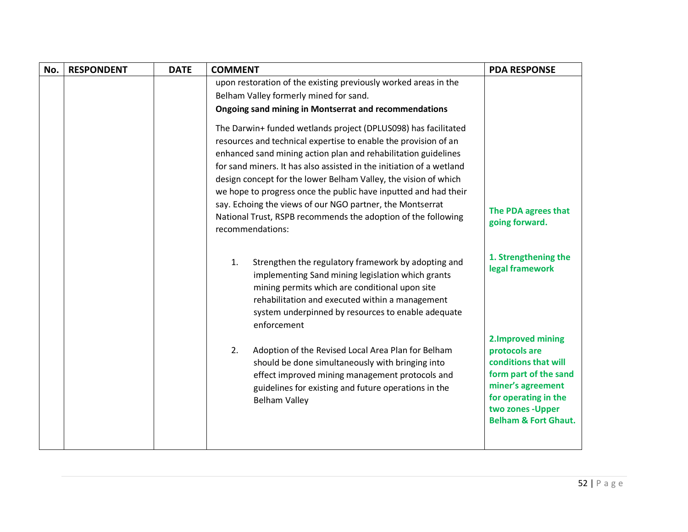| No. | <b>RESPONDENT</b> | <b>DATE</b> | <b>COMMENT</b>                                                                                                                                                                                                                                                                                                                                                                                                                                                                                                                                                      | <b>PDA RESPONSE</b>                                                                                                                                                                       |
|-----|-------------------|-------------|---------------------------------------------------------------------------------------------------------------------------------------------------------------------------------------------------------------------------------------------------------------------------------------------------------------------------------------------------------------------------------------------------------------------------------------------------------------------------------------------------------------------------------------------------------------------|-------------------------------------------------------------------------------------------------------------------------------------------------------------------------------------------|
|     |                   |             | upon restoration of the existing previously worked areas in the                                                                                                                                                                                                                                                                                                                                                                                                                                                                                                     |                                                                                                                                                                                           |
|     |                   |             | Belham Valley formerly mined for sand.                                                                                                                                                                                                                                                                                                                                                                                                                                                                                                                              |                                                                                                                                                                                           |
|     |                   |             | <b>Ongoing sand mining in Montserrat and recommendations</b>                                                                                                                                                                                                                                                                                                                                                                                                                                                                                                        |                                                                                                                                                                                           |
|     |                   |             | The Darwin+ funded wetlands project (DPLUS098) has facilitated<br>resources and technical expertise to enable the provision of an<br>enhanced sand mining action plan and rehabilitation guidelines<br>for sand miners. It has also assisted in the initiation of a wetland<br>design concept for the lower Belham Valley, the vision of which<br>we hope to progress once the public have inputted and had their<br>say. Echoing the views of our NGO partner, the Montserrat<br>National Trust, RSPB recommends the adoption of the following<br>recommendations: | The PDA agrees that<br>going forward.                                                                                                                                                     |
|     |                   |             | 1.<br>Strengthen the regulatory framework by adopting and<br>implementing Sand mining legislation which grants<br>mining permits which are conditional upon site<br>rehabilitation and executed within a management<br>system underpinned by resources to enable adequate<br>enforcement                                                                                                                                                                                                                                                                            | 1. Strengthening the<br>legal framework                                                                                                                                                   |
|     |                   |             | Adoption of the Revised Local Area Plan for Belham<br>2.<br>should be done simultaneously with bringing into<br>effect improved mining management protocols and<br>guidelines for existing and future operations in the<br><b>Belham Valley</b>                                                                                                                                                                                                                                                                                                                     | 2. Improved mining<br>protocols are<br>conditions that will<br>form part of the sand<br>miner's agreement<br>for operating in the<br>two zones - Upper<br><b>Belham &amp; Fort Ghaut.</b> |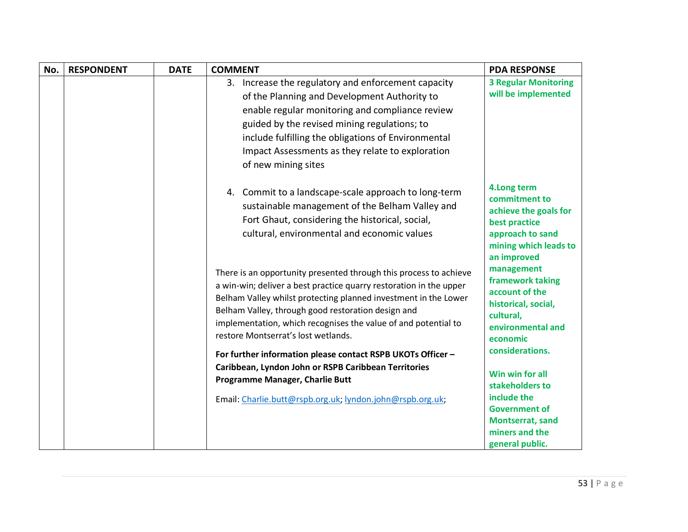| No. | <b>RESPONDENT</b> | <b>DATE</b> | <b>COMMENT</b>                                                                                                                                                                                                                                                                                                                                                            | <b>PDA RESPONSE</b>                                                                                                                 |
|-----|-------------------|-------------|---------------------------------------------------------------------------------------------------------------------------------------------------------------------------------------------------------------------------------------------------------------------------------------------------------------------------------------------------------------------------|-------------------------------------------------------------------------------------------------------------------------------------|
|     |                   |             | 3. Increase the regulatory and enforcement capacity                                                                                                                                                                                                                                                                                                                       | <b>3 Regular Monitoring</b>                                                                                                         |
|     |                   |             | of the Planning and Development Authority to                                                                                                                                                                                                                                                                                                                              | will be implemented                                                                                                                 |
|     |                   |             | enable regular monitoring and compliance review                                                                                                                                                                                                                                                                                                                           |                                                                                                                                     |
|     |                   |             | guided by the revised mining regulations; to                                                                                                                                                                                                                                                                                                                              |                                                                                                                                     |
|     |                   |             | include fulfilling the obligations of Environmental                                                                                                                                                                                                                                                                                                                       |                                                                                                                                     |
|     |                   |             | Impact Assessments as they relate to exploration                                                                                                                                                                                                                                                                                                                          |                                                                                                                                     |
|     |                   |             | of new mining sites                                                                                                                                                                                                                                                                                                                                                       |                                                                                                                                     |
|     |                   |             | 4. Commit to a landscape-scale approach to long-term<br>sustainable management of the Belham Valley and<br>Fort Ghaut, considering the historical, social,<br>cultural, environmental and economic values                                                                                                                                                                 | 4. Long term<br>commitment to<br>achieve the goals for<br>best practice<br>approach to sand<br>mining which leads to<br>an improved |
|     |                   |             | There is an opportunity presented through this process to achieve<br>a win-win; deliver a best practice quarry restoration in the upper<br>Belham Valley whilst protecting planned investment in the Lower<br>Belham Valley, through good restoration design and<br>implementation, which recognises the value of and potential to<br>restore Montserrat's lost wetlands. | management<br>framework taking<br>account of the<br>historical, social,<br>cultural,<br>environmental and<br>economic               |
|     |                   |             | For further information please contact RSPB UKOTs Officer -                                                                                                                                                                                                                                                                                                               | considerations.                                                                                                                     |
|     |                   |             | Caribbean, Lyndon John or RSPB Caribbean Territories<br>Programme Manager, Charlie Butt                                                                                                                                                                                                                                                                                   | Win win for all<br>stakeholders to                                                                                                  |
|     |                   |             | Email: Charlie.butt@rspb.org.uk; lyndon.john@rspb.org.uk;                                                                                                                                                                                                                                                                                                                 | include the                                                                                                                         |
|     |                   |             |                                                                                                                                                                                                                                                                                                                                                                           | <b>Government of</b>                                                                                                                |
|     |                   |             |                                                                                                                                                                                                                                                                                                                                                                           | <b>Montserrat, sand</b><br>miners and the                                                                                           |
|     |                   |             |                                                                                                                                                                                                                                                                                                                                                                           | general public.                                                                                                                     |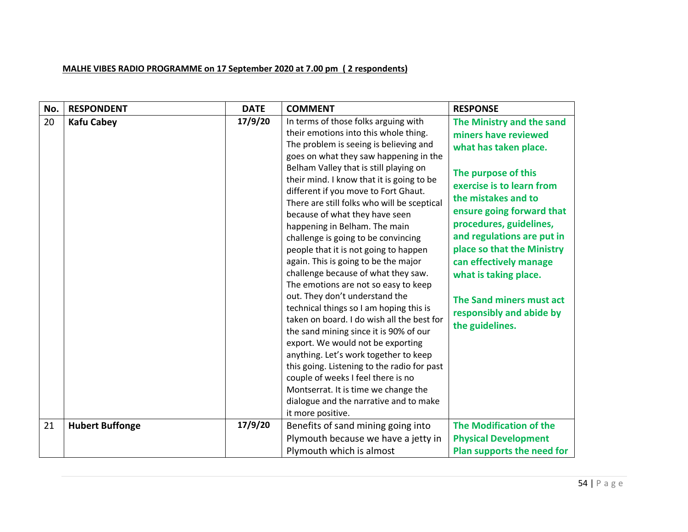## **MALHE VIBES RADIO PROGRAMME on 17 September 2020 at 7.00 pm ( 2 respondents)**

| No. | <b>RESPONDENT</b>      | <b>DATE</b> | <b>COMMENT</b>                                                                                                                                                                                                                                                                                                                                                                                                                                                                                                                                                                                                                                                                                                                                                                                                                                                                                                                                                                                                                                                           | <b>RESPONSE</b>                                                                                                                                                                                                                                                                                                                                                                                         |
|-----|------------------------|-------------|--------------------------------------------------------------------------------------------------------------------------------------------------------------------------------------------------------------------------------------------------------------------------------------------------------------------------------------------------------------------------------------------------------------------------------------------------------------------------------------------------------------------------------------------------------------------------------------------------------------------------------------------------------------------------------------------------------------------------------------------------------------------------------------------------------------------------------------------------------------------------------------------------------------------------------------------------------------------------------------------------------------------------------------------------------------------------|---------------------------------------------------------------------------------------------------------------------------------------------------------------------------------------------------------------------------------------------------------------------------------------------------------------------------------------------------------------------------------------------------------|
| 20  | <b>Kafu Cabey</b>      | 17/9/20     | In terms of those folks arguing with<br>their emotions into this whole thing.<br>The problem is seeing is believing and<br>goes on what they saw happening in the<br>Belham Valley that is still playing on<br>their mind. I know that it is going to be<br>different if you move to Fort Ghaut.<br>There are still folks who will be sceptical<br>because of what they have seen<br>happening in Belham. The main<br>challenge is going to be convincing<br>people that it is not going to happen<br>again. This is going to be the major<br>challenge because of what they saw.<br>The emotions are not so easy to keep<br>out. They don't understand the<br>technical things so I am hoping this is<br>taken on board. I do wish all the best for<br>the sand mining since it is 90% of our<br>export. We would not be exporting<br>anything. Let's work together to keep<br>this going. Listening to the radio for past<br>couple of weeks I feel there is no<br>Montserrat. It is time we change the<br>dialogue and the narrative and to make<br>it more positive. | The Ministry and the sand<br>miners have reviewed<br>what has taken place.<br>The purpose of this<br>exercise is to learn from<br>the mistakes and to<br>ensure going forward that<br>procedures, guidelines,<br>and regulations are put in<br>place so that the Ministry<br>can effectively manage<br>what is taking place.<br>The Sand miners must act<br>responsibly and abide by<br>the guidelines. |
| 21  | <b>Hubert Buffonge</b> | 17/9/20     | Benefits of sand mining going into                                                                                                                                                                                                                                                                                                                                                                                                                                                                                                                                                                                                                                                                                                                                                                                                                                                                                                                                                                                                                                       | <b>The Modification of the</b>                                                                                                                                                                                                                                                                                                                                                                          |
|     |                        |             | Plymouth because we have a jetty in                                                                                                                                                                                                                                                                                                                                                                                                                                                                                                                                                                                                                                                                                                                                                                                                                                                                                                                                                                                                                                      | <b>Physical Development</b>                                                                                                                                                                                                                                                                                                                                                                             |
|     |                        |             | Plymouth which is almost                                                                                                                                                                                                                                                                                                                                                                                                                                                                                                                                                                                                                                                                                                                                                                                                                                                                                                                                                                                                                                                 | Plan supports the need for                                                                                                                                                                                                                                                                                                                                                                              |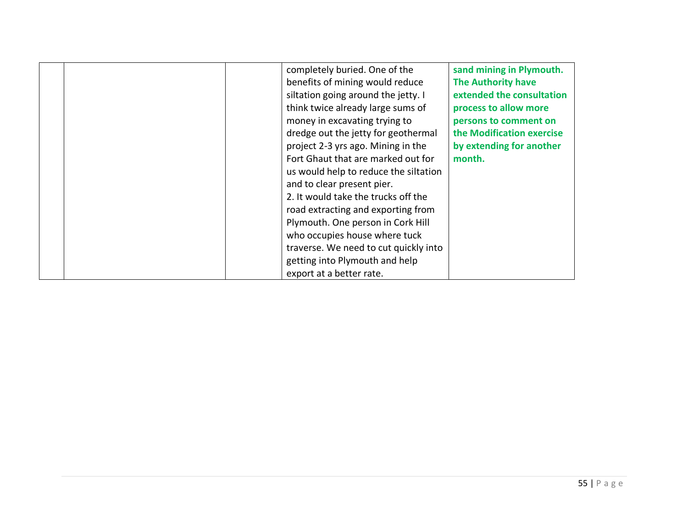| completely buried. One of the<br>benefits of mining would reduce<br>siltation going around the jetty. I<br>think twice already large sums of<br>money in excavating trying to<br>dredge out the jetty for geothermal<br>project 2-3 yrs ago. Mining in the<br>Fort Ghaut that are marked out for<br>us would help to reduce the siltation<br>and to clear present pier.<br>2. It would take the trucks off the<br>road extracting and exporting from<br>Plymouth. One person in Cork Hill<br>who occupies house where tuck<br>traverse. We need to cut quickly into<br>getting into Plymouth and help | sand mining in Plymouth.<br><b>The Authority have</b><br>extended the consultation<br>process to allow more<br>persons to comment on<br>the Modification exercise<br>by extending for another<br>month. |
|-------------------------------------------------------------------------------------------------------------------------------------------------------------------------------------------------------------------------------------------------------------------------------------------------------------------------------------------------------------------------------------------------------------------------------------------------------------------------------------------------------------------------------------------------------------------------------------------------------|---------------------------------------------------------------------------------------------------------------------------------------------------------------------------------------------------------|
| export at a better rate.                                                                                                                                                                                                                                                                                                                                                                                                                                                                                                                                                                              |                                                                                                                                                                                                         |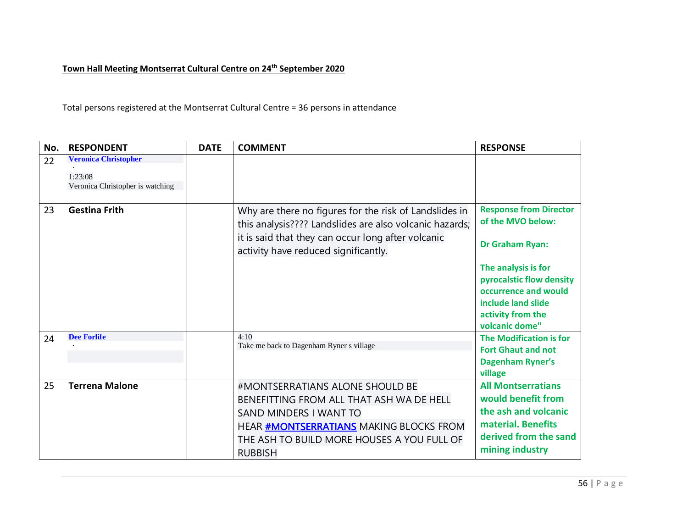## **Town Hall Meeting Montserrat Cultural Centre on 24th September 2020**

Total persons registered at the Montserrat Cultural Centre = 36 persons in attendance

| No. | <b>RESPONDENT</b>                                                          | <b>DATE</b> | <b>COMMENT</b>                                                                                                                                                                                                          | <b>RESPONSE</b>                                                                                                                           |
|-----|----------------------------------------------------------------------------|-------------|-------------------------------------------------------------------------------------------------------------------------------------------------------------------------------------------------------------------------|-------------------------------------------------------------------------------------------------------------------------------------------|
| 22  | <b>Veronica Christopher</b><br>1:23:08<br>Veronica Christopher is watching |             |                                                                                                                                                                                                                         |                                                                                                                                           |
| 23  | <b>Gestina Frith</b>                                                       |             | Why are there no figures for the risk of Landslides in<br>this analysis???? Landslides are also volcanic hazards;                                                                                                       | <b>Response from Director</b><br>of the MVO below:                                                                                        |
|     |                                                                            |             | it is said that they can occur long after volcanic<br>activity have reduced significantly.                                                                                                                              | <b>Dr Graham Ryan:</b>                                                                                                                    |
|     |                                                                            |             |                                                                                                                                                                                                                         | The analysis is for<br>pyrocalstic flow density<br>occurrence and would<br>include land slide<br>activity from the<br>volcanic dome"      |
| 24  | <b>Dee Forlife</b>                                                         |             | 4:10<br>Take me back to Dagenham Ryner s village                                                                                                                                                                        | <b>The Modification is for</b><br><b>Fort Ghaut and not</b><br><b>Dagenham Ryner's</b><br>village                                         |
| 25  | <b>Terrena Malone</b>                                                      |             | #MONTSERRATIANS ALONE SHOULD BE<br>BENEFITTING FROM ALL THAT ASH WA DE HELL<br>SAND MINDERS I WANT TO<br>HEAR <b>#MONTSERRATIANS</b> MAKING BLOCKS FROM<br>THE ASH TO BUILD MORE HOUSES A YOU FULL OF<br><b>RUBBISH</b> | <b>All Montserratians</b><br>would benefit from<br>the ash and volcanic<br>material. Benefits<br>derived from the sand<br>mining industry |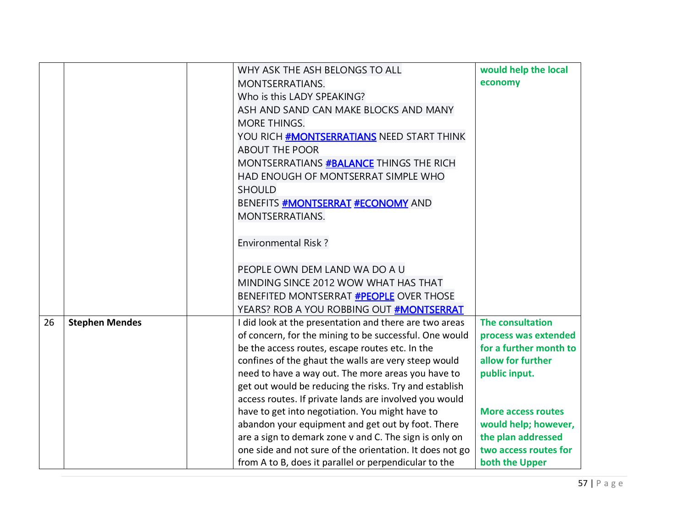|    |                       | WHY ASK THE ASH BELONGS TO ALL                           | would help the local      |
|----|-----------------------|----------------------------------------------------------|---------------------------|
|    |                       | <b>MONTSERRATIANS.</b>                                   | economy                   |
|    |                       | Who is this LADY SPEAKING?                               |                           |
|    |                       | ASH AND SAND CAN MAKE BLOCKS AND MANY                    |                           |
|    |                       | <b>MORE THINGS.</b>                                      |                           |
|    |                       | YOU RICH #MONTSERRATIANS NEED START THINK                |                           |
|    |                       | <b>ABOUT THE POOR</b>                                    |                           |
|    |                       | MONTSERRATIANS #BALANCE THINGS THE RICH                  |                           |
|    |                       | HAD ENOUGH OF MONTSERRAT SIMPLE WHO                      |                           |
|    |                       | <b>SHOULD</b>                                            |                           |
|    |                       | BENEFITS <b>#MONTSERRAT #ECONOMY</b> AND                 |                           |
|    |                       | <b>MONTSERRATIANS.</b>                                   |                           |
|    |                       |                                                          |                           |
|    |                       | <b>Environmental Risk?</b>                               |                           |
|    |                       |                                                          |                           |
|    |                       | PEOPLE OWN DEM LAND WA DO A U                            |                           |
|    |                       | MINDING SINCE 2012 WOW WHAT HAS THAT                     |                           |
|    |                       | BENEFITED MONTSERRAT <b>#PEOPLE</b> OVER THOSE           |                           |
|    |                       | YEARS? ROB A YOU ROBBING OUT #MONTSERRAT                 |                           |
| 26 | <b>Stephen Mendes</b> | I did look at the presentation and there are two areas   | The consultation          |
|    |                       | of concern, for the mining to be successful. One would   | process was extended      |
|    |                       | be the access routes, escape routes etc. In the          | for a further month to    |
|    |                       | confines of the ghaut the walls are very steep would     | allow for further         |
|    |                       | need to have a way out. The more areas you have to       | public input.             |
|    |                       | get out would be reducing the risks. Try and establish   |                           |
|    |                       | access routes. If private lands are involved you would   |                           |
|    |                       | have to get into negotiation. You might have to          | <b>More access routes</b> |
|    |                       | abandon your equipment and get out by foot. There        | would help; however,      |
|    |                       | are a sign to demark zone v and C. The sign is only on   | the plan addressed        |
|    |                       | one side and not sure of the orientation. It does not go | two access routes for     |
|    |                       | from A to B, does it parallel or perpendicular to the    | both the Upper            |
|    |                       |                                                          |                           |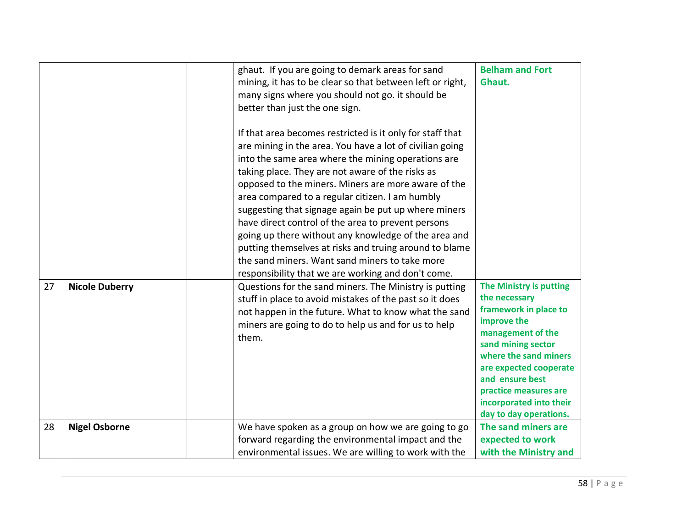|    |                       | ghaut. If you are going to demark areas for sand<br>mining, it has to be clear so that between left or right,<br>many signs where you should not go. it should be<br>better than just the one sign.<br>If that area becomes restricted is it only for staff that<br>are mining in the area. You have a lot of civilian going<br>into the same area where the mining operations are<br>taking place. They are not aware of the risks as<br>opposed to the miners. Miners are more aware of the<br>area compared to a regular citizen. I am humbly<br>suggesting that signage again be put up where miners<br>have direct control of the area to prevent persons<br>going up there without any knowledge of the area and<br>putting themselves at risks and truing around to blame<br>the sand miners. Want sand miners to take more<br>responsibility that we are working and don't come. | <b>Belham and Fort</b><br>Ghaut.                                                                                                                                                                                                                                                |
|----|-----------------------|------------------------------------------------------------------------------------------------------------------------------------------------------------------------------------------------------------------------------------------------------------------------------------------------------------------------------------------------------------------------------------------------------------------------------------------------------------------------------------------------------------------------------------------------------------------------------------------------------------------------------------------------------------------------------------------------------------------------------------------------------------------------------------------------------------------------------------------------------------------------------------------|---------------------------------------------------------------------------------------------------------------------------------------------------------------------------------------------------------------------------------------------------------------------------------|
| 27 | <b>Nicole Duberry</b> | Questions for the sand miners. The Ministry is putting<br>stuff in place to avoid mistakes of the past so it does<br>not happen in the future. What to know what the sand<br>miners are going to do to help us and for us to help<br>them.                                                                                                                                                                                                                                                                                                                                                                                                                                                                                                                                                                                                                                               | The Ministry is putting<br>the necessary<br>framework in place to<br>improve the<br>management of the<br>sand mining sector<br>where the sand miners<br>are expected cooperate<br>and ensure best<br>practice measures are<br>incorporated into their<br>day to day operations. |
| 28 | <b>Nigel Osborne</b>  | We have spoken as a group on how we are going to go<br>forward regarding the environmental impact and the<br>environmental issues. We are willing to work with the                                                                                                                                                                                                                                                                                                                                                                                                                                                                                                                                                                                                                                                                                                                       | The sand miners are<br>expected to work<br>with the Ministry and                                                                                                                                                                                                                |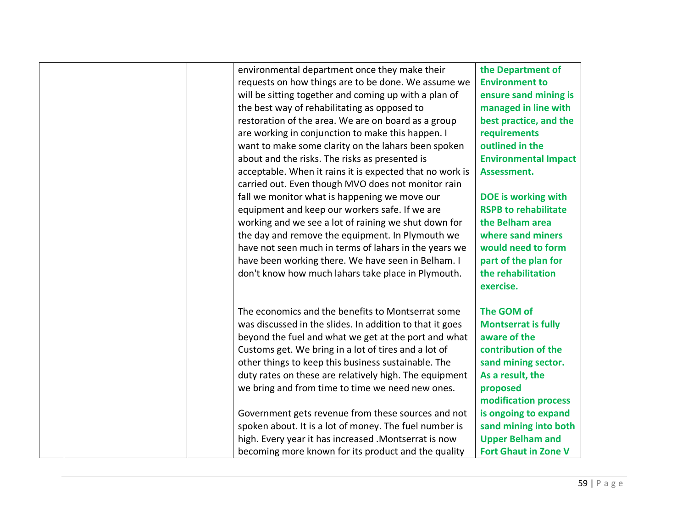|  | environmental department once they make their            | the Department of           |
|--|----------------------------------------------------------|-----------------------------|
|  | requests on how things are to be done. We assume we      | <b>Environment to</b>       |
|  | will be sitting together and coming up with a plan of    | ensure sand mining is       |
|  | the best way of rehabilitating as opposed to             | managed in line with        |
|  | restoration of the area. We are on board as a group      | best practice, and the      |
|  | are working in conjunction to make this happen. I        | requirements                |
|  | want to make some clarity on the lahars been spoken      | outlined in the             |
|  | about and the risks. The risks as presented is           | <b>Environmental Impact</b> |
|  | acceptable. When it rains it is expected that no work is | Assessment.                 |
|  | carried out. Even though MVO does not monitor rain       |                             |
|  | fall we monitor what is happening we move our            | DOE is working with         |
|  | equipment and keep our workers safe. If we are           | <b>RSPB to rehabilitate</b> |
|  | working and we see a lot of raining we shut down for     | the Belham area             |
|  | the day and remove the equipment. In Plymouth we         | where sand miners           |
|  | have not seen much in terms of lahars in the years we    | would need to form          |
|  | have been working there. We have seen in Belham. I       | part of the plan for        |
|  | don't know how much lahars take place in Plymouth.       | the rehabilitation          |
|  |                                                          | exercise.                   |
|  |                                                          |                             |
|  | The economics and the benefits to Montserrat some        | The GOM of                  |
|  | was discussed in the slides. In addition to that it goes | <b>Montserrat is fully</b>  |
|  | beyond the fuel and what we get at the port and what     | aware of the                |
|  | Customs get. We bring in a lot of tires and a lot of     | contribution of the         |
|  | other things to keep this business sustainable. The      | sand mining sector.         |
|  | duty rates on these are relatively high. The equipment   | As a result, the            |
|  | we bring and from time to time we need new ones.         | proposed                    |
|  |                                                          | modification process        |
|  | Government gets revenue from these sources and not       | is ongoing to expand        |
|  | spoken about. It is a lot of money. The fuel number is   | sand mining into both       |
|  | high. Every year it has increased . Montserrat is now    | <b>Upper Belham and</b>     |
|  | becoming more known for its product and the quality      | <b>Fort Ghaut in Zone V</b> |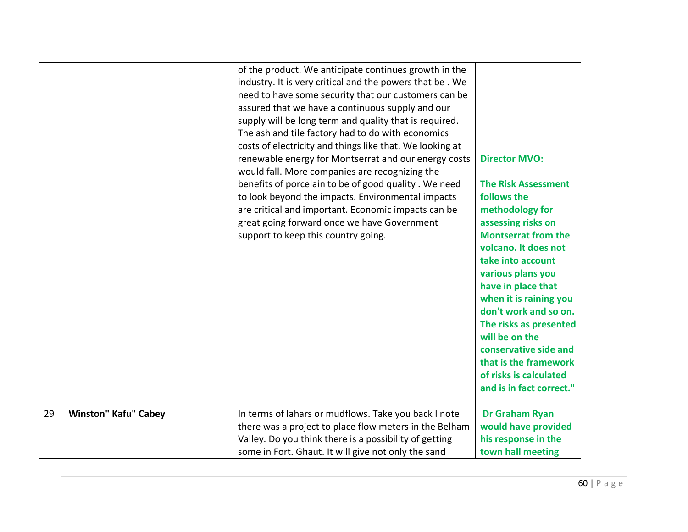|    |                             | of the product. We anticipate continues growth in the<br>industry. It is very critical and the powers that be. We<br>need to have some security that our customers can be<br>assured that we have a continuous supply and our<br>supply will be long term and quality that is required.<br>The ash and tile factory had to do with economics<br>costs of electricity and things like that. We looking at<br>renewable energy for Montserrat and our energy costs<br>would fall. More companies are recognizing the<br>benefits of porcelain to be of good quality. We need<br>to look beyond the impacts. Environmental impacts<br>are critical and important. Economic impacts can be<br>great going forward once we have Government<br>support to keep this country going. | <b>Director MVO:</b><br><b>The Risk Assessment</b><br>follows the<br>methodology for<br>assessing risks on<br><b>Montserrat from the</b><br>volcano. It does not<br>take into account<br>various plans you<br>have in place that<br>when it is raining you<br>don't work and so on.<br>The risks as presented<br>will be on the<br>conservative side and<br>that is the framework<br>of risks is calculated<br>and is in fact correct." |
|----|-----------------------------|------------------------------------------------------------------------------------------------------------------------------------------------------------------------------------------------------------------------------------------------------------------------------------------------------------------------------------------------------------------------------------------------------------------------------------------------------------------------------------------------------------------------------------------------------------------------------------------------------------------------------------------------------------------------------------------------------------------------------------------------------------------------------|-----------------------------------------------------------------------------------------------------------------------------------------------------------------------------------------------------------------------------------------------------------------------------------------------------------------------------------------------------------------------------------------------------------------------------------------|
| 29 | <b>Winston" Kafu" Cabey</b> | In terms of lahars or mudflows. Take you back I note<br>there was a project to place flow meters in the Belham                                                                                                                                                                                                                                                                                                                                                                                                                                                                                                                                                                                                                                                               | Dr Graham Ryan<br>would have provided                                                                                                                                                                                                                                                                                                                                                                                                   |
|    |                             | Valley. Do you think there is a possibility of getting                                                                                                                                                                                                                                                                                                                                                                                                                                                                                                                                                                                                                                                                                                                       | his response in the                                                                                                                                                                                                                                                                                                                                                                                                                     |
|    |                             | some in Fort. Ghaut. It will give not only the sand                                                                                                                                                                                                                                                                                                                                                                                                                                                                                                                                                                                                                                                                                                                          | town hall meeting                                                                                                                                                                                                                                                                                                                                                                                                                       |
|    |                             |                                                                                                                                                                                                                                                                                                                                                                                                                                                                                                                                                                                                                                                                                                                                                                              |                                                                                                                                                                                                                                                                                                                                                                                                                                         |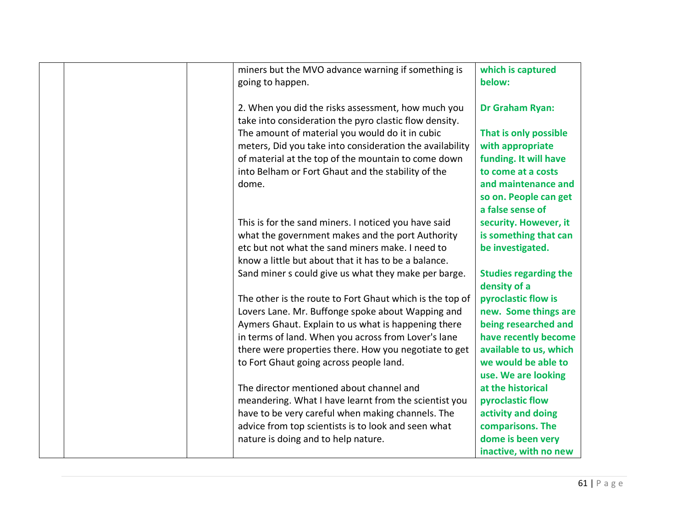|  | miners but the MVO advance warning if something is<br>going to happen.                                    | which is captured<br>below:                   |
|--|-----------------------------------------------------------------------------------------------------------|-----------------------------------------------|
|  |                                                                                                           |                                               |
|  | 2. When you did the risks assessment, how much you                                                        | <b>Dr Graham Ryan:</b>                        |
|  | take into consideration the pyro clastic flow density.<br>The amount of material you would do it in cubic | That is only possible                         |
|  | meters, Did you take into consideration the availability                                                  | with appropriate                              |
|  | of material at the top of the mountain to come down                                                       | funding. It will have                         |
|  | into Belham or Fort Ghaut and the stability of the                                                        | to come at a costs                            |
|  | dome.                                                                                                     | and maintenance and                           |
|  |                                                                                                           | so on. People can get<br>a false sense of     |
|  | This is for the sand miners. I noticed you have said                                                      | security. However, it                         |
|  | what the government makes and the port Authority                                                          | is something that can                         |
|  | etc but not what the sand miners make. I need to                                                          | be investigated.                              |
|  | know a little but about that it has to be a balance.                                                      |                                               |
|  | Sand miner s could give us what they make per barge.                                                      | <b>Studies regarding the</b><br>density of a  |
|  | The other is the route to Fort Ghaut which is the top of                                                  | pyroclastic flow is                           |
|  | Lovers Lane. Mr. Buffonge spoke about Wapping and                                                         | new. Some things are                          |
|  | Aymers Ghaut. Explain to us what is happening there                                                       | being researched and                          |
|  | in terms of land. When you across from Lover's lane                                                       | have recently become                          |
|  | there were properties there. How you negotiate to get                                                     | available to us, which<br>we would be able to |
|  | to Fort Ghaut going across people land.                                                                   | use. We are looking                           |
|  | The director mentioned about channel and                                                                  | at the historical                             |
|  | meandering. What I have learnt from the scientist you                                                     | pyroclastic flow                              |
|  | have to be very careful when making channels. The                                                         | activity and doing                            |
|  | advice from top scientists is to look and seen what                                                       | comparisons. The                              |
|  | nature is doing and to help nature.                                                                       | dome is been very                             |
|  |                                                                                                           | inactive, with no new                         |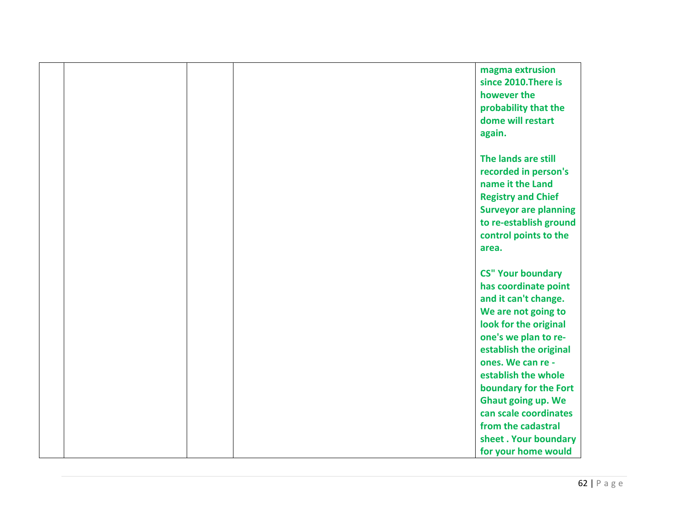|  | magma extrusion              |  |
|--|------------------------------|--|
|  | since 2010. There is         |  |
|  | however the                  |  |
|  | probability that the         |  |
|  | dome will restart            |  |
|  | again.                       |  |
|  |                              |  |
|  | The lands are still          |  |
|  | recorded in person's         |  |
|  | name it the Land             |  |
|  | <b>Registry and Chief</b>    |  |
|  | <b>Surveyor are planning</b> |  |
|  | to re-establish ground       |  |
|  | control points to the        |  |
|  | area.                        |  |
|  |                              |  |
|  | <b>CS" Your boundary</b>     |  |
|  | has coordinate point         |  |
|  | and it can't change.         |  |
|  | We are not going to          |  |
|  | look for the original        |  |
|  | one's we plan to re-         |  |
|  | establish the original       |  |
|  | ones. We can re -            |  |
|  | establish the whole          |  |
|  | boundary for the Fort        |  |
|  | <b>Ghaut going up. We</b>    |  |
|  | can scale coordinates        |  |
|  | from the cadastral           |  |
|  | sheet. Your boundary         |  |
|  | for your home would          |  |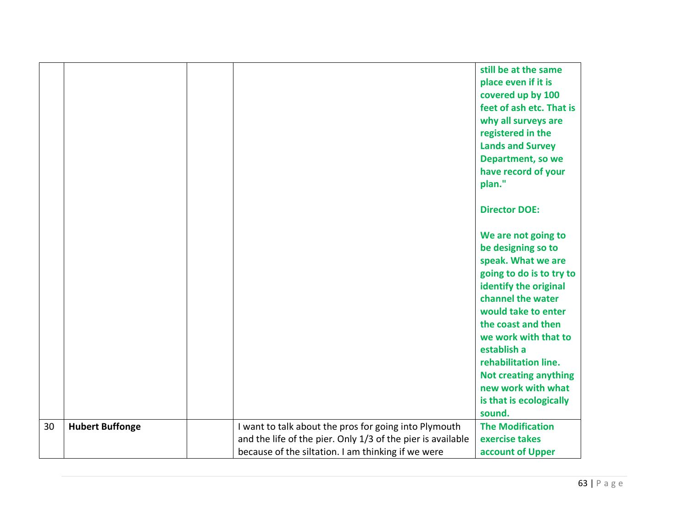|    |                        |                                                             | still be at the same         |
|----|------------------------|-------------------------------------------------------------|------------------------------|
|    |                        |                                                             | place even if it is          |
|    |                        |                                                             | covered up by 100            |
|    |                        |                                                             | feet of ash etc. That is     |
|    |                        |                                                             | why all surveys are          |
|    |                        |                                                             | registered in the            |
|    |                        |                                                             | <b>Lands and Survey</b>      |
|    |                        |                                                             | Department, so we            |
|    |                        |                                                             | have record of your          |
|    |                        |                                                             | plan."                       |
|    |                        |                                                             |                              |
|    |                        |                                                             | <b>Director DOE:</b>         |
|    |                        |                                                             |                              |
|    |                        |                                                             | We are not going to          |
|    |                        |                                                             | be designing so to           |
|    |                        |                                                             | speak. What we are           |
|    |                        |                                                             | going to do is to try to     |
|    |                        |                                                             | identify the original        |
|    |                        |                                                             | channel the water            |
|    |                        |                                                             | would take to enter          |
|    |                        |                                                             | the coast and then           |
|    |                        |                                                             | we work with that to         |
|    |                        |                                                             | establish a                  |
|    |                        |                                                             | rehabilitation line.         |
|    |                        |                                                             | <b>Not creating anything</b> |
|    |                        |                                                             | new work with what           |
|    |                        |                                                             | is that is ecologically      |
|    |                        |                                                             | sound.                       |
| 30 | <b>Hubert Buffonge</b> | I want to talk about the pros for going into Plymouth       | <b>The Modification</b>      |
|    |                        | and the life of the pier. Only 1/3 of the pier is available | exercise takes               |
|    |                        | because of the siltation. I am thinking if we were          | account of Upper             |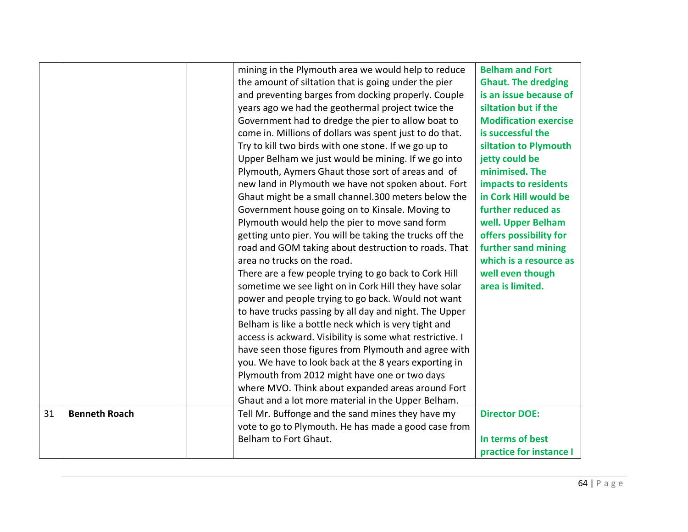|    |                      |                                                           | <b>Belham and Fort</b>       |
|----|----------------------|-----------------------------------------------------------|------------------------------|
|    |                      | mining in the Plymouth area we would help to reduce       |                              |
|    |                      | the amount of siltation that is going under the pier      | <b>Ghaut. The dredging</b>   |
|    |                      | and preventing barges from docking properly. Couple       | is an issue because of       |
|    |                      | years ago we had the geothermal project twice the         | siltation but if the         |
|    |                      | Government had to dredge the pier to allow boat to        | <b>Modification exercise</b> |
|    |                      | come in. Millions of dollars was spent just to do that.   | is successful the            |
|    |                      | Try to kill two birds with one stone. If we go up to      | siltation to Plymouth        |
|    |                      | Upper Belham we just would be mining. If we go into       | jetty could be               |
|    |                      | Plymouth, Aymers Ghaut those sort of areas and of         | minimised. The               |
|    |                      | new land in Plymouth we have not spoken about. Fort       | impacts to residents         |
|    |                      | Ghaut might be a small channel.300 meters below the       | in Cork Hill would be        |
|    |                      | Government house going on to Kinsale. Moving to           | further reduced as           |
|    |                      | Plymouth would help the pier to move sand form            | well. Upper Belham           |
|    |                      | getting unto pier. You will be taking the trucks off the  | offers possibility for       |
|    |                      | road and GOM taking about destruction to roads. That      | further sand mining          |
|    |                      | area no trucks on the road.                               | which is a resource as       |
|    |                      | There are a few people trying to go back to Cork Hill     | well even though             |
|    |                      | sometime we see light on in Cork Hill they have solar     | area is limited.             |
|    |                      | power and people trying to go back. Would not want        |                              |
|    |                      | to have trucks passing by all day and night. The Upper    |                              |
|    |                      | Belham is like a bottle neck which is very tight and      |                              |
|    |                      | access is ackward. Visibility is some what restrictive. I |                              |
|    |                      | have seen those figures from Plymouth and agree with      |                              |
|    |                      | you. We have to look back at the 8 years exporting in     |                              |
|    |                      | Plymouth from 2012 might have one or two days             |                              |
|    |                      | where MVO. Think about expanded areas around Fort         |                              |
|    |                      | Ghaut and a lot more material in the Upper Belham.        |                              |
| 31 | <b>Benneth Roach</b> | Tell Mr. Buffonge and the sand mines they have my         | <b>Director DOE:</b>         |
|    |                      | vote to go to Plymouth. He has made a good case from      |                              |
|    |                      | Belham to Fort Ghaut.                                     | In terms of best             |
|    |                      |                                                           | practice for instance I      |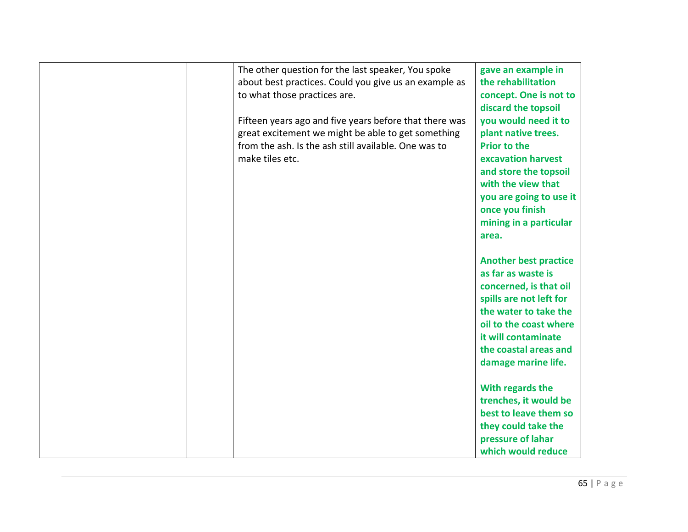|  | The other question for the last speaker, You spoke<br>about best practices. Could you give us an example as<br>to what those practices are. | gave an example in<br>the rehabilitation<br>concept. One is not to |
|--|---------------------------------------------------------------------------------------------------------------------------------------------|--------------------------------------------------------------------|
|  |                                                                                                                                             | discard the topsoil                                                |
|  | Fifteen years ago and five years before that there was                                                                                      | you would need it to                                               |
|  | great excitement we might be able to get something                                                                                          | plant native trees.                                                |
|  | from the ash. Is the ash still available. One was to                                                                                        | <b>Prior to the</b>                                                |
|  | make tiles etc.                                                                                                                             | excavation harvest                                                 |
|  |                                                                                                                                             | and store the topsoil<br>with the view that                        |
|  |                                                                                                                                             | you are going to use it                                            |
|  |                                                                                                                                             | once you finish                                                    |
|  |                                                                                                                                             | mining in a particular                                             |
|  |                                                                                                                                             | area.                                                              |
|  |                                                                                                                                             |                                                                    |
|  |                                                                                                                                             | <b>Another best practice</b>                                       |
|  |                                                                                                                                             | as far as waste is                                                 |
|  |                                                                                                                                             | concerned, is that oil                                             |
|  |                                                                                                                                             | spills are not left for                                            |
|  |                                                                                                                                             | the water to take the<br>oil to the coast where                    |
|  |                                                                                                                                             | it will contaminate                                                |
|  |                                                                                                                                             | the coastal areas and                                              |
|  |                                                                                                                                             | damage marine life.                                                |
|  |                                                                                                                                             |                                                                    |
|  |                                                                                                                                             | With regards the                                                   |
|  |                                                                                                                                             | trenches, it would be                                              |
|  |                                                                                                                                             | best to leave them so                                              |
|  |                                                                                                                                             | they could take the                                                |
|  |                                                                                                                                             | pressure of lahar                                                  |
|  |                                                                                                                                             | which would reduce                                                 |